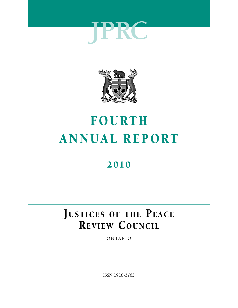



# FOURTH ANNUAL REPORT

# 2010

# JUSTICES OF THE PEACE REVIEW COUNCIL

ONTARIO

ISSN 1918-3763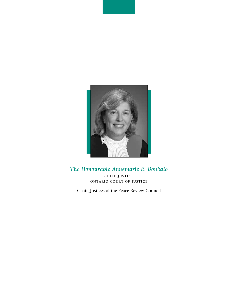

# *The Honourable Annemarie E. Bonkalo*

**CHIEF JUSTICE ONTARIO COURT OF JUSTICE**

Chair, Justices of the Peace Review Council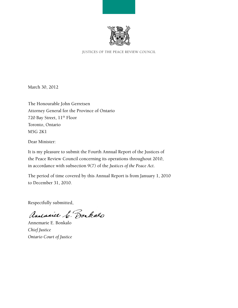

JUSTICES OF THE PEACE REVIEW COUNCIL

March 30, 2012

The Honourable John Gerretsen Attorney General for the Province of Ontario 720 Bay Street,  $11<sup>th</sup>$  Floor Toronto, Ontario M5G 2K1

Dear Minister:

It is my pleasure to submit the Fourth Annual Report of the Justices of the Peace Review Council concerning its operations throughout 2010, in accordance with subsection 9(7) of the *Justices of the Peace Act*.

The period of time covered by this Annual Report is from January 1, 2010 to December 31, 2010.

Respectfully submitted,

Andraice C. Bonkalo

Annemarie E. Bonkalo *Chief Justice Ontario Court of Justice*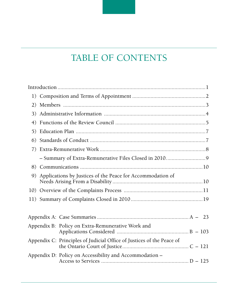# <span id="page-4-0"></span>TABLE OF CONTENTS

| 1) |  |                                                                       |  |
|----|--|-----------------------------------------------------------------------|--|
| 2) |  |                                                                       |  |
| 3) |  |                                                                       |  |
| 4) |  |                                                                       |  |
| 5) |  |                                                                       |  |
| 6) |  |                                                                       |  |
| 7) |  |                                                                       |  |
|    |  |                                                                       |  |
| 8) |  |                                                                       |  |
| 9) |  | Applications by Justices of the Peace for Accommodation of            |  |
|    |  |                                                                       |  |
|    |  |                                                                       |  |
|    |  |                                                                       |  |
|    |  |                                                                       |  |
|    |  | Appendix B: Policy on Extra-Remunerative Work and                     |  |
|    |  | Appendix C: Principles of Judicial Office of Justices of the Peace of |  |
|    |  | Appendix D: Policy on Accessibility and Accommodation -               |  |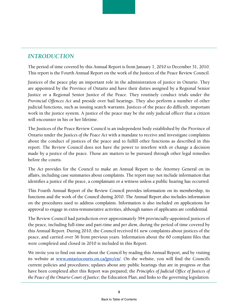# <span id="page-6-0"></span>*INTRODUCTION*

The period of time covered by this Annual Report is from January 1, 2010 to December 31, 2010. This report is the Fourth Annual Report on the work of the Justices of the Peace Review Council.

Justices of the peace play an important role in the administration of justice in Ontario. They are appointed by the Province of Ontario and have their duties assigned by a Regional Senior Justice or a Regional Senior Justice of the Peace. They routinely conduct trials under the *Provincial Offences Act* and preside over bail hearings. They also perform a number of other judicial functions, such as issuing search warrants. Justices of the peace do difficult, important work in the justice system. A justice of the peace may be the only judicial officer that a citizen will encounter in his or her lifetime.

The Justices of the Peace Review Council is an independent body established by the Province of Ontario under the *Justices of the Peace Act* with a mandate to receive and investigate complaints about the conduct of justices of the peace and to fulfill other functions as described in this report. The Review Council does not have the power to interfere with or change a decision made by a justice of the peace. Those are matters to be pursued through other legal remedies before the courts.

The *Act* provides for the Council to make an Annual Report to the Attorney General on its affairs, including case summaries about complaints. The report may not include information that identifies a justice of the peace, a complainant or a witness unless a public hearing has occurred.

This Fourth Annual Report of the Review Council provides information on its membership, its functions and the work of the Council during 2010. The Annual Report also includes information on the procedures used to address complaints. Information is also included on applications for approval to engage in extra-remunerative activities, although names of applicants are confidential.

The Review Council had jurisdiction over approximately 394 provincially-appointed justices of the peace, including full-time and part-time and *per diem*, during the period of time covered by this Annual Report. During 2010, the Council received 61 new complaints about justices of the peace, and carried over 36 from previous years. Information about the 60 complaint files that were completed and closed in 2010 is included in this Report.

We invite you to find out more about the Council by reading this Annual Report, and by visiting its website at **[www.ontariocourts.on.ca/jprc/en/](http://www.ontariocourts.on.ca/jprc/en/)**. On the website, you will find the Council's current policies and procedures; updates about any public hearings that are in progress or that have been completed after this Report was prepared; the *Principles of Judicial Office of Justices of the Peace of the Ontario Court of Justice*; the Education Plan; and links to the governing legislation.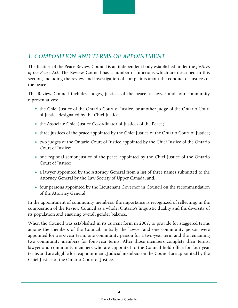# <span id="page-7-0"></span>*1. COMPOSITION AND TERMS OF APPOINTMENT*

The Justices of the Peace Review Council is an independent body established under the *Justices of the Peace Act.* The Review Council has a number of functions which are described in this section, including the review and investigation of complaints about the conduct of justices of the peace.

The Review Council includes judges, justices of the peace, a lawyer and four community representatives:

- the Chief Justice of the Ontario Court of Justice, or another judge of the Ontario Court of Justice designated by the Chief Justice;
- the Associate Chief Justice Co-ordinator of Justices of the Peace;
- three justices of the peace appointed by the Chief Justice of the Ontario Court of Justice;
- two judges of the Ontario Court of Justice appointed by the Chief Justice of the Ontario Court of Justice;
- one regional senior justice of the peace appointed by the Chief Justice of the Ontario Court of Justice;
- a lawyer appointed by the Attorney General from a list of three names submitted to the Attorney General by the Law Society of Upper Canada; and,
- four persons appointed by the Lieutenant Governor in Council on the recommendation of the Attorney General.

In the appointment of community members, the importance is recognized of reflecting, in the composition of the Review Council as a whole, Ontario's linguistic duality and the diversity of its population and ensuring overall gender balance.

When the Council was established in its current form in 2007, to provide for staggered terms among the members of the Council, initially the lawyer and one community person were appointed for a six-year term, one community person for a two-year term and the remaining two community members for four-year terms. After those members complete their terms, lawyer and community members who are appointed to the Council hold office for four-year terms and are eligible for reappointment. Judicial members on the Council are appointed by the Chief Justice of the Ontario Court of Justice.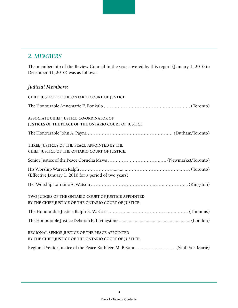# <span id="page-8-0"></span>*2. MEMBERS*

The membership of the Review Council in the year covered by this report (January 1, 2010 to December 31, 2010) was as follows:

# *Judicial Members:*

| CHIEF JUSTICE OF THE ONTARIO COURT OF JUSTICE                               |
|-----------------------------------------------------------------------------|
|                                                                             |
| ASSOCIATE CHIEF JUSTICE CO-ORDINATOR OF                                     |
| JUSTICES OF THE PEACE OF THE ONTARIO COURT OF JUSTICE                       |
|                                                                             |
| THREE JUSTICES OF THE PEACE APPOINTED BY THE                                |
| CHIEF JUSTICE OF THE ONTARIO COURT OF JUSTICE:                              |
|                                                                             |
|                                                                             |
| (Effective January 1, 2010 for a period of two years)                       |
|                                                                             |
| TWO JUDGES OF THE ONTARIO COURT OF JUSTICE APPOINTED                        |
| BY THE CHIEF JUSTICE OF THE ONTARIO COURT OF JUSTICE:                       |
|                                                                             |
|                                                                             |
| REGIONAL SENIOR JUSTICE OF THE PEACE APPOINTED                              |
| BY THE CHIEF JUSTICE OF THE ONTARIO COURT OF JUSTICE:                       |
| Regional Senior Justice of the Peace Kathleen M. Bryant  (Sault Ste. Marie) |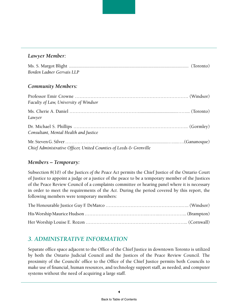#### <span id="page-9-0"></span>*Lawyer Member:*

| Borden Ladner Gervais LLP |  |
|---------------------------|--|

#### *Community Members:*

| Faculty of Law, University of Windsor                              |  |
|--------------------------------------------------------------------|--|
| Lawyer                                                             |  |
| Consultant, Mental Health and Justice                              |  |
| Chief Administrative Officer, United Counties of Leeds & Grenville |  |

#### *Members – Temporary:*

Subsection 8(10) of the *Justices of the Peace Act* permits the Chief Justice of the Ontario Court of Justice to appoint a judge or a justice of the peace to be a temporary member of the Justices of the Peace Review Council of a complaints committee or hearing panel where it is necessary in order to meet the requirements of the *Act*. During the period covered by this report, the following members were temporary members:

# *3. ADMINISTRATIVE INFORMATION*

Separate office space adjacent to the Office of the Chief Justice in downtown Toronto is utilized by both the Ontario Judicial Council and the Justices of the Peace Review Council. The proximity of the Councils' office to the Office of the Chief Justice permits both Councils to make use of financial, human resources, and technology support staff, as needed, and computer systems without the need of acquiring a large staff.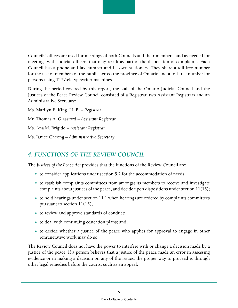<span id="page-10-0"></span>Councils' offices are used for meetings of both Councils and their members, and as needed for meetings with judicial officers that may result as part of the disposition of complaints. Each Council has a phone and fax number and its own stationery. They share a toll-free number for the use of members of the public across the province of Ontario and a toll-free number for persons using TTY/teletypewriter machines.

During the period covered by this report, the staff of the Ontario Judicial Council and the Justices of the Peace Review Council consisted of a Registrar, two Assistant Registrars and an Administrative Secretary:

Ms. Marilyn E. King, LL.B. – *Registrar* Mr. Thomas A. Glassford – *Assistant Registrar* Ms. Ana M. Brigido – *Assistant Registrar* Ms. Janice Cheong – *Administrative Secretary*

# *4. FUNCTIONS OF THE REVIEW COUNCIL*

The *Justices of the Peace Act* provides that the functions of the Review Council are:

- $\bullet$  to consider applications under section 5.2 for the accommodation of needs;
- to establish complaints committees from amongst its members to receive and investigate complaints about justices of the peace, and decide upon dispositions under section 11(15);
- $\bullet$  to hold hearings under section 11.1 when hearings are ordered by complaints committees pursuant to section 11(15);
- to review and approve standards of conduct;
- $\bullet$  to deal with continuing education plans; and,
- to decide whether a justice of the peace who applies for approval to engage in other remunerative work may do so.

The Review Council does not have the power to interfere with or change a decision made by a justice of the peace. If a person believes that a justice of the peace made an error in assessing evidence or in making a decision on any of the issues, the proper way to proceed is through other legal remedies before the courts, such as an appeal.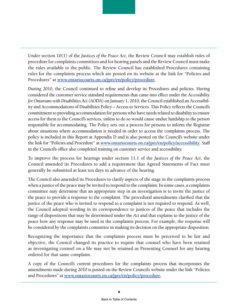Under section 10(1) of the *Justices of the Peace Act*, the Review Council may establish rules of procedure for complaints committees and for hearing panels and the Review Council must make the rules available to the public. The Review Council has established Procedures containing rules for the complaints process which are posted on its website at the link for "Policies and Procedures" at **[www.ontariocourts.on.ca/jprc/en/policy/procedure.](www.ontariocourts.on.ca/jprc/en/policy/procedure)**

During 2010, the Council continued to refine and develop its Procedures and policies. Having considered the customer service standard requirements that came into effect under the *Accessibility for Ontarians with Disabilities Act* (*AODA*) on January 1, 2010, the Council established an Accessibility and Accommodations of Disabilities Policy – Access to Services. This Policy reflects the Council's commitment to providing accommodation for persons who have needs related to disability to ensure access for them to the Council's services, unless to do so would cause undue hardship to the person responsible for accommodating. The Policy sets out a process for persons to inform the Registrar about situations where accommodation is needed in order to access the complaints process. The policy is included in this Report at Appendix D and is also posted on the Council's website under the link for "Policies and Procedure" at **[www.ontariocourts.on.ca/jprc/en/policy/accessibility](http://www.ontariocourts.on.ca/jprc/en/policy/accessibility)**. Staff in the Council's office also completed training on customer service and accessibility.

To improve the process for hearings under section 11.1 of the *Justices of the Peace Act*, the Council amended its Procedures to add a requirement that Agreed Statements of Fact must generally be submitted at least ten days in advance of the hearing.

The Council also amended its Procedures to clarify aspects of the stage in the complaints process when a justice of the peace may be invited to respond to the complaint. In some cases, a complaints committee may determine that an appropriate step in an investigation is to invite the justice of the peace to provide a response to the complaint. The procedural amendments clarified that the justice of the peace who is invited to respond to a complaint is not required to respond. As well, the Council adopted wording in its correspondence to justices of the peace that includes the range of dispositions that may be determined under the *Act* and that explains to the justice of the peace how any response may be used in the complaints process. For example, the response will be considered by the complaints committee in making its decision on the appropriate disposition.

Recognizing the importance that the complaints process must be perceived to be fair and objective, the Council changed its practice to require that counsel who have been retained as investigating counsel on a file may not be retained as Presenting Counsel for any hearing ordered for that same complaint.

A copy of the Council's current procedures for the complaints process that incorporates the amendments made during 2010 is posted on the Review Council's website under the link "Policies and Procedures" at **[www.ontariocourts.on.ca/jprc/en/policy/procedure.](http://www.ontariocourts.on.ca/jprc/en/policy/procedure)**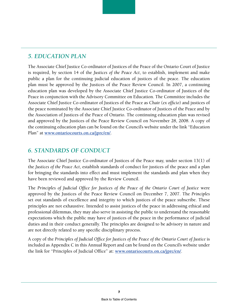# <span id="page-12-0"></span>*5. EDUCATION PLAN*

The Associate Chief Justice Co-ordinator of Justices of the Peace of the Ontario Court of Justice is required, by section 14 of the *Justices of the Peace Act*, to establish, implement and make public a plan for the continuing judicial education of justices of the peace. The education plan must be approved by the Justices of the Peace Review Council. In 2007, a continuing education plan was developed by the Associate Chief Justice Co-ordinator of Justices of the Peace in conjunction with the Advisory Committee on Education. The Committee includes the Associate Chief Justice Co-ordinator of Justices of the Peace as Chair (*ex officio*) and justices of the peace nominated by the Associate Chief Justice Co-ordinator of Justices of the Peace and by the Association of Justices of the Peace of Ontario. The continuing education plan was revised and approved by the Justices of the Peace Review Council on November 28, 2008. A copy of the continuing education plan can be found on the Council's website under the link "Education Plan" at **[www.ontariocourts.on.ca/jprc/en/](http://www.ontariocourts.on.ca/jprc/en/)**.

# *6. STANDARDS OF CONDUCT*

The Associate Chief Justice Co-ordinator of Justices of the Peace may, under section 13(1) of the *Justices of the Peace Act*, establish standards of conduct for justices of the peace and a plan for bringing the standards into effect and must implement the standards and plan when they have been reviewed and approved by the Review Council.

The *Principles of Judicial Office for Justices of the Peace of the Ontario Court of Justice* were approved by the Justices of the Peace Review Council on December 7, 2007. The *Principles*  set out standards of excellence and integrity to which justices of the peace subscribe. These principles are not exhaustive. Intended to assist justices of the peace in addressing ethical and professional dilemmas, they may also serve in assisting the public to understand the reasonable expectations which the public may have of justices of the peace in the performance of judicial duties and in their conduct generally. The principles are designed to be advisory in nature and are not directly related to any specific disciplinary process.

A copy of the *Principles of Judicial Office for Justices of the Peace of the Ontario Court of Justice* is included as Appendix C in this Annual Report and can be found on the Council's website under the link for "Principles of Judicial Office" at: **[www.ontariocourts.on.ca/jprc/en/](http://www.ontariocourts.on.ca/jprc/en/)**.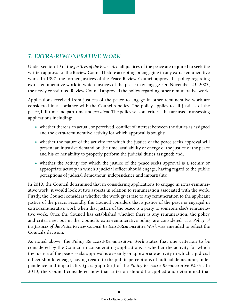# <span id="page-13-0"></span>*7. EXTRA-REMUNERATIVE WORK*

Under section 19 of the *Justices of the Peace Act*, all justices of the peace are required to seek the written approval of the Review Council before accepting or engaging in any extra-remunerative work. In 1997, the former Justices of the Peace Review Council approved a policy regarding extra-remunerative work in which justices of the peace may engage. On November 23, 2007, the newly constituted Review Council approved the policy regarding other remunerative work.

Applications received from justices of the peace to engage in other remunerative work are considered in accordance with the Council's policy. The policy applies to all justices of the peace, full-time and part-time and *per diem*. The policy sets out criteria that are used in assessing applications including:

- whether there is an actual, or perceived, conflict of interest between the duties as assigned and the extra-remunerative activity for which approval is sought;
- $\bullet$  whether the nature of the activity for which the justice of the peace seeks approval will present an intrusive demand on the time, availability or energy of the justice of the peace and his or her ability to properly perform the judicial duties assigned; and,
- whether the activity for which the justice of the peace seeks approval is a seemly or appropriate activity in which a judicial officer should engage, having regard to the public perceptions of judicial demeanour, independence and impartiality.

In 2010, the Council determined that in considering applications to engage in extra-remunerative work, it would look at two aspects in relation to remuneration associated with the work. Firstly, the Council considers whether the work gives rise to any remuneration to the applicant justice of the peace. Secondly, the Council considers that a justice of the peace is engaged in extra-remunerative work when that justice of the peace is a party to someone else's remunerative work. Once the Council has established whether there is any remuneration, the policy and criteria set out in the Council's extra-remunerative policy are considered. *The Policy of the Justices of the Peace Review Council Re Extra-Remunerative Work* was amended to reflect the Council's decision.

As noted above, the *Policy Re Extra-Remunerative Work* states that one criterion to be considered by the Council in considerating applications is whether the activity for which the justice of the peace seeks approval is a seemly or appropriate activity in which a judicial officer should engage, having regard to the public perceptions of judicial demeanour, independence and impartiality (paragraph 6(c) of the *Policy Re Extra-Remunerative Work*). In 2010, the Council considered how that criterion should be applied and determined that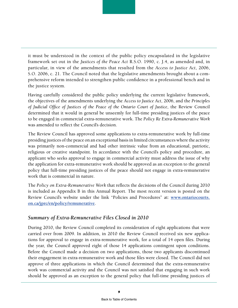<span id="page-14-0"></span>it must be understood in the context of the public policy encapsulated in the legislative framework set out in the *Justices of the Peace Act* R.S.O. 1990, c. J.4, as amended and, in particular, in view of the amendments that resulted from the *Access to Justice Act*, 2006, S.O. 2006, c. 21. The Council noted that the legislative amendments brought about a comprehensive reform intended to strengthen public confidence in a professional bench and in the justice system.

Having carefully considered the public policy underlying the current legislative framework, the objectives of the amendments underlying the *Access to Justice Act*, 2006, and the *Principles of Judicial Office of Justices of the Peace of the Ontario Court of Justice*, the Review Council determined that it would in general be unseemly for full-time presiding justices of the peace to be engaged in commercial extra-remunerative work. The *Policy Re Extra-Remunerative Work* was amended to reflect the Council's decision.

The Review Council has approved some applications to extra-remunerative work by full-time presiding justices of the peace on an exceptional basis in limited circumstances where the activity was primarily non-commercial and had other intrinsic value from an educational, patriotic, religious or creative standpoint. In accordance with the Council's policy and procedure, an applicant who seeks approval to engage in commercial activity must address the issue of why the application for extra-remunerative work should be approved as an exception to the general policy that full-time presiding justices of the peace should not engage in extra-remunerative work that is commercial in nature.

The *Policy on Extra-Remunerative Work* that reflects the decisions of the Council during 2010 is included as Appendix B in this Annual Report. The most recent version is posted on the Review Council's website under the link "Policies and Procedures" at: **[www.ontariocourts.](http://www.ontariocourts.on.ca/jprc/en/policy/remunerative) [on.ca/jprc/en/policy/remunerative](http://www.ontariocourts.on.ca/jprc/en/policy/remunerative)**.

#### *Summary of Extra-Remunerative Files Closed in 2010*

During 2010, the Review Council completed its consideration of eight applications that were carried over from 2009. In addition, in 2010 the Review Council received six new applications for approval to engage in extra-remunerative work, for a total of 14 open files. During the year, the Council approved eight of those 14 applications contingent upon conditions. Before the Council made a decision on two applications, those two applicants discontinued their engagement in extra-remunerative work and those files were closed. The Council did not approve of three applications in which the Council determined that the extra-remunerative work was commercial activity and the Council was not satisfied that engaging in such work should be approved as an exception to the general policy that full-time presiding justices of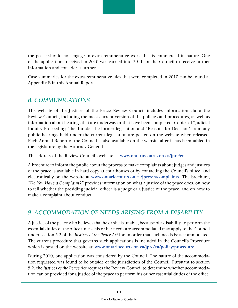<span id="page-15-0"></span>

Case summaries for the extra-remunerative files that were completed in 2010 can be found at Appendix B in this Annual Report.

### *8. COMMUNICATIONS*

The website of the Justices of the Peace Review Council includes information about the Review Council, including the most current version of the policies and procedures, as well as information about hearings that are underway or that have been completed. Copies of "Judicial Inquiry Proceedings" held under the former legislation and "Reasons for Decision" from any public hearings held under the current legislation are posted on the website when released. Each Annual Report of the Council is also available on the website after it has been tabled in the legislature by the Attorney General.

The address of the Review Council's website is: **[www.ontariocourts.on.ca/jprc/en](http://www.ontariocourts.on.ca/jprc/en)**.

A brochure to inform the public about the process to make complaints about judges and justices of the peace is available in hard copy at courthouses or by contacting the Council's office, and electronically on the website at **<www.ontariocourts.on.ca/jprc/en/complaints>.** The brochure, *"Do You Have a Complaint?"* provides information on what a justice of the peace does, on how to tell whether the presiding judicial officer is a judge or a justice of the peace, and on how to make a complaint about conduct.

# *9. ACCOMMODATION OF NEEDS ARISING FROM A DISABILITY*

A justice of the peace who believes that he or she is unable, because of a disability, to perform the essential duties of the office unless his or her needs are accommodated may apply to the Council under section 5.2 of the *Justices of the Peace Act* for an order that such needs be accommodated. The current procedure that governs such applications is included in the Council's Procedure which is posted on the website at: **[www.ontariocourts.on.ca/jprc/](http://www.ontariocourts.on.ca/jprc/en/policy/procedure)**en**/policy/procedure.**

During 2010, one application was considered by the Council. The nature of the accommodation requested was found to be outside of the jurisdiction of the Council. Pursuant to section 5.2, the *Justices of the Peace Act* requires the Review Council to determine whether accommodation can be provided for a justice of the peace to perform his or her essential duties of the office.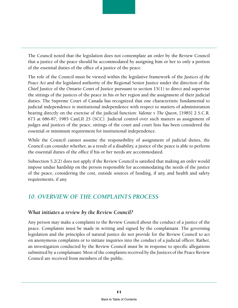<span id="page-16-0"></span>

The role of the Council must be viewed within the legislative framework of the *Justices of the Peace Act* and the legislated authority of the Regional Senior Justice under the direction of the Chief Justice of the Ontario Court of Justice pursuant to section  $15(1)$  to direct and supervise the sittings of the justices of the peace in his or her region and the assignment of their judicial duties. The Supreme Court of Canada has recognized that one characteristic fundamental to judicial independence is institutional independence with respect to matters of administration bearing directly on the exercise of the judicial function: *Valente v The Queen*, [1985] 2 S.C.R. 673 at 686-87; 1985 CanLII 25 (SCC). Judicial control over such matters as assignment of judges and justices of the peace, sittings of the court and court lists has been considered the essential or minimum requirement for institutional independence.

While the Council cannot assume the responsibility of assignment of judicial duties, the Council can consider whether, as a result of a disability, a justice of the peace is able to perform the essential duties of the office if his or her needs are accommodated.

Subsection 5.2(2) does not apply if the Review Council is satisfied that making an order would impose undue hardship on the person responsible for accommodating the needs of the justice of the peace, considering the cost, outside sources of funding, if any, and health and safety requirements, if any.

# *10. OVERVIEW OF THE COMPLAINTS PROCESS*

#### *What initiates a review by the Review Council?*

Any person may make a complaint to the Review Council about the conduct of a justice of the peace. Complaints must be made in writing and signed by the complainant. The governing legislation and the principles of natural justice do not provide for the Review Council to act on anonymous complaints or to initiate inquiries into the conduct of a judicial officer. Rather, an investigation conducted by the Review Council must be in response to specific allegations submitted by a complainant. Most of the complaints received by the Justices of the Peace Review Council are received from members of the public.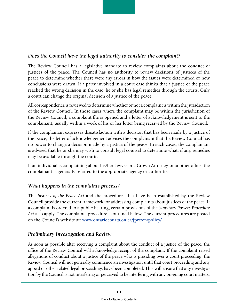

The Review Council has a legislative mandate to review complaints about the **conduct** of justices of the peace. The Council has no authority to review **decisions** of justices of the peace to determine whether there were any errors in how the issues were determined or how conclusions were drawn. If a party involved in a court case thinks that a justice of the peace reached the wrong decision in the case, he or she has legal remedies through the courts. Only a court can change the original decision of a justice of the peace.

All correspondence is reviewed to determine whether or not a complaint is within the jurisdiction of the Review Council. In those cases where the complaint may be within the jurisdiction of the Review Council, a complaint file is opened and a letter of acknowledgement is sent to the complainant, usually within a week of his or her letter being received by the Review Council.

If the complainant expresses dissatisfaction with a decision that has been made by a justice of the peace, the letter of acknowledgement advises the complainant that the Review Council has no power to change a decision made by a justice of the peace. In such cases, the complainant is advised that he or she may wish to consult legal counsel to determine what, if any, remedies may be available through the courts.

If an individual is complaining about his/her lawyer or a Crown Attorney, or another office, the complainant is generally referred to the appropriate agency or authorities.

#### *What happens in the complaints process?*

The *Justices of the Peace Act* and the procedures that have been established by the Review Council provide the current framework for addressing complaints about justices of the peace. If a complaint is ordered to a public hearing, certain provisions of the *Statutory Powers Procedure Act* also apply. The complaints procedure is outlined below. The current procedures are posted on the Council's website at: **[www.ontariocourts.on.ca/jprc/en/policy/.](http://www.ontariocourts.on.ca/jprc/en/policy/)**

#### *Preliminary Investigation and Review*

As soon as possible after receiving a complaint about the conduct of a justice of the peace, the office of the Review Council will acknowledge receipt of the complaint. If the complaint raised allegations of conduct about a justice of the peace who is presiding over a court proceeding, the Review Council will not generally commence an investigation until that court proceeding and any appeal or other related legal proceedings have been completed. This will ensure that any investigation by the Council is not interfering or perceived to be interfering with any on-going court matters.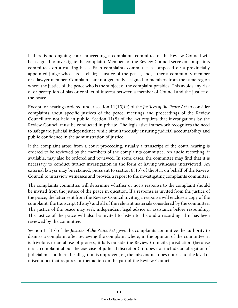If there is no ongoing court proceeding, a complaints committee of the Review Council will be assigned to investigate the complaint. Members of the Review Council serve on complaints committees on a rotating basis. Each complaints committee is composed of: a provincially appointed judge who acts as chair; a justice of the peace; and, either a community member or a lawyer member. Complaints are not generally assigned to members from the same region where the justice of the peace who is the subject of the complaint presides. This avoids any risk of or perception of bias or conflict of interest between a member of Council and the justice of the peace.

Except for hearings ordered under section 11(15)(c) of the *Justices of the Peace Act* to consider complaints about specific justices of the peace, meetings and proceedings of the Review Council are not held in public. Section 11(8) of the *Act* requires that investigations by the Review Council must be conducted in private. The legislative framework recognizes the need to safeguard judicial independence while simultaneously ensuring judicial accountability and public confidence in the administration of justice.

If the complaint arose from a court proceeding, usually a transcript of the court hearing is ordered to be reviewed by the members of the complaints committee. An audio recording, if available, may also be ordered and reviewed. In some cases, the committee may find that it is necessary to conduct further investigation in the form of having witnesses interviewed. An external lawyer may be retained, pursuant to section 8(15) of the *Act*, on behalf of the Review Council to interview witnesses and provide a report to the investigating complaints committee.

The complaints committee will determine whether or not a response to the complaint should be invited from the justice of the peace in question. If a response is invited from the justice of the peace, the letter sent from the Review Council inviting a response will enclose a copy of the complaint, the transcript (if any) and all of the relevant materials considered by the committee. The justice of the peace may seek independent legal advice or assistance before responding. The justice of the peace will also be invited to listen to the audio recording, if it has been reviewed by the committee.

Section 11(15) of the *Justices of the Peace Act* gives the complaints committee the authority to dismiss a complaint after reviewing the complaint where, in the opinion of the committee: it is frivolous or an abuse of process; it falls outside the Review Council's jurisdiction (because it is a complaint about the exercise of judicial discretion); it does not include an allegation of judicial misconduct; the allegation is unproven; or, the misconduct does not rise to the level of misconduct that requires further action on the part of the Review Council.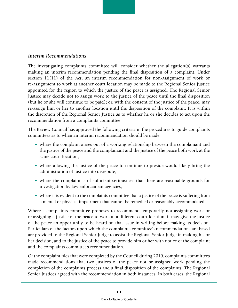#### *Interim Recommendations*

The investigating complaints committee will consider whether the allegation(s) warrants making an interim recommendation pending the final disposition of a complaint. Under section 11(11) of the *Act*, an interim recommendation for non-assignment of work or re-assignment to work at another court location may be made to the Regional Senior Justice appointed for the region to which the justice of the peace is assigned. The Regional Senior Justice may decide not to assign work to the justice of the peace until the final disposition (but he or she will continue to be paid); or, with the consent of the justice of the peace, may re-assign him or her to another location until the disposition of the complaint. It is within the discretion of the Regional Senior Justice as to whether he or she decides to act upon the recommendation from a complaints committee.

The Review Council has approved the following criteria in the procedures to guide complaints committees as to when an interim recommendation should be made:

- where the complaint arises out of a working relationship between the complainant and the justice of the peace and the complainant and the justice of the peace both work at the same court location;
- where allowing the justice of the peace to continue to preside would likely bring the administration of justice into disrepute;
- where the complaint is of sufficient seriousness that there are reasonable grounds for investigation by law enforcement agencies;
- $\bullet$  where it is evident to the complaints committee that a justice of the peace is suffering from a mental or physical impairment that cannot be remedied or reasonably accommodated.

Where a complaints committee proposes to recommend temporarily not assigning work or re-assigning a justice of the peace to work at a different court location, it may give the justice of the peace an opportunity to be heard on that issue in writing before making its decision. Particulars of the factors upon which the complaints committee's recommendations are based are provided to the Regional Senior Judge to assist the Regional Senior Judge in making his or her decision, and to the justice of the peace to provide him or her with notice of the complaint and the complaints committee's recommendation.

Of the complaint files that were completed by the Council during 2010, complaints committees made recommendations that two justices of the peace not be assigned work pending the completion of the complaints process and a final disposition of the complaints. The Regional Senior Justices agreed with the recommendation in both instances. In both cases, the Regional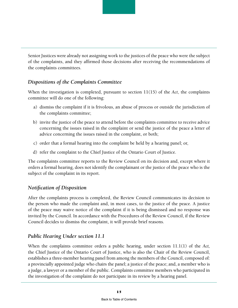Senior Justices were already not assigning work to the justices of the peace who were the subject of the complaints, and they affirmed those decisions after receiving the recommendations of the complaints committees.

#### *Dispositions of the Complaints Committee*

When the investigation is completed, pursuant to section 11(15) of the *Act*, the complaints committee will do one of the following:

- a) dismiss the complaint if it is frivolous, an abuse of process or outside the jurisdiction of the complaints committee;
- b) invite the justice of the peace to attend before the complaints committee to receive advice concerning the issues raised in the complaint or send the justice of the peace a letter of advice concerning the issues raised in the complaint, or both;
- c) order that a formal hearing into the complaint be held by a hearing panel; or,
- d) refer the complaint to the Chief Justice of the Ontario Court of Justice.

The complaints committee reports to the Review Council on its decision and, except where it orders a formal hearing, does not identify the complainant or the justice of the peace who is the subject of the complaint in its report.

#### *Notification of Disposition*

After the complaints process is completed, the Review Council communicates its decision to the person who made the complaint and, in most cases, to the justice of the peace. A justice of the peace may waive notice of the complaint if it is being dismissed and no response was invited by the Council. In accordance with the Procedures of the Review Council, if the Review Council decides to dismiss the complaint, it will provide brief reasons.

#### *Public Hearing Under section 11.1*

When the complaints committee orders a public hearing, under section 11.1(1) of the *Act,*  the Chief Justice of the Ontario Court of Justice, who is also the Chair of the Review Council, establishes a three-member hearing panel from among the members of the Council, composed of: a provincially appointed judge who chairs the panel; a justice of the peace; and, a member who is a judge, a lawyer or a member of the public. Complaints committee members who participated in the investigation of the complaint do not participate in its review by a hearing panel.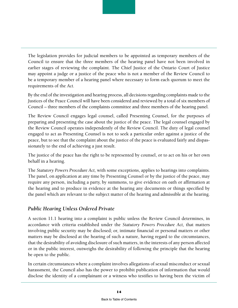The legislation provides for judicial members to be appointed as temporary members of the Council to ensure that the three members of the hearing panel have not been involved in earlier stages of reviewing the complaint. The Chief Justice of the Ontario Court of Justice may appoint a judge or a justice of the peace who is not a member of the Review Council to be a temporary member of a hearing panel where necessary to form each quorum to meet the requirements of the *Act.*

By the end of the investigation and hearing process, all decisions regarding complaints made to the Justices of the Peace Council will have been considered and reviewed by a total of six members of Council – three members of the complaints committee and three members of the hearing panel.

The Review Council engages legal counsel, called Presenting Counsel, for the purposes of preparing and presenting the case about the justice of the peace. The legal counsel engaged by the Review Council operates independently of the Review Council. The duty of legal counsel engaged to act as Presenting Counsel is not to seek a particular order against a justice of the peace, but to see that the complaint about the justice of the peace is evaluated fairly and dispassionately to the end of achieving a just result.

The justice of the peace has the right to be represented by counsel, or to act on his or her own behalf in a hearing.

The *Statutory Powers Procedure Act,* with some exceptions, applies to hearings into complaints. The panel, on application at any time by Presenting Counsel or by the justice of the peace, may require any person, including a party, by summons, to give evidence on oath or affirmation at the hearing and to produce in evidence at the hearing any documents or things specified by the panel which are relevant to the subject matter of the hearing and admissible at the hearing.

#### *Public Hearing Unless Ordered Private*

A section 11.1 hearing into a complaint is public unless the Review Council determines, in accordance with criteria established under the *Statutory Powers Procedure Act,* that matters involving public security may be disclosed; or, intimate financial or personal matters or other matters may be disclosed at the hearing of such a nature, having regard to the circumstances, that the desirability of avoiding disclosure of such matters, in the interests of any person affected or in the public interest, outweighs the desirability of following the principle that the hearing be open to the public.

In certain circumstances where a complaint involves allegations of sexual misconduct or sexual harassment, the Council also has the power to prohibit publication of information that would disclose the identity of a complainant or a witness who testifies to having been the victim of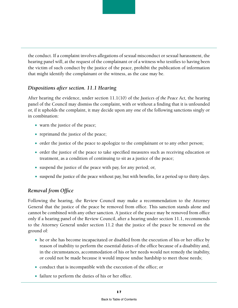the conduct. If a complaint involves allegations of sexual misconduct or sexual harassment, the hearing panel will, at the request of the complainant or of a witness who testifies to having been the victim of such conduct by the justice of the peace, prohibit the publication of information that might identify the complainant or the witness, as the case may be.

#### *Dispositions after section. 11.1 Hearing*

After hearing the evidence, under section 11.1(10) of the *Justices of the Peace Act,* the hearing panel of the Council may dismiss the complaint, with or without a finding that it is unfounded or, if it upholds the complaint, it may decide upon any one of the following sanctions singly or in combination:

- $\bullet$  warn the justice of the peace;
- $\bullet$  reprimand the justice of the peace;
- order the justice of the peace to apologize to the complainant or to any other person;
- order the justice of the peace to take specified measures such as receiving education or treatment, as a condition of continuing to sit as a justice of the peace;
- $\bullet$  suspend the justice of the peace with pay, for any period; or,
- $\bullet$  suspend the justice of the peace without pay, but with benefits, for a period up to thirty days.

#### *Removal from Office*

Following the hearing, the Review Council may make a recommendation to the Attorney General that the justice of the peace be removed from office. This sanction stands alone and cannot be combined with any other sanction. A justice of the peace may be removed from office only if a hearing panel of the Review Council, after a hearing under section 11.1, recommends to the Attorney General under section 11.2 that the justice of the peace be removed on the ground of:

- he or she has become incapacitated or disabled from the execution of his or her office by reason of inability to perform the essential duties of the office because of a disability and, in the circumstances, accommodation of his or her needs would not remedy the inability, or could not be made because it would impose undue hardship to meet those needs;
- conduct that is incompatible with the execution of the office; or
- $\bullet$  failure to perform the duties of his or her office.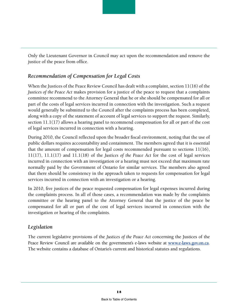Only the Lieutenant Governor in Council may act upon the recommendation and remove the justice of the peace from office.

#### *Recommendation of Compensation for Legal Costs*

When the Justices of the Peace Review Council has dealt with a complaint, section 11(16) of the *Justices of the Peace Act* makes provision for a justice of the peace to request that a complaints committee recommend to the Attorney General that he or she should be compensated for all or part of the costs of legal services incurred in connection with the investigation. Such a request would generally be submitted to the Council after the complaints process has been completed, along with a copy of the statement of account of legal services to support the request. Similarly, section 11.1(17) allows a hearing panel to recommend compensation for all or part of the cost of legal services incurred in connection with a hearing.

During 2010, the Council reflected upon the broader fiscal environment, noting that the use of public dollars requires accountability and containment. The members agreed that it is essential that the amount of compensation for legal costs recommended pursuant to sections  $11(16)$ , 11(17), 11.1(17) and 11.1(18) of the *Justices of the Peace Act* for the cost of legal services incurred in connection with an investigation or a hearing must not exceed that maximum rate normally paid by the Government of Ontario for similar services. The members also agreed that there should be consistency in the approach taken to requests for compensation for legal services incurred in connection with an investigation or a hearing.

In 2010, five justices of the peace requested compensation for legal expenses incurred during the complaints process. In all of those cases, a recommendation was made by the complaints committee or the hearing panel to the Attorney General that the justice of the peace be compensated for all or part of the cost of legal services incurred in connection with the investigation or hearing of the complaints.

#### *Legislation*

The current legislative provisions of the *Justices of the Peace Act* concerning the Justices of the Peace Review Council are available on the government's e-laws website at **[www.e-laws.gov.on.ca](http://www.e-laws.gov.on.ca)**. The website contains a database of Ontario's current and historical statutes and regulations.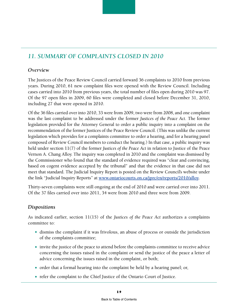# <span id="page-24-0"></span>*11. SUMMARY OF COMPLAINTS CLOSED IN 2010*

#### *Overview*

The Justices of the Peace Review Council carried forward 36 complaints to 2010 from previous years. During 2010, 61 new complaint files were opened with the Review Council. Including cases carried into 2010 from previous years, the total number of files open during 2010 was 97. Of the 97 open files in 2009, 60 files were completed and closed before December 31, 2010, including 27 that were opened in 2010.

Of the 36 files carried over into 2010, 33 were from 2009, two were from 2008, and one complaint was the last complaint to be addressed under the former *Justices of the Peace Act*. The former legislation provided for the Attorney General to order a public inquiry into a complaint on the recommendation of the former Justices of the Peace Review Council. (This was unlike the current legislation which provides for a complaints committee to order a hearing, and for a hearing panel composed of Review Council members to conduct the hearing.) In that case, a public inquiry was held under section 11(7) of the former *Justices of the Peace Act* in relation to Justice of the Peace Vernon A. Chang Alloy. The inquiry was completed in 2010 and the complaint was dismissed by the Commissioner who found that the standard of evidence required was "clear and convincing, based on cogent evidence accepted by the tribunal" and that the evidence in that case did not meet that standard. The Judicial Inquiry Report is posted on the Review Council's website under the link "Judicial Inquiry Reports" at **[www.ontariocourts.on.ca/jprc/en/reports/2010/alloy.](http://www.ontariocourts.on.ca/jprc/en/reports/2010/alloy)**

Thirty-seven complaints were still ongoing at the end of 2010 and were carried over into 2011. Of the 37 files carried over into 2011, 34 were from 2010 and three were from 2009.

#### *Dispositions*

As indicated earlier, section 11(15) of the *Justices of the Peace Act* authorizes a complaints committee to:

- dismiss the complaint if it was frivolous, an abuse of process or outside the jurisdiction of the complaints committee;
- $\bullet$  invite the justice of the peace to attend before the complaints committee to receive advice concerning the issues raised in the complaint or send the justice of the peace a letter of advice concerning the issues raised in the complaint, or both;
- $\bullet$  order that a formal hearing into the complaint be held by a hearing panel; or,
- refer the complaint to the Chief Justice of the Ontario Court of Justice.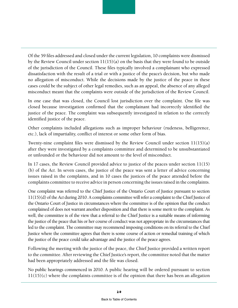Of the 59 files addressed and closed under the current legislation, 10 complaints were dismissed by the Review Council under section 11(15)(a) on the basis that they were found to be outside of the jurisdiction of the Council. These files typically involved a complainant who expressed dissatisfaction with the result of a trial or with a justice of the peace's decision, but who made no allegation of misconduct. While the decisions made by the justice of the peace in these cases could be the subject of other legal remedies, such as an appeal, the absence of any alleged misconduct meant that the complaints were outside of the jurisdiction of the Review Council.

In one case that was closed, the Council lost jurisdiction over the complaint. One file was closed because investigation confirmed that the complainant had incorrectly identified the justice of the peace. The complaint was subsequently investigated in relation to the correctly identified justice of the peace.

Other complaints included allegations such as improper behaviour (rudeness, belligerence, etc.), lack of impartiality, conflict of interest or some other form of bias.

Twenty-nine complaint files were dismissed by the Review Council under section 11(15)(a) after they were investigated by a complaints committee and determined to be unsubstantiated or unfounded or the behaviour did not amount to the level of misconduct.

In 17 cases, the Review Council provided advice to justice of the peaces under section 11(15) (b) of the *Act*. In seven cases, the justice of the peace was sent a letter of advice concerning issues raised in the complaints, and in 10 cases the justices of the peace attended before the complaints committee to receive advice in person concerning the issues raised in the complaints.

One complaint was referred to the Chief Justice of the Ontario Court of Justice pursuant to section 11(15)(d) of the *Act* during 2010. A complaints committee will refer a complaint to the Chief Justice of the Ontario Court of Justice in circumstances where the committee is of the opinion that the conduct complained of does not warrant another disposition and that there is some merit to the complaint. As well, the committee is of the view that a referral to the Chief Justice is a suitable means of informing the justice of the peace that his or her course of conduct was not appropriate in the circumstances that led to the complaint. The committee may recommend imposing conditions on its referral to the Chief Justice where the committee agrees that there is some course of action or remedial training of which the justice of the peace could take advantage and the justice of the peace agrees.

Following the meeting with the justice of the peace, the Chief Justice provided a written report to the committee. After reviewing the Chief Justice's report, the committee noted that the matter had been appropriately addressed and the file was closed.

No public hearings commenced in 2010. A public hearing will be ordered pursuant to section 11(15)(c) where the complaints committee is of the opinion that there has been an allegation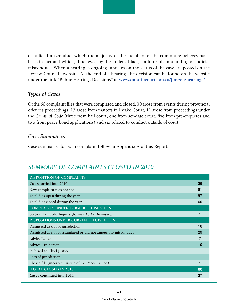of judicial misconduct which the majority of the members of the committee believes has a basis in fact and which, if believed by the finder of fact, could result in a finding of judicial misconduct. When a hearing is ongoing, updates on the status of the case are posted on the Review Council's website. At the end of a hearing, the decision can be found on the website under the link "Public Hearings Decisions" at **[www.ontariocourts.on.ca/jprc/en/hearings/](http://www.ontariocourts.on.ca/jprc/en/hearings/)**.

#### *Types of Cases*

Of the 60 complaint files that were completed and closed, 30 arose from events during provincial offences proceedings, 13 arose from matters in Intake Court, 11 arose from proceedings under the *Criminal Code* (three from bail court, one from set-date court, five from pre-enquêtes and two from peace bond applications) and six related to conduct outside of court.

#### *Case Summaries*

Case summaries for each complaint follow in Appendix A of this Report.

# *SUMMARY OF COMPLAINTS CLOSED IN 2010*

| <b>DISPOSITION OF COMPLAINTS</b>                               |  |  |  |
|----------------------------------------------------------------|--|--|--|
| Cases carried into 2010                                        |  |  |  |
| New complaint files opened                                     |  |  |  |
| Total files open during the year                               |  |  |  |
| Total files closed during the year                             |  |  |  |
| <b>COMPLAINTS UNDER FORMER LEGISLATION</b>                     |  |  |  |
| Section 12 Public Inquiry (former Act) - Dismissed             |  |  |  |
| DISPOSITIONS UNDER CURRENT LEGISLATION                         |  |  |  |
| Dismissed as out of jurisdiction                               |  |  |  |
| Dismissed as not substantiated or did not amount to misconduct |  |  |  |
| Advice Letter                                                  |  |  |  |
| Advice - In-person                                             |  |  |  |
| Referred to Chief Justice                                      |  |  |  |
| Loss of jurisdiction                                           |  |  |  |
| Closed file (incorrect Justice of the Peace named)             |  |  |  |
| <b>TOTAL CLOSED IN 2010</b>                                    |  |  |  |
| Cases continued into 2011                                      |  |  |  |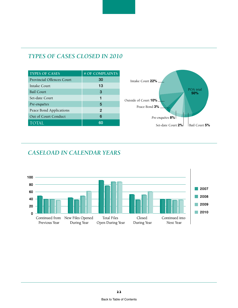| <b>TYPES OF CASES</b>            | # OF COMPLAINTS |
|----------------------------------|-----------------|
| <b>Provincial Offences Court</b> | 30              |
| Intake Court                     | 13              |
| <b>Bail Court</b>                | 3               |
| Set-date Court                   | 1               |
| Pre-enquêtes                     | 5               |
| Peace Bond Applications          | 2               |
| Out of Court Conduct             | 6               |
| <b>TOTAL</b>                     | 60              |

# *TYPES OF CASES CLOSED IN 2010*



# *CASELOAD IN CALENDAR YEARS*

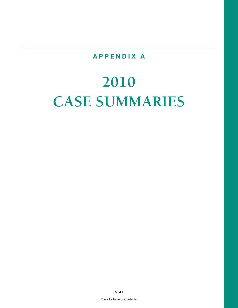# **APPENDIX A**

# <span id="page-28-0"></span>**2010 CASE SUMMARIES**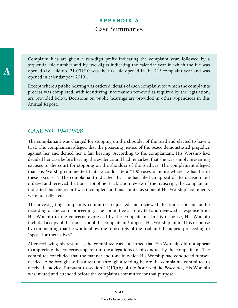A

Complaint files are given a two-digit prefix indicating the complaint year, followed by a sequential file number and by two digits indicating the calendar year in which the file was opened (i.e., file no. 21-001/10 was the first file opened in the  $21<sup>st</sup>$  complaint year and was opened in calendar year 2010).

Except where a public hearing was ordered, details of each complaint for which the complaints process was completed, with identifying information removed as required by the legislation, are provided below. Decisions on public hearings are provided in other appendices in this Annual Report.

# *CASE NO. 19-019/08*

The complainant was charged for stopping on the shoulder of the road and elected to have a trial. The complainant alleged that the presiding justice of the peace demonstrated prejudice against her and denied her a fair hearing. According to the complainant, His Worship had decided her case before hearing the evidence and had remarked that she was simply presenting excuses to the court for stopping on the shoulder of the roadway. The complainant alleged that His Worship commented that he could cite a "100 cases or more where he has heard these 'excuses'". The complainant indicated that she had filed an appeal of the decision and ordered and received the transcript of her trial. Upon review of the transcript, the complainant indicated that the record was incomplete and inaccurate, as some of His Worship's comments were not reflected.

The investigating complaints committee requested and reviewed the transcript and audio recording of the court proceeding. The committee also invited and reviewed a response from His Worship to the concerns expressed by the complainant. In his response, His Worship included a copy of the transcript of the complainant's appeal. His Worship limited his response by commenting that he would allow the transcripts of the trial and the appeal proceeding to "speak for themselves".

After reviewing his response, the committee was concerned that His Worship did not appear to appreciate the concerns apparent in the allegations of misconduct by the complainant. The committee concluded that the manner and tone in which His Worship had conducted himself needed to be brought to his attention through attending before the complaints committee to receive its advice. Pursuant to section 11(15)(b) of the *Justices of the Peace Act*, His Worship was invited and attended before the complaints committee for that purpose.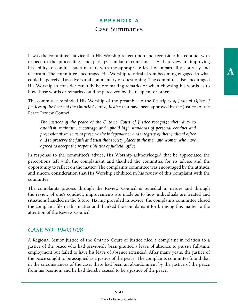It was the committee's advice that His Worship reflect upon and reconsider his conduct with respect to the proceeding, and perhaps similar circumstances, with a view to improving his ability to conduct such matters with the appropriate level of impartiality, courtesy and decorum. The committee encouraged His Worship to refrain from becoming engaged in what could be perceived as adversarial commentary or questioning. The committee also encouraged His Worship to consider carefully before making remarks or when choosing his words as to how those words or remarks could be perceived by the recipient or others.

The committee reminded His Worship of the preamble to the *Principles of Judicial Office of Justices of the Peace of the Ontario Court of Justice* that have been approved by the Justices of the Peace Review Council:

*The justices of the peace of the Ontario Court of Justice recognize their duty to establish, maintain, encourage and uphold high standards of personal conduct and professionalism so as to preserve the independence and integrity of their judicial office and to preserve the faith and trust that society places in the men and women who have agreed to accept the responsibilities of judicial office.* 

In response to the committee's advice, His Worship acknowledged that he appreciated the perceptions left with the complainant and thanked the committee for its advice and the opportunity to reflect on the matter. The complaints committee was encouraged by the attitude and sincere consideration that His Worship exhibited in his review of this complaint with the committee.

The complaints process through the Review Council is remedial in nature and through the review of one's conduct, improvements are made as to how individuals are treated and situations handled in the future. Having provided its advice, the complaints committee closed the complaint file in this matter and thanked the complainant for bringing this matter to the attention of the Review Council.

#### *CASE NO. 19-031/08*

A Regional Senior Justice of the Ontario Court of Justice filed a complaint in relation to a justice of the peace who had previously been granted a leave of absence to pursue full-time employment but failed to have his leave of absence extended. After many years, the justice of the peace sought to be assigned as a justice of the peace. The complaints committee found that in the circumstances of the case, there had been an abandonment by the justice of the peace from his position, and he had thereby ceased to be a justice of the peace.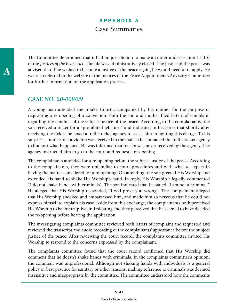The Committee determined that it had no jurisdiction to make an order under section 11(15) of the *Justices of the Peace Act*. The file was administratively closed. The justice of the peace was advised that if he wished to become a justice of the peace again, he would need to re-apply. He was also referred to the website of the Justices of the Peace Appointments Advisory Committee for further information on the application process.

#### *CASE NO. 20-008/09*

A young man attended the Intake Court accompanied by his mother for the purpose of requesting a re-opening of a conviction. Both the son and mother filed letters of complaint regarding the conduct of the subject justice of the peace. According to the complainants, the son received a ticket for a "prohibited left turn" and indicated in his letter that shortly after receiving the ticket, he faxed a traffic ticket agency to assist him in fighting this charge. To his surprise, a notice of conviction was received in the mail so he contacted the traffic ticket agency to find out what happened. He was informed that his fax was never received by the agency. The agency instructed him to go to the court and request a re-opening.

The complainants attended for a re-opening before the subject justice of the peace. According to the complainants, they were unfamiliar to court procedures and with what to expect in having the matter considered for a re-opening. On attending, the son greeted His Worship and extended his hand to shake His Worship's hand. In reply, His Worship allegedly commented "I do not shake hands with criminals". The son indicated that he stated "I am not a criminal." He alleged that His Worship responded, "I will prove you wrong". The complainant alleged that His Worship shocked and embarrassed him, and made him so nervous that he could not express himself to explain his case. Aside from this exchange, the complainants both perceived His Worship to be interruptive, intimidating and they perceived that he seemed to have decided the re-opening before hearing the application.

The investigating complaints committee reviewed both letters of complaint and requested and reviewed the transcript and audio recording of the complainants' appearance before the subject justice of the peace. After reviewing the court record, the complaints committee invited His Worship to respond to the concerns expressed by the complainant.

The complaints committee found that the court record confirmed that His Worship did comment that he doesn't shake hands with criminals. In the complaints committee's opinion, the comment was unprofessional. Although not shaking hands with individuals is a general policy or best practice for sanitary or other reasons, making reference to criminals was deemed insensitive and inappropriate by the committee. The committee understood how the comments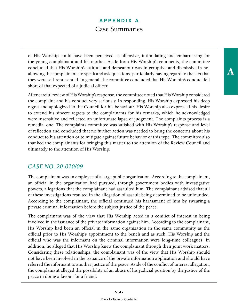of His Worship could have been perceived as offensive, intimidating and embarrassing for the young complainant and his mother. Aside from His Worship's comments, the committee concluded that His Worship's attitude and demeanour was interruptive and dismissive in not allowing the complainants to speak and ask questions, particularly having regard to the fact that they were self-represented. In general, the committee concluded that His Worship's conduct fell short of that expected of a judicial officer.

After careful review of His Worship's response, the committee noted that His Worship considered the complaint and his conduct very seriously. In responding, His Worship expressed his deep regret and apologized to the Council for his behaviour. His Worship also expressed his desire to extend his sincere regrets to the complainants for his remarks, which he acknowledged were insensitive and reflected an unfortunate lapse of judgment. The complaints process is a remedial one. The complaints committee was satisfied with His Worship's response and level of reflection and concluded that no further action was needed to bring the concerns about his conduct to his attention or to mitigate against future behavior of this type. The committee also thanked the complainants for bringing this matter to the attention of the Review Council and ultimately to the attention of His Worship.

# *CASE NO. 20-010/09*

The complainant was an employee of a large public organization. According to the complainant, an official in the organization had pursued, through government bodies with investigative powers, allegations that the complainant had assaulted him. The complainant advised that all of these investigations resulted in the allegation of assault being determined to be unfounded. According to the complainant, the official continued his harassment of him by swearing a private criminal information before the subject justice of the peace.

The complainant was of the view that His Worship acted in a conflict of interest in being involved in the issuance of the private information against him. According to the complainant, His Worship had been an official in the same organization in the same community as the official prior to His Worship's appointment to the bench and as such, His Worship and the official who was the informant on the criminal information were long-time colleagues. In addition, he alleged that His Worship knew the complainant through their joint work matters. Considering these relationships, the complainant was of the view that His Worship should not have been involved in the issuance of the private information application and should have referred the informant to another justice of the peace. Aside of the conflict of interest allegation, the complainant alleged the possibility of an abuse of his judicial position by the justice of the peace in doing a favour for a friend.

A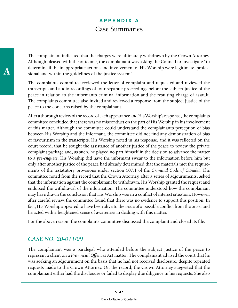The complainant indicated that the charges were ultimately withdrawn by the Crown Attorney. Although pleased with the outcome, the complainant was asking the Council to investigate "to determine if the inappropriate actions and involvement of His Worship were legitimate, professional and within the guidelines of the justice system".

The complaints committee reviewed the letter of complaint and requested and reviewed the transcripts and audio recordings of four separate proceedings before the subject justice of the peace in relation to the informant's criminal information and the resulting charge of assault. The complaints committee also invited and reviewed a response from the subject justice of the peace to the concerns raised by the complainant.

After a thorough review of the record of each appearance and His Worship's response, the complaints committee concluded that there was no misconduct on the part of His Worship in his involvement of this matter. Although the committee could understand the complainant's perception of bias between His Worship and the informant, the committee did not find any demonstration of bias or favouritism in the transcripts. His Worship noted in his response, and it was reflected on the court record, that he sought the assistance of another justice of the peace to review the private complaint package and, as such, he played no part himself in the decision to advance the matter to a *pre-enquête*. His Worship did have the informant swear to the information before him but only after another justice of the peace had already determined that the materials met the requirements of the testatutory provisions under section 507.1 of the *Criminal Code of Canada*. The committee noted from the record that the Crown Attorney, after a series of adjournments, asked that the information against the complainant be withdrawn. His Worship granted the request and endorsed the withdrawal of the information. The committee understood how the complainant may have drawn the conclusion that His Worship was in a conflict of interest situation. However, after careful review, the committee found that there was no evidence to support this position. In fact, His Worship appeared to have been alive to the issue of a possible conflict from the onset and he acted with a heightened sense of awareness in dealing with this matter.

For the above reason, the complaints committee dismissed the complaint and closed its file.

# *CASE NO. 20-011/09*

The complainant was a paralegal who attended before the subject justice of the peace to represent a client on a *Provincial Offences Act* matter. The complainant advised the court that he was seeking an adjournment on the basis that he had not received disclosure, despite repeated requests made to the Crown Attorney. On the record, the Crown Attorney suggested that the complainant either had the disclosure or failed to display due diligence in his requests. She also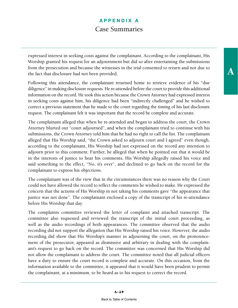expressed interest in seeking costs against the complainant. According to the complainant, His Worship granted his request for an adjournment but did so after entertaining the submissions from the prosecution and because the witnesses in the trial consented to return and not due to the fact that disclosure had not been provided.

Following this attendance, the complainant returned home to retrieve evidence of his "due diligence" in making disclosure requests. He re-attended before the court to provide this additional information on the record. He took this action because the Crown Attorney had expressed interest in seeking costs against him, his diligence had been "indirectly challenged" and he wished to correct a previous statement that he made to the court regarding the timing of his last disclosure request. The complainant felt it was important that the record be complete and accurate.

The complainant alleged that when he re-attended and began to address the court, the Crown Attorney blurted out "court adjourned", and when the complainant tried to continue with his submissions, the Crown Attorney told him that he had no right to call the list. The complainant alleged that His Worship said, "the Crown asked to adjourn court and I agreed" even though, according to the complainant, His Worship had not expressed on the record any intention to adjourn prior to this comment. Further, he alleged that when he pointed out that it would be in the interests of justice to hear his comments, His Worship allegedly raised his voice and said something to the effect, "No, it's over", and declined to go back on the record for the complainant to express his objections.

The complainant was of the view that in the circumstances there was no reason why the Court could not have allowed the record to reflect the comments he wished to make. He expressed the concern that the actions of His Worship in not taking his comments gave "the appearance that justice was not done". The complainant enclosed a copy of the transcript of his re-attendance before His Worship that day.

The complaints committee reviewed the letter of complaint and attached transcript. The committee also requested and reviewed the transcript of the initial court proceeding, as well as the audio recordings of both appearances. The committee observed that the audio recording did not support the allegation that His Worship raised his voice. However, the audio recording did show that His Worship's manner in adjourning the court, on the pronouncement of the prosecutor, appeared as dismissive and arbitrary in dealing with the complainant's request to go back on the record. The committee was concerned that His Worship did not allow the complainant to address the court. The committee noted that all judicial officers have a duty to ensure the court record is complete and accurate. On this occasion, from the information available to the committee, it appeared that it would have been prudent to permit the complainant, at a minimum, to be heard as to his request to correct the record.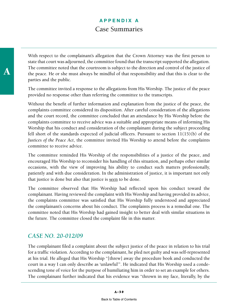With respect to the complainant's allegation that the Crown Attorney was the first person to state that court was adjourned, the committee found that the transcript supported the allegation. The committee noted that the courtroom is subject to the direction and control of the justice of the peace. He or she must always be mindful of that responsibility and that this is clear to the parties and the public.

The committee invited a response to the allegations from His Worship. The justice of the peace provided no response other than referring the committee to the transcripts.

Without the benefit of further information and explanation from the justice of the peace, the complaints committee considered its disposition. After careful consideration of the allegations and the court record, the committee concluded that an attendance by His Worship before the complaints committee to receive advice was a suitable and appropriate means of informing His Worship that his conduct and consideration of the complainant during the subject proceeding fell short of the standards expected of judicial officers. Pursuant to section 11(15)(b) of the *Justices of the Peace Act*, the committee invited His Worship to attend before the complaints committee to receive advice.

The committee reminded His Worship of the responsibilities of a justice of the peace, and encouraged His Worship to reconsider his handling of this situation, and perhaps other similar occasions, with the view of improving his ability to conduct such matters professionally, patiently and with due consideration. In the administration of justice, it is important not only that justice is done but also that justice is seen to be done.

The committee observed that His Worship had reflected upon his conduct toward the complainant. Having reviewed the complaint with His Worship and having provided its advice, the complaints committee was satisfied that His Worship fully understood and appreciated the complainant's concerns about his conduct. The complaints process is a remedial one. The committee noted that His Worship had gained insight to better deal with similar situations in the future. The committee closed the complaint file in this matter.

# *CASE NO. 20-012/09*

The complainant filed a complaint about the subject justice of the peace in relation to his trial for a traffic violation. According to the complainant, he pled not guilty and was self-represented at his trial. He alleged that His Worship "[threw] away the procedure book and conducted the court in a way I can only describe as 'unlawful'". He indicated that His Worship used a condescending tone of voice for the purpose of humiliating him in order to set an example for others. The complainant further indicated that his evidence was "thrown in my face, literally, by the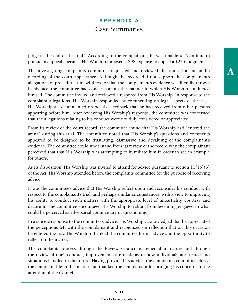judge at the end of the trial". According to the complainant, he was unable to "continue to pursue my appeal" because His Worship imposed a \$98 expense to appeal a \$235 judgment.

The investigating complaints committee requested and reviewed the transcript and audio recording of the court appearance. Although the record did not support the complainant's allegations of procedural unlawfulness or that the complainant's evidence was literally thrown in his face, the committee had concerns about the manner in which His Worship conducted himself. The committee invited and reviewed a response from His Worship. In response to the complaint allegations, His Worship responded by commenting on legal aspects of the case. His Worship also commented on positive feedback that he had received from other persons appearing before him. After reviewing His Worship's response, the committee was concerned that the allegations relating to his conduct were not duly considered or appreciated.

From its review of the court record, the committee found that His Worship had "entered the arena" during this trial. The committee noted that His Worship's questions and comments appeared to be designed to be frustrating, dismissive and devaluing of the complainant's evidence. The committee could understand from its review of the record why the complainant perceived that that His Worship was attempting to humiliate him in order to set an example for others.

As its disposition, His Worship was invited to attend for advice pursuant to section 11(15)(b) of the *Act*. His Worship attended before the complaints committee for the purpose of receiving advice.

It was the committee's advice that His Worship reflect upon and reconsider his conduct with respect to the complainant's trial, and perhaps similar circumstances, with a view to improving his ability to conduct such matters with the appropriate level of impartiality, courtesy and decorum. The committee encouraged His Worship to refrain from becoming engaged in what could be perceived as adversarial commentary or questioning.

In a sincere response to the committee's advice, His Worship acknowledged that he appreciated the perceptions left with the complainant and recognized on reflection that on this occasion he entered the fray. His Worship thanked the committee for its advice and the opportunity to reflect on the matter.

The complaints process through the Review Council is remedial in nature and through the review of one's conduct, improvements are made as to how individuals are treated and situations handled in the future. Having provided its advice, the complaints committee closed the complaint file in this matter and thanked the complainant for bringing his concerns to the attention of the Council.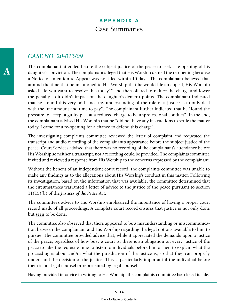#### *CASE NO. 20-013/09*

The complainant attended before the subject justice of the peace to seek a re-opening of his daughter's conviction. The complainant alleged that His Worship denied the re-opening because a Notice of Intention to Appear was not filed within 15 days. The complainant believed that around the time that he mentioned to His Worship that he would file an appeal, His Worship asked "do you want to resolve this today?" and then offered to reduce the charge and lower the penalty so it didn't impact on the daughter's demerit points. The complainant indicated that he "found this very odd since my understanding of the role of a justice is to only deal with the fine amount and time to pay". The complainant further indicated that he "found the pressure to accept a guilty plea at a reduced charge to be unprofessional conduct". In the end, the complainant advised His Worship that he "did not have any instructions to settle the matter today, I came for a re-opening for a chance to defend this charge".

The investigating complaints committee reviewed the letter of complaint and requested the transcript and audio recording of the complainant's appearance before the subject justice of the peace. Court Services advised that there was no recording of the complainant's attendance before His Worship so neither a transcript, nor a recording could be provided. The complaints committee invited and reviewed a response from His Worship to the concerns expressed by the complainant.

Without the benefit of an independent court record, the complaints committee was unable to make any findings as to the allegations about His Worship's conduct in this matter. Following its investigation, based on the information that was available, the committee determined that the circumstances warranted a letter of advice to the justice of the peace pursuant to section 11(15)(b) of the *Justices of the Peace Act*.

The committee's advice to His Worship emphasized the importance of having a proper court record made of all proceedings. A complete court record ensures that justice is not only done but seen to be done.

The committee also observed that there appeared to be a misunderstanding or miscommunication between the complainant and His Worship regarding the legal options available to him to pursue. The committee provided advice that, while it appreciated the demands upon a justice of the peace, regardless of how busy a court is, there is an obligation on every justice of the peace to take the requisite time to listen to individuals before him or her, to explain what the proceeding is about and/or what the jurisdiction of the justice is, so that they can properly understand the decision of the justice. This is particularly important if the individual before them is not legal counsel or represented by legal counsel.

Having provided its advice in writing to His Worship, the complaints committee has closed its file.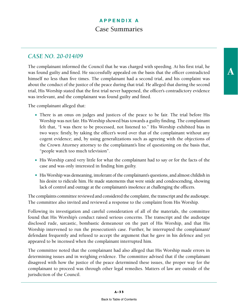### *CASE NO. 20-014/09*

The complainant informed the Council that he was charged with speeding. At his first trial, he was found guilty and fined. He successfully appealed on the basis that the officer contradicted himself no less than five times. The complainant had a second trial, and his complaint was about the conduct of the justice of the peace during that trial. He alleged that during the second trial, His Worship stated that the first trial never happened, the officer's contradictory evidence was irrelevant, and the complainant was found guilty and fined.

The complainant alleged that:

- There is an onus on judges and justices of the peace to be fair. The trial before His Worship was not fair. His Worship showed bias towards a guilty finding. The complainant felt that, "I was there to be processed, not listened to." His Worship exhibited bias in two ways: firstly, by taking the officer's word over that of the complainant without any cogent evidence; and, by using generalizations such as agreeing with the objections of the Crown Attorney attorney to the complainant's line of questioning on the basis that, "people watch too much television".
- His Worship cared very little for what the complainant had to say or for the facts of the case and was only interested in finding him guilty.
- His Worship was demeaning, intolerant of the complainant's questions, and almost childish in his desire to ridicule him. He made statements that were snide and condescending, showing lack of control and outrage at the complainant's insolence at challenging the officers.

The complaints committee reviewed and considered the complaint, the transcript and the audiotape. The committee also invited and reviewed a response to the complaint from His Worship.

Following its investigation and careful consideration of all of the materials, the committee found that His Worship's conduct raised serious concerns. The transcript and the audiotape disclosed rude, sarcastic, bombastic demeanour on the part of His Worship, and that His Worship intervened to run the prosecution's case. Further, he interrupted the complainant/ defendant frequently and refused to accept the argument that he gave in his defence and yet appeared to be incensed when the complainant interrupted him.

The committee noted that the complainant had also alleged that His Worship made errors in determining issues and in weighing evidence. The committee advised that if the complainant disagreed with how the justice of the peace determined these issues, the proper way for the complainant to proceed was through other legal remedies. Matters of law are outside of the jurisdiction of the Council.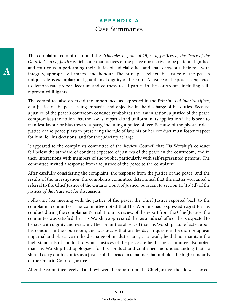The complaints committee noted the *Principles of Judicial Office of Justices of the Peace of the Ontario Court of Justice* which state that justices of the peace must strive to be patient, dignified and courteous in performing their duties of judicial office and shall carry out their role with integrity, appropriate firmness and honour. The principles reflect the justice of the peace's unique role as exemplary and guardian of dignity of the court. A justice of the peace is expected to demonstrate proper decorum and courtesy to all parties in the courtroom, including selfrepresented litigants.

The committee also observed the importance, as expressed in the *Principles of Judicial Office*, of a justice of the peace being impartial and objective in the discharge of his duties. Because a justice of the peace's courtroom conduct symbolizes the law in action, a justice of the peace compromises the notion that the law is impartial and uniform in its application if he is seen to manifest favour or bias toward a party, including a police officer. Because of the pivotal role a justice of the peace plays in preserving the rule of law, his or her conduct must foster respect for him, for his decisions, and for the judiciary at large.

It appeared to the complaints committee of the Review Council that His Worship's conduct fell below the standard of conduct expected of justices of the peace in the courtroom, and in their interactions with members of the public, particularly with self-represented persons. The committee invited a response from the justice of the peace to the complaint.

After carefully considering the complaint, the response from the justice of the peace, and the results of the investigation, the complaints committee determined that the matter warranted a referral to the Chief Justice of the Ontario Court of Justice, pursuant to section 11(15)(d) of the *Justices of the Peace Act* for discussion.

Following her meeting with the justice of the peace, the Chief Justice reported back to the complaints committee. The committee noted that His Worship had expressed regret for his conduct during the complainant's trial. From its review of the report from the Chief Justice, the committee was satisfied that His Worship appreciated that as a judicial officer, he is expected to behave with dignity and restraint. The committee observed that His Worship had reflected upon his conduct in the courtroom, and was aware that on the day in question, he did not appear impartial and objective in the discharge of his duties and, as a result, he did not maintain the high standards of conduct to which justices of the peace are held. The committee also noted that His Worship had apologized for his conduct and confirmed his understanding that he should carry out his duties as a justice of the peace in a manner that upholds the high standards of the Ontario Court of Justice.

After the committee received and reviewed the report from the Chief Justice, the file was closed.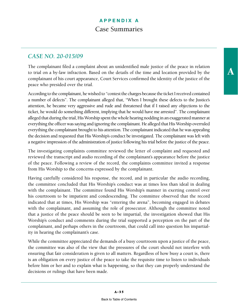### *CASE NO. 20-015/09*

The complainant filed a complaint about an unidentified male justice of the peace in relation to trial on a by-law infraction. Based on the details of the time and location provided by the complainant of his court appearance, Court Services confirmed the identity of the justice of the peace who presided over the trial.

According to the complainant, he wished to "contest the charges because the ticket I received contained a number of defects". The complainant alleged that, "When I brought these defects to the Justice's attention, he became very aggressive and rude and threatened that if I raised any objections to the ticket, he would do something different, implying that he would have me arrested". The complainant alleged that during the trial, His Worship spent the whole hearing nodding in an exaggerated manner at everything the officer was saying and ignoring the complainant. He alleged that His Worship overruled everything the complainant brought to his attention. The complainant indicated that he was appealing the decision and requested that His Worship's conduct be investigated. The complainant was left with a negative impression of the administration of justice following his trial before the justice of the peace.

The investigating complaints committee reviewed the letter of complaint and requested and reviewed the transcript and audio recording of the complainant's appearance before the justice of the peace. Following a review of the record, the complaints committee invited a response from His Worship to the concerns expressed by the complainant.

Having carefully considered his response, the record, and in particular the audio recording, the committee concluded that His Worship's conduct was at times less than ideal in dealing with the complainant. The committee found His Worship's manner in exerting control over his courtroom to be impatient and condescending. The committee observed that the record indicated that at times, His Worship was "entering the arena", becoming engaged in debates with the complainant, and assuming the role of prosecutor. Although the committee noted that a justice of the peace should be seen to be impartial, the investigation showed that His Worship's conduct and comments during the trial supported a perception on the part of the complainant, and perhaps others in the courtroom, that could call into question his impartiality in hearing the complainant's case.

While the committee appreciated the demands of a busy courtroom upon a justice of the peace, the committee was also of the view that the pressures of the court should not interfere with ensuring that fair consideration is given to all matters. Regardless of how busy a court is, there is an obligation on every justice of the peace to take the requisite time to listen to individuals before him or her and to explain what is happening, so that they can properly understand the decisions or rulings that have been made.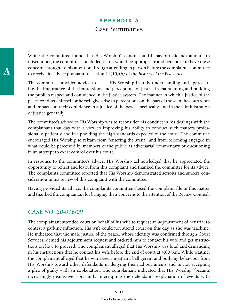While the committee found that His Worship's conduct and behaviour did not amount to misconduct, the committee concluded that it would be appropriate and beneficial to have these concerns brought to his attention through attending in person before the complaints committee to receive its advice pursuant to section 11(15)(b) of the *Justices of the Peace Act*.

The committee provided advice to assist His Worship in fully understanding and appreciating the importance of the impressions and perceptions of justice in maintaining and building the public's respect and confidence in the justice system. The manner in which a justice of the peace conducts himself or herself gives rise to perceptions on the part of those in the courtroom and impacts on their confidence in a justice of the peace specifically, and in the administration of justice generally.

The committee's advice to His Worship was to reconsider his conduct in his dealings with the complainant that day with a view to improving his ability to conduct such matters professionally, patiently and in upholding the high standards expected of the court. The committee encouraged His Worship to refrain from "entering the arena" and from becoming engaged in what could be perceived by members of the public as adversarial commentary or questioning in an attempt to exert control over his court.

In response to the committee's advice, His Worship acknowledged that he appreciated the opportunity to reflect and learn from this complaint and thanked the committee for its advice. The complaints committee reported that His Worship demonstrated serious and sincere consideration in his review of this complaint with the committee.

Having provided its advice, the complaints committee closed the complaint file in this matter and thanked the complainant for bringing their concerns to the attention of the Review Council.

#### *CASE NO. 20-016/09*

The complainant attended court on behalf of his wife to request an adjournment of her trial to contest a parking infraction. His wife could not attend court on this day as she was teaching. He indicated that the male justice of the peace, whose identity was confirmed through Court Services, denied his adjournment request and ordered him to contact his wife and get instructions on how to proceed. The complainant alleged that His Worship was loud and demanding in his instructions that he contact his wife before the end of court at 4:00 p.m. While waiting, the complainant alleged that he witnessed impatient, belligerent and bullying behaviour from His Worship toward other defendants in denying them adjournments and in not accepting a plea of guilty with an explanation. The complainant indicated that His Worship "became increasingly dismissive, constantly interrupting the defendants' explanation of events with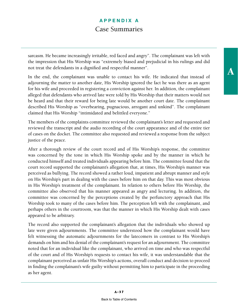sarcasm. He became increasingly irritable, red faced and angry". The complainant was left with the impression that His Worship was "extremely biased and prejudicial in his rulings and did not treat the defendants in a dignified and respectful manner".

In the end, the complainant was unable to contact his wife. He indicated that instead of adjourning the matter to another date, His Worship ignored the fact he was there as an agent for his wife and proceeded in registering a conviction against her. In addition, the complainant alleged that defendants who arrived late were told by His Worship that their matters would not be heard and that their reward for being late would be another court date. The complainant described His Worship as "overbearing, pugnacious, arrogant and unkind". The complainant claimed that His Worship "intimidated and belittled everyone."

The members of the complaints committee reviewed the complainant's letter and requested and reviewed the transcript and the audio recording of the court appearance and of the entire tier of cases on the docket. The committee also requested and reviewed a response from the subject justice of the peace.

After a thorough review of the court record and of His Worship's response, the committee was concerned by the tone in which His Worship spoke and by the manner in which he conducted himself and treated individuals appearing before him. The committee found that the court record supported the complainant's allegation that, at times, His Worship's manner was perceived as bullying. The record showed a rather loud, impatient and abrupt manner and style on His Worship's part in dealing with the cases before him on that day. This was most obvious in His Worship's treatment of the complainant. In relation to others before His Worship, the committee also observed that his manner appeared as angry and lecturing. In addition, the committee was concerned by the perceptions created by the perfunctory approach that His Worship took to many of the cases before him. The perception left with the complainant, and perhaps others in the courtroom, was that the manner in which His Worship dealt with cases appeared to be arbitrary.

The record also supported the complainant's allegation that the individuals who showed up late were given adjournments. The committee understood how the complainant would have felt witnessing the automatic adjournments for the latecomers in contrast to His Worship's demands on him and his denial of the complainant's request for an adjournment. The committee noted that for an individual like the complainant, who arrived on time and who was respectful of the court and of His Worship's requests to contact his wife, it was understandable that the complainant perceived as unfair His Worship's actions, overall conduct and decision to proceed in finding the complainant's wife guilty without permitting him to participate in the proceeding as her agent.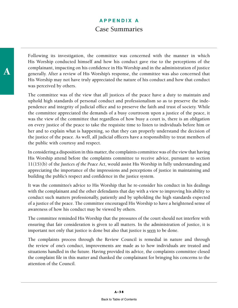Following its investigation, the committee was concerned with the manner in which His Worship conducted himself and how his conduct gave rise to the perceptions of the complainant, impacting on his confidence in His Worship and in the administration of justice generally. After a review of His Worship's response, the committee was also concerned that His Worship may not have truly appreciated the nature of his conduct and how that conduct was perceived by others.

The committee was of the view that all justices of the peace have a duty to maintain and uphold high standards of personal conduct and professionalism so as to preserve the independence and integrity of judicial office and to preserve the faith and trust of society. While the committee appreciated the demands of a busy courtroom upon a justice of the peace, it was the view of the committee that regardless of how busy a court is, there is an obligation on every justice of the peace to take the requisite time to listen to individuals before him or her and to explain what is happening, so that they can properly understand the decision of the justice of the peace. As well, all judicial officers have a responsibility to treat members of the public with courtesy and respect.

In considering a disposition in this matter, the complaints committee was of the view that having His Worship attend before the complaints committee to receive advice, pursuant to section 11(15)(b) of the *Justices of the Peace Act*, would assist His Worship in fully understanding and appreciating the importance of the impressions and perceptions of justice in maintaining and building the public's respect and confidence in the justice system.

It was the committee's advice to His Worship that he re-consider his conduct in his dealings with the complainant and the other defendants that day with a view to improving his ability to conduct such matters professionally, patiently and by upholding the high standards expected of a justice of the peace. The committee encouraged His Worship to have a heightened sense of awareness of how his conduct may be viewed by others.

The committee reminded His Worship that the pressures of the court should not interfere with ensuring that fair consideration is given to all matters. In the administration of justice, it is important not only that justice is done but also that justice is seen to be done.

The complaints process through the Review Council is remedial in nature and through the review of one's conduct, improvements are made as to how individuals are treated and situations handled in the future. Having provided its advice, the complaints committee closed the complaint file in this matter and thanked the complainant for bringing his concerns to the attention of the Council.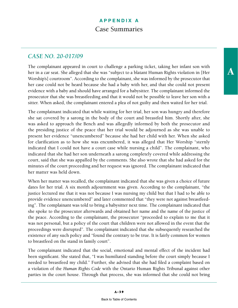### *CASE NO. 20-017/09*

The complainant appeared in court to challenge a parking ticket, taking her infant son with her in a car seat. She alleged that she was "subject to a blatant Human Rights violation in [Her Worship's] courtroom". According to the complainant, she was informed by the prosecutor that her case could not be heard because she had a baby with her, and that she could not present evidence with a baby and should have arranged for a babysitter. The complainant informed the prosecutor that she was breastfeeding and that it would not be possible to leave her son with a sitter. When asked, the complainant entered a plea of not guilty and then waited for her trial.

The complainant indicated that while waiting for her trial, her son was hungry and therefore she sat covered by a sarong in the body of the court and breastfed him. Shortly after, she was asked to approach the Bench and was allegedly informed by both the prosecutor and the presiding justice of the peace that her trial would be adjourned as she was unable to present her evidence "unencumbered" because she had her child with her. When she asked for clarification as to how she was encumbered, it was alleged that Her Worship "sternly indicated that I could not have a court case while nursing a child". The complainant, who indicated that she had her son underneath a sarong completely covered while addressing the court, said that she was appalled by the comments. She also wrote that she had asked for the minutes of the court proceeding and her request was ignored. The complainant indicated that her matter was held down.

When her matter was recalled, the complainant indicated that she was given a choice of future dates for her trial. A six month adjournment was given. According to the complainant, "the justice lectured me that it was not because I was nursing my child but that I had to be able to provide evidence unencumbered" and later commented that "they were not against breastfeeding". The complainant was told to bring a babysitter next time. The complainant indicated that she spoke to the prosecutor afterwards and obtained her name and the name of the justice of the peace. According to the complainant, the prosecutor "proceeded to explain to me that it was not personal, but a policy of the court that children were not allowed in the event that the proceedings were disrupted". The complainant indicated that she subsequently researched the existence of any such policy and "found the contrary to be true. It is fairly common for women to breastfeed on the stand in family court".

The complainant indicated that the social, emotional and mental effect of the incident had been significant. She stated that, "I was humiliated standing before the court simply because I needed to breastfeed my child." Further, she advised that she had filed a complaint based on a violation of the *Human Rights Code* with the Ontario Human Rights Tribunal against other parties in the court house. Through that process, she was informed that she could not bring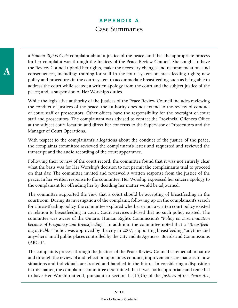a *Human Rights Code* complaint about a justice of the peace, and that the appropriate process for her complaint was through the Justices of the Peace Review Council. She sought to have the Review Council uphold her rights, make the necessary changes and recommendations and consequences, including: training for staff in the court system on breastfeeding rights; new policy and procedures in the court system to accommodate breastfeeding such as being able to address the court while seated; a written apology from the court and the subject justice of the peace; and, a suspension of Her Worship's duties.

While the legislative authority of the Justices of the Peace Review Council includes reviewing the conduct of justices of the peace, the authority does not extend to the review of conduct of court staff or prosecutors. Other offices have the responsibility for the oversight of court staff and prosecutors. The complainant was advised to contact the Provincial Offences Office at the subject court location and direct her concerns to the Supervisor of Prosecutors and the Manager of Court Operations.

With respect to the complainant's allegations about the conduct of the justice of the peace, the complaints committee reviewed the complainant's letter and requested and reviewed the transcript and the audio recording of the court appearance.

Following their review of the court record, the committee found that it was not entirely clear what the basis was for Her Worship's decision to not permit the complainant's trial to proceed on that day. The committee invited and reviewed a written response from the justice of the peace. In her written response to the committee, Her Worship expressed her sincere apology to the complainant for offending her by deciding her matter would be adjourned.

The committee supported the view that a court should be accepting of breastfeeding in the courtroom. During its investigation of the complaint, following up on the complainant's search for a breastfeeding policy, the committee explored whether or not a written court policy existed in relation to breastfeeding in court. Court Services advised that no such policy existed. The committee was aware of the Ontario Human Right's Commission's "*Policy on Discrimination because of Pregnancy and Breastfeeding*". In addition, the committee noted that a "*Breastfeeding in Public*" policy was approved by the city in 2007, supporting breastfeeding "anytime and anywhere" in all public places controlled by the City and its Agencies, Boards and Commissions (ABCs)".

The complaints process through the Justices of the Peace Review Council is remedial in nature and through the review of and reflection upon one's conduct, improvements are made as to how situations and individuals are treated and handled in the future. In considering a disposition in this matter, the complaints committee determined that it was both appropriate and remedial to have Her Worship attend, pursuant to section 11(15)(b) of the *Justices of the Peace Act*,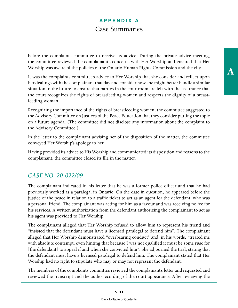before the complaints committee to receive its advice. During the private advice meeting, the committee reviewed the complainant's concerns with Her Worship and ensured that Her Worship was aware of the policies of the Ontario Human Rights Commission and the city.

It was the complaints committee's advice to Her Worship that she consider and reflect upon her dealings with the complainant that day and consider how she might better handle a similar situation in the future to ensure that parties in the courtroom are left with the assurance that the court recognizes the rights of breastfeeding women and respects the dignity of a breastfeeding woman.

Recognizing the importance of the rights of breastfeeding women, the committee suggested to the Advisory Committee on Justices of the Peace Education that they consider putting the topic on a future agenda. (The committee did not disclose any information about the complaint to the Advisory Committee.)

In the letter to the complainant advising her of the disposition of the matter, the committee conveyed Her Worship's apology to her.

Having provided its advice to His Worship and communicated its disposition and reasons to the complainant, the committee closed its file in the matter.

#### *CASE NO. 20-022/09*

The complainant indicated in his letter that he was a former police officer and that he had previously worked as a paralegal in Ontario. On the date in question, he appeared before the justice of the peace in relation to a traffic ticket to act as an agent for the defendant, who was a personal friend. The complainant was acting for him as a favour and was receiving no fee for his services. A written authorization from the defendant authorizing the complainant to act as his agent was provided to Her Worship.

The complainant alleged that Her Worship refused to allow him to represent his friend and "insisted that the defendant must have a licensed paralegal to defend him". The complainant alleged that Her Worship demonstrated "overbearing conduct" and, in his words, "treated me with absolute contempt, even hinting that because I was not qualified it must be some ruse for [the defendant] to appeal if and when she convicted him". She adjourned the trial, stating that the defendant must have a licensed paralegal to defend him. The complainant stated that Her Worship had no right to stipulate who may or may not represent the defendant.

The members of the complaints committee reviewed the complainant's letter and requested and reviewed the transcript and the audio recording of the court appearance. After reviewing the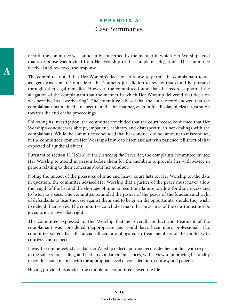record, the committee was sufficiently concerned by the manner in which Her Worship acted that a response was invited from Her Worship to the complaint allegations. The committee received and reviewed the response.

The committee noted that Her Worship's decision to refuse to permit the complainant to act as agent was a matter outside of the Council's jurisdiction to review that could be pursued through other legal remedies. However, the committee found that the record supported the allegation of the complainant that the manner in which Her Worship delivered that decision was perceived as "overbearing". The committee advised that the court record showed that the complainant maintained a respectful and calm manner, even in his display of clear frustration towards the end of the proceedings.

Following its investigation, the committee concluded that the court record confirmed that Her Worship's conduct was abrupt, impatient, arbitrary and disrespectful in her dealings with the complainant. While the committee concluded that her conduct did not amount to misconduct, in the committee's opinion Her Worship's failure to listen and act with patience fell short of that expected of a judicial officer.

Pursuant to section 11(15)(b) of the *Justices of the Peace Act*, the complaints committee invited Her Worship to attend in person before them for the members to provide her with advice in person relating to their concerns about her conduct.

Noting the impact of the pressures of time and heavy court lists on Her Worship on the date in question, the committee advised Her Worship that a justice of the peace must never allow the length of the list and the shortage of time to result in a failure to allow for due process and to listen to a case. The committee reminded the justice of the peace of the fundamental right of defendants to hear the case against them and to be given the opportunity, should they wish, to defend themselves. The committee concluded that other pressures of the court must not be given priority over that right.

The committee expressed to Her Worship that her overall conduct and treatment of the complainant was considered inappropriate and could have been more professional. The committee stated that all judicial officers are obligated to treat members of the public with courtesy and respect.

It was the committee's advice that Her Worship reflect upon and reconsider her conduct with respect to the subject proceeding, and perhaps similar circumstances, with a view to improving her ability to conduct such matters with the appropriate level of consideration, courtesy and patience.

Having provided its advice, the complaints committee closed the file.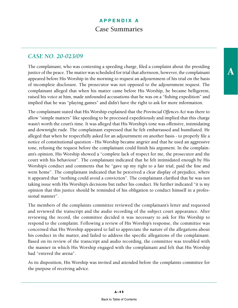### *CASE NO. 20-023/09*

The complainant, who was contesting a speeding charge, filed a complaint about the presiding justice of the peace. The matter was scheduled for trial that afternoon, however, the complainant appeared before His Worship in the morning to request an adjournment of his trial on the basis of incomplete disclosure. The prosecutor was not opposed to the adjournment request. The complainant alleged that when his matter came before His Worship, he became belligerent, raised his voice at him, made unfounded accusations that he was on a "fishing expedition" and implied that he was "playing games" and didn't have the right to ask for more information.

The complainant stated that His Worship explained that the *Provincial Offences Act* was there to allow "simple matters" like speeding to be processed expeditiously and implied that this charge wasn't worth the court's time. It was alleged that His Worship's tone was offensive, intimidating and downright rude. The complainant expressed that he felt embarrassed and humiliated. He alleged that when he respectfully asked for an adjournment on another basis - to properly file a notice of constitutional question - His Worship became angrier and that he used an aggressive tone, refusing the request before the complainant could finish his argument. In the complainant's opinion, His Worship showed a "complete lack of respect for me, the prosecutor and the court with his behaviour". The complainant indicated that he felt intimidated enough by His Worship's conduct and comments that he "gave up my right to a fair trial, paid the fine and went home". The complainant indicated that he perceived a clear display of prejudice, where it appeared that "nothing could avoid a conviction". The complainant clarified that he was not taking issue with His Worship's decisions but rather his conduct. He further indicated "it is my opinion that this justice should be reminded of his obligation to conduct himself in a professional manner".

The members of the complaints committee reviewed the complainant's letter and requested and reviewed the transcript and the audio recording of the subject court appearance. After reviewing the record, the committee decided it was necessary to ask for His Worship to respond to the complaint. Following a review of His Worship's response, the committee was concerned that His Worship appeared to fail to appreciate the nature of the allegations about his conduct in the matter, and failed to address the specific allegations of the complainant. Based on its review of the transcript and audio recording, the committee was troubled with the manner in which His Worship engaged with the complainant and felt that His Worship had "entered the arena".

As its disposition, His Worship was invited and attended before the complaints committee for the purpose of receiving advice.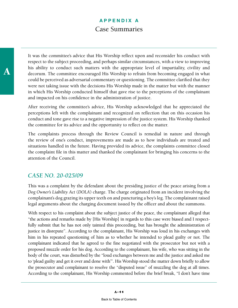A

It was the committee's advice that His Worship reflect upon and reconsider his conduct with respect to the subject proceeding, and perhaps similar circumstances, with a view to improving his ability to conduct such matters with the appropriate level of impartiality, civility and decorum. The committee encouraged His Worship to refrain from becoming engaged in what could be perceived as adversarial commentary or questioning. The committee clarified that they were not taking issue with the decisions His Worship made in the matter but with the manner in which His Worship conducted himself that gave rise to the perceptions of the complainant and impacted on his confidence in the administration of justice.

After receiving the committee's advice, His Worship acknowledged that he appreciated the perceptions left with the complainant and recognized on reflection that on this occasion his conduct and tone gave rise to a negative impression of the justice system. His Worship thanked the committee for its advice and the opportunity to reflect on the matter.

The complaints process through the Review Council is remedial in nature and through the review of one's conduct, improvements are made as to how individuals are treated and situations handled in the future. Having provided its advice, the complaints committee closed the complaint file in this matter and thanked the complainant for bringing his concerns to the attention of the Council.

#### *CASE NO. 20-025/09*

This was a complaint by the defendant about the presiding justice of the peace arising from a *Dog Owner's Liability Act* (*DOLA*) charge. The charge originated from an incident involving the complainant's dog grazing its upper teeth on and puncturing a boy's leg. The complainant raised legal arguments about the charging document issued by the officer and about the summons.

With respect to his complaint about the subject justice of the peace, the complainant alleged that "the actions and remarks made by [His Worship] in regards to this case were biased and I respectfully submit that he has not only tainted this proceeding, but has brought the administration of justice in disrepute". According to the complainant, His Worship was loud in his exchanges with him in his repeated questioning of him as to whether he intended to plead guilty or not. The complainant indicated that he agreed to the fine negotiated with the prosecutor but not with a proposed muzzle order for his dog. According to the complainant, his wife, who was sitting in the body of the court, was disturbed by the "loud exchanges between me and the justice and asked me to 'plead guilty and get it over and done with'". His Worship stood the matter down briefly to allow the prosecutor and complainant to resolve the "disputed issue" of muzzling the dog at all times. According to the complainant, His Worship commented before the brief break, "I don't have time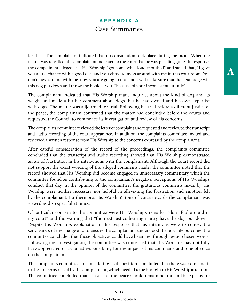for this". The complainant indicated that no consultation took place during the break. When the matter was re-called, the complainant indicated to the court that he was pleading guilty. In response, the complainant alleged that His Worship "got some what loud-mouthed" and stated that, "I gave you a first chance with a good deal and you chose to mess around with me in this courtroom. You don't mess around with me, now you are going to trial and I will make sure that the next judge will this dog put down and throw the book at you, "because of your inconsistent attitude".

The complainant indicated that His Worship made inquiries about the kind of dog and its weight and made a further comment about dogs that he had owned and his own expertise with dogs. The matter was adjourned for trial. Following his trial before a different justice of the peace, the complainant confirmed that the matter had concluded before the courts and requested the Council to commence its investigation and review of his concerns.

The complaints committee reviewed the letter of complaint and requested and reviewed the transcript and audio recording of the court appearance. In addition, the complaints committee invited and reviewed a written response from His Worship to the concerns expressed by the complainant.

After careful consideration of the record of the proceedings, the complaints committee concluded that the transcript and audio recording showed that His Worship demonstrated an air of frustration in his interactions with the complainant. Although the court record did not support the exact wording of the alleged comments made, the committee noted that the record showed that His Worship did become engaged in unnecessary commentary which the committee found as contributing to the complainant's negative perceptions of His Worship's conduct that day. In the opinion of the committee, the gratuitous comments made by His Worship were neither necessary nor helpful in alleviating the frustration and emotion felt by the complainant. Furthermore, His Worship's tone of voice towards the complainant was viewed as disrespectful at times.

Of particular concern to the committee were His Worship's remarks, "don't fool around in my court" and the warning that "the next justice hearing it may have the dog put down". Despite His Worship's explanation in his response that his intentions were to convey the seriousness of the charge and to ensure the complainant understood the possible outcome, the committee concluded that those objectives could have been met through better chosen words. Following their investigation, the committee was concerned that His Worship may not fully have appreciated or assumed responsibility for the impact of his comments and tone of voice on the complainant.

The complaints committee, in considering its disposition, concluded that there was some merit to the concerns raised by the complainant, which needed to be brought to His Worship attention. The committee concluded that a justice of the peace should remain neutral and is expected to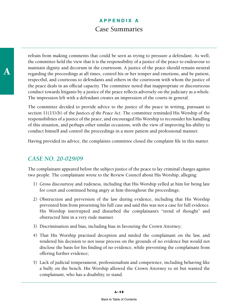A

refrain from making comments that could be seen as trying to pressure a defendant. As well, the committee held the view that it is the responsibility of a justice of the peace to endeavour to maintain dignity and decorum in the courtroom. A justice of the peace should remain neutral regarding the proceedings at all times, control his or her temper and emotions, and be patient, respectful, and courteous to defendants and others in the courtroom with whom the justice of the peace deals in an official capacity. The committee noted that inappropriate or discourteous conduct towards litigants by a justice of the peace reflects adversely on the judiciary as a whole. The impression left with a defendant creates an impression of the courts in general.

The committee decided to provide advice to the justice of the peace in writing, pursuant to section 11(15)(b) of the *Justices of the Peace Act*. The committee reminded His Worship of the responsibilities of a justice of the peace, and encouraged His Worship to reconsider his handling of this situation, and perhaps other similar occasions, with the view of improving his ability to conduct himself and control the proceedings in a more patient and professional manner.

Having provided its advice, the complaints committee closed the complaint file in this matter.

### *CASE NO. 20-029/09*

The complainant appeared before the subject justice of the peace to lay criminal charges against two people. The complainant wrote to the Review Council about His Worship, alleging:

- 1) Gross discourtesy and rudeness, including that His Worship yelled at him for being late for court and continued being angry at him throughout the proceedings;
- 2) Obstruction and perversion of the law during evidence, including that His Worship prevented him from presenting his full case and said this was not a case for full evidence. His Worship interrupted and disturbed the complainant's "trend of thought" and obstructed him in a very rude manner.
- 3) Discrimination and bias, including bias in favouring the Crown Attorney;
- 4) That His Worship practised deception and misled the complainant on the law, and rendered his decision to not issue process on the grounds of no evidence but would not disclose the basis for his finding of no evidence, while preventing the complainant from offering further evidence;
- 5) Lack of judicial temperament, professionalism and competence, including behaving like a bully on the bench. His Worship allowed the Crown Attorney to sit but wanted the complainant, who has a disability, to stand.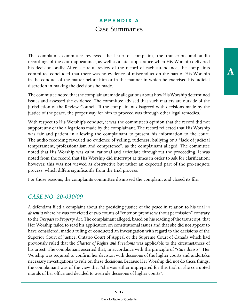The complaints committee reviewed the letter of complaint, the transcripts and audio recordings of the court appearance, as well as a later appearance when His Worship delivered his decision orally. After a careful review of the record of each attendance, the complaints committee concluded that there was no evidence of misconduct on the part of His Worship in the conduct of the matter before him or in the manner in which he exercised his judicial discretion in making the decisions he made.

The committee noted that the complainant made allegations about how His Worship determined issues and assessed the evidence. The committee advised that such matters are outside of the jurisdiction of the Review Council. If the complainant disagreed with decisions made by the justice of the peace, the proper way for him to proceed was through other legal remedies.

With respect to His Worship's conduct, it was the committee's opinion that the record did not support any of the allegations made by the complainant. The record reflected that His Worship was fair and patient in allowing the complainant to present his information to the court. The audio recording revealed no evidence of yelling, rudeness, bullying or a "lack of judicial temperament, professionalism and competence", as the complainant alleged. The committee noted that His Worship was calm, rational and articulate throughout the proceeding. It was noted from the record that His Worship did interrupt at times in order to ask for clarification; however, this was not viewed as obstructive but rather an expected part of the pre-enquête process, which differs significantly from the trial process.

For those reasons, the complaints committee dismissed the complaint and closed its file.

#### *CASE NO. 20-030/09*

A defendant filed a complaint about the presiding justice of the peace in relation to his trial *in absentia* where he was convicted of two counts of "enter on premise without permission" contrary to the *Trespass to Property Act*. The complainant alleged, based on his reading of the transcript, that Her Worship failed to read his application on constitutional issues and that she did not appear to have considered, made a ruling or conducted an investigation with regard to the decisions of the Superior Court of Justice, Ontario Court of Appeal or the Supreme Court of Canada which had previously ruled that the *Charter of Rights and Freedoms* was applicable to the circumstances of his arrest. The complainant asserted that, in accordance with the principle of "*stare decisis*", Her Worship was required to confirm her decision with decisions of the higher courts and undertake necessary investigations to rule on these decisions. Because Her Worship did not do these things, the complainant was of the view that "she was either unprepared for this trial or she corrupted morals of her office and decided to override decisions of higher courts".

A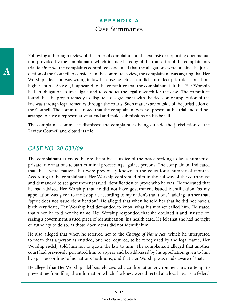A

Following a thorough review of the letter of complaint and the extensive supporting documentation provided by the complainant, which included a copy of the transcript of the complainant's trial *in absentia*, the complaints committee concluded that the allegations were outside the jurisdiction of the Council to consider. In the committee's view, the complainant was arguing that Her Worship's decision was wrong in law because he felt that it did not reflect prior decisions from higher courts. As well, it appeared to the committee that the complainant felt that Her Worship had an obligation to investigate and to conduct the legal research for the case. The committee found that the proper remedy to dispute a disagreement with the decision or application of the law was through legal remedies through the courts. Such matters are outside of the jurisdiction of the Council. The committee noted that the complainant was not present at his trial and did not arrange to have a representative attend and make submissions on his behalf.

The complaints committee dismissed the complaint as being outside the jurisdiction of the Review Council and closed its file.

### *CASE NO. 20-031/09*

The complainant attended before the subject justice of the peace seeking to lay a number of private informations to start criminal proceedings against persons. The complainant indicated that these were matters that were previously known to the court for a number of months. According to the complainant, Her Worship confronted him in the hallway of the courthouse and demanded to see government issued identification to prove who he was. He indicated that he had advised Her Worship that he did not have government issued identification "as my appellation was given to me by spirit according to my nation's traditions", adding further that, "spirit does not issue identification". He alleged that when he told her that he did not have a birth certificate, Her Worship had demanded to know what his mother called him. He stated that when he told her the name, Her Worship responded that she doubted it and insisted on seeing a government issued piece of identification, his health card. He felt that she had no right or authority to do so, as those documents did not identify him.

He also alleged that when he referred her to the *Change of Name Act*, which he interpreted to mean that a person is entitled, but not required, to be recognized by the legal name, Her Worship rudely told him not to quote the law to him. The complainant alleged that another court had previously permitted him to appear and be addressed by his appellation given to him by spirit according to his nation's traditions, and that Her Worship was made aware of that.

He alleged that Her Worship "deliberately created a confrontation environment in an attempt to prevent me from filing the information which she knew were directed at a local justice, a federal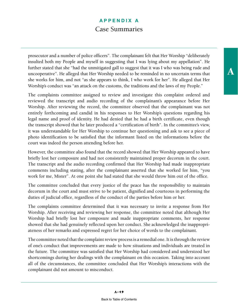prosecutor and a number of police officers". The complainant felt that Her Worship "deliberately insulted both my People and myself in suggesting that I was lying about my appellation". He further stated that she "had the unmitigated gall to suggest that it was I who was being rude and uncooperative". He alleged that Her Worship needed to be reminded in no uncertain terms that she works for him, and not "as she appears to think, I who work for her". He alleged that Her Worship's conduct was "an attack on the customs, the traditions and the laws of my People."

The complaints committee assigned to review and investigate this complaint ordered and reviewed the transcript and audio recording of the complainant's appearance before Her Worship. After reviewing the record, the committee observed that the complainant was not entirely forthcoming and candid in his responses to Her Worship's questions regarding his legal name and proof of identity. He had denied that he had a birth certificate, even though the transcript showed that he later produced a "certification of birth". In the committee's view, it was understandable for Her Worship to continue her questioning and ask to see a piece of photo identification to be satisfied that the informant listed on the informations before the court was indeed the person attending before her.

However, the committee also found that the record showed that Her Worship appeared to have briefly lost her composure and had not consistently maintained proper decorum in the court. The transcript and the audio recording confirmed that Her Worship had made inappropriate comments including stating, after the complainant asserted that she worked for him, "you work for me, Mister". At one point she had stated that she would throw him out of the office.

The committee concluded that every justice of the peace has the responsibility to maintain decorum in the court and must strive to be patient, dignified and courteous in performing the duties of judicial office, regardless of the conduct of the parties before him or her.

The complaints committee determined that it was necessary to invite a response from Her Worship. After receiving and reviewing her response, the committee noted that although Her Worship had briefly lost her composure and made inappropriate comments, her response showed that she had genuinely reflected upon her conduct. She acknowledged the inappropriateness of her remarks and expressed regret for her choice of words to the complainant.

The committee noted that the complaint review process is a remedial one. It is through the review of one's conduct that improvements are made to how situations and individuals are treated in the future. The committee was satisfied that Her Worship had considered and understood her shortcomings during her dealings with the complainant on this occasion. Taking into account all of the circumstances, the committee concluded that Her Worship's interactions with the complainant did not amount to misconduct.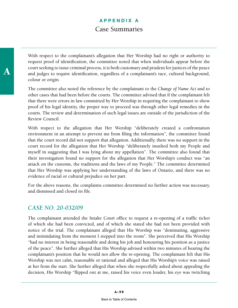With respect to the complainant's allegation that Her Worship had no right or authority to request proof of identification, the committee noted that when individuals appear before the court seeking to issue criminal process, it is both customary and prudent for justices of the peace and judges to require identification, regardless of a complainant's race, cultural background, colour or origin.

The committee also noted the reference by the complainant to the *Change of Name Act* and to other cases that had been before the courts. The committee advised that if the complainant felt that there were errors in law committed by Her Worship in requiring the complainant to show proof of his legal identity, the proper way to proceed was through other legal remedies in the courts. The review and determination of such legal issues are outside of the jurisdiction of the Review Council.

With respect to the allegation that Her Worship "deliberately created a confrontation environment in an attempt to prevent me from filing the information", the committee found that the court record did not support that allegation. Additionally, there was no support in the court record for the allegation that Her Worship "deliberately insulted both my People and myself in suggesting that I was lying about my appellation". The committee also found that their investigation found no support for the allegation that Her Worship's conduct was "an attack on the customs, the traditions and the laws of my People." The committee determined that Her Worship was applying her understanding of the laws of Ontario, and there was no evidence of racial or cultural prejudice on her part.

For the above reasons, the complaints committee determined no further action was necessary, and dismissed and closed its file.

#### *CASE NO. 20-032/09*

The complainant attended the Intake Court office to request a re-opening of a traffic ticket of which she had been convicted, and of which she stated she had not been provided with notice of the trial. The complainant alleged that His Worship was "dominating, aggressive and intimidating from the moment I stepped into the room". She perceived that His Worship "had no interest in being reasonable and doing his job and honouring his position as a justice of the peace". She further alleged that His Worship advised within two minutes of hearing the complainant's position that he would not allow the re-opening. The complainant felt that His Worship was not calm, reasonable or rational and alleged that His Worship's voice was raised at her from the start. She further alleged that when she respectfully asked about appealing the decision, His Worship "flipped out at me, raised his voice even louder, his eye was twitching

A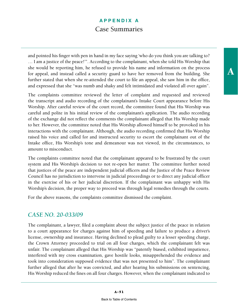and pointed his finger with pen in hand in my face saying 'who do you think you are talking to? … I am a justice of the peace!'". According to the complainant, when she told His Worship that she would be reporting him, he refused to provide his name and information on the process for appeal, and instead called a security guard to have her removed from the building. She further stated that when she re-attended the court to file an appeal, she saw him in the office, and expressed that she "was numb and shaky and felt intimidated and violated all over again".

The complaints committee reviewed the letter of complaint and requested and reviewed the transcript and audio recording of the complainant's Intake Court appearance before His Worship. After careful review of the court record, the committee found that His Worship was careful and polite in his initial review of the complainant's application. The audio recording of the exchange did not reflect the comments the complainant alleged that His Worship made to her. However, the committee noted that His Worship allowed himself to be provoked in his interactions with the complainant. Although, the audio recording confirmed that His Worship raised his voice and called for and instructed security to escort the complainant out of the Intake office, His Worship's tone and demeanour was not viewed, in the circumstances, to amount to misconduct.

The complaints committee noted that the complainant appeared to be frustrated by the court system and His Worship's decision to not re-open her matter. The committee further noted that justices of the peace are independent judicial officers and the Justice of the Peace Review Council has no jurisdiction to intervene in judicial proceedings or to direct any judicial officer in the exercise of his or her judicial discretion. If the complainant was unhappy with His Worship's decision, the proper way to proceed was through legal remedies through the courts.

For the above reasons, the complaints committee dismissed the complaint.

#### *CASE NO. 20-033/09*

The complainant, a lawyer, filed a complaint about the subject justice of the peace in relation to a court appearance for charges against him of speeding and failure to produce a driver's license, ownership and insurance. Having declined to plead guilty to a lesser speeding charge, the Crown Attorney proceeded to trial on all four charges, which the complainant felt was unfair. The complainant alleged that His Worship was "patently biased, exhibited impatience, interfered with my cross examination, gave hostile looks, misapprehended the evidence and took into consideration supposed evidence that was not presented to him". The complainant further alleged that after he was convicted, and after hearing his submissions on sentencing, His Worship reduced the fines on all four charges. However, when the complainant indicated to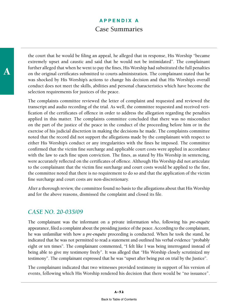the court that he would be filing an appeal, he alleged that in response, His Worship "became extremely upset and caustic and said that he would not be intimidated". The complainant further alleged that when he went to pay the fines, His Worship had substituted the full penalties on the original certificates submitted to courts administration. The complainant stated that he was shocked by His Worship's actions to change his decision and that His Worship's overall conduct does not meet the skills, abilities and personal characteristics which have become the selection requirements for justices of the peace.

The complaints committee reviewed the letter of complaint and requested and reviewed the transcript and audio recording of the trial. As well, the committee requested and received verification of the certificates of offence in order to address the allegation regarding the penalties applied in this matter. The complaints committee concluded that there was no misconduct on the part of the justice of the peace in the conduct of the proceeding before him or in the exercise of his judicial discretion in making the decisions he made. The complaints committee noted that the record did not support the allegations made by the complainant with respect to either His Worship's conduct or any irregularities with the fines he imposed. The committee confirmed that the victim fine surcharge and applicable court costs were applied in accordance with the law to each fine upon conviction. The fines, as stated by His Worship in sentencing, were accurately reflected on the certificates of offence. Although His Worship did not articulate to the complainant that the victim fine surcharge and court costs would be applied to the fine, the committee noted that there is no requirement to do so and that the application of the victim fine surcharge and court costs are non-discretionary.

After a thorough review, the committee found no basis to the allegations about that His Worship and for the above reasons, dismissed the complaint and closed its file.

#### *CASE NO. 20-035/09*

The complainant was the informant on a private information who, following his *pre-enquête* appearance, filed a complaint about the presiding justice of the peace. According to the complainant, he was unfamiliar with how a *pre-enquête* proceeding is conducted. When he took the stand, he indicated that he was not permitted to read a statement and outlined his verbal evidence "probably eight or ten times". The complainant commented, "I felt like I was being interrogated instead of being able to give my testimony freely". It was alleged that "His Worship closely scrutinized my testimony". The complainant expressed that he was "upset after being put on trial by the Justice".

The complainant indicated that two witnesses provided testimony in support of his version of events, following which His Worship rendered his decision that there would be "no issuance".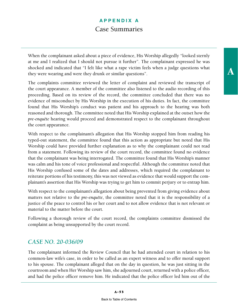When the complainant asked about a piece of evidence, His Worship allegedly "looked sternly at me and I realized that I should not pursue it further". The complainant expressed he was shocked and indicated that "I felt like what a rape victim feels when a judge questions what they were wearing and were they drunk or similar questions".

The complaints committee reviewed the letter of complaint and reviewed the transcript of the court appearance. A member of the committee also listened to the audio recording of this proceeding. Based on its review of the record, the committee concluded that there was no evidence of misconduct by His Worship in the execution of his duties. In fact, the committee found that His Worship's conduct was patient and his approach to the hearing was both reasoned and thorough. The committee noted that His Worship explained at the outset how the *pre-enquête* hearing would proceed and demonstrated respect to the complainant throughout the court appearance.

With respect to the complainant's allegation that His Worship stopped him from reading his typed-out statement, the committee found that this action as appropriate but noted that His Worship could have provided further explanation as to why the complainant could not read from a statement. Following its review of the court record, the committee found no evidence that the complainant was being interrogated. The committee found that His Worship's manner was calm and his tone of voice professional and respectful. Although the committee noted that His Worship confused some of the dates and addresses, which required the complainant to reiterate portions of his testimony, this was not viewed as evidence that would support the complainant's assertion that His Worship was trying to get him to commit perjury or to entrap him.

With respect to the complainant's allegation about being prevented from giving evidence about matters not relative to the *pre-enquête*, the committee noted that it is the responsibility of a justice of the peace to control his or her court and to not allow evidence that is not relevant or material to the matter before the court.

Following a thorough review of the court record, the complaints committee dismissed the complaint as being unsupported by the court record.

### *CASE NO. 20-036/09*

The complainant informed the Review Council that he had attended court in relation to his common-law wife's case, in order to be called as an expert witness and to offer moral support to his spouse. The complainant alleged that on the day in question, he was just sitting in the courtroom and when Her Worship saw him, she adjourned court, returned with a police officer, and had the police officer remove him. He indicated that the police officer led him out of the

A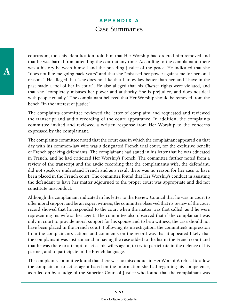courtroom, took his identification, told him that Her Worship had ordered him removed and that he was barred from attending the court at any time. According to the complainant, there was a history between himself and the presiding justice of the peace. He indicated that she "does not like me going back years" and that she "misused her power against me for personal reasons". He alleged that "she does not like that I know law better than her, and I have in the past made a fool of her in court". He also alleged that his *Charter* rights were violated, and that she "completely misuses her power and authority. She is prejudice, and does not deal with people equally." The complainant believed that Her Worship should be removed from the bench "in the interest of justice".

The complaints committee reviewed the letter of complaint and requested and reviewed the transcript and audio recording of the court appearance. In addition, the complaints committee invited and reviewed a written response from Her Worship to the concerns expressed by the complainant.

The complaints committee noted that the court case in which the complainant appeared on that day with his common-law wife was a designated French trial court, for the exclusive benefit of French speaking defendants. The complainant had stated in his letter that he was educated in French, and he had criticized Her Worship's French. The committee further noted from a review of the transcript and the audio recording that the complainant's wife, the defendant, did not speak or understand French and as a result there was no reason for her case to have been placed in the French court. The committee found that Her Worship's conduct in assisting the defendant to have her matter adjourned to the proper court was appropriate and did not constitute misconduct.

Although the complainant indicated in his letter to the Review Council that he was in court to offer moral support and be an expert witness, the committee observed that its review of the court record showed that he responded to the court when the matter was first called, as if he were representing his wife as her agent. The committee also observed that if the complainant was only in court to provide moral support for his spouse and to be a witness, the case should not have been placed in the French court. Following its investigation, the committee's impression from the complainant's actions and comments on the record was that it appeared likely that the complainant was instrumental in having the case added to the list in the French court and that he was there to attempt to act as his wife's agent, to try to participate in the defence of his partner, and to participate in the French language.

The complaints committee found that there was no misconduct in Her Worship's refusal to allow the complainant to act as agent based on the information she had regarding his competence, as ruled on by a judge of the Superior Court of Justice who found that the complainant was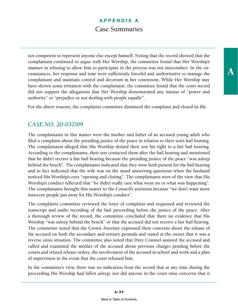not competent to represent anyone else except himself. Noting that the record showed that the complainant continued to argue with Her Worship, the committee found that Her Worship's manner in refusing to allow him to participate in the process was not misconduct. In the circumstances, her response and tone were sufficiently forceful and authoritative to manage the complainant and maintain control and decorum in her courtroom. While Her Worship may have shown some irritation with the complainant, the committee found that the court record did not support the allegations that Her Worship demonstrated any misuse of "power and authority" or "prejudice or not dealing with people equally".

For the above reasons, the complaints committee dismissed the complaint and closed its file.

### *CASE NO. 20-037/09*

The complainants in this matter were the mother and father of an accused young adult who filed a complaint about the presiding justice of the peace in relation to their son's bail hearing. The complainants alleged that His Worship denied their son his right to a fair bail hearing. According to the complainants, their son contacted them after the bail hearing and mentioned that he didn't receive a fair bail hearing because the presiding justice of the peace "was asleep behind the bench". The complainants indicated that they were both present for the bail hearing and in fact indicated that the wife was on the stand answering questions when the husband noticed His Worship's eyes "opening and closing". The complainants were of the view that His Worship's conduct reflected that "he didn't really care what went on or what was happening". The complainants brought this matter to the Council's attention because "we don't want more innocent people put away for His Worship's conduct".

The complaints committee reviewed the letter of complaint and requested and reviewed the transcript and audio recording of the bail proceeding before the justice of the peace. After a thorough review of the record, the committee concluded that there no evidence that His Worship "was asleep behind the bench" or that the accused did not receive a fair bail hearing. The committee noted that the Crown Attorney expressed their concerns about the release of the accused on both the secondary and tertiary grounds and stated at the outset that it was a reverse onus situation. The committee also noted that Duty Counsel assisted the accused and called and examined the mother of the accused about previous charges pending before the courts and related release orders, the involvement of the accused in school and work and a plan of supervision in the event that the court released him.

In the committee's view, there was no indication from the record that at any time during the proceeding His Worship had fallen asleep; nor did anyone in the court raise concerns that it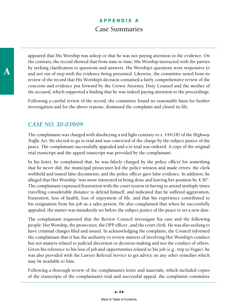appeared that His Worship was asleep or that he was not paying attention to the evidence. On the contrary, the record showed that from time to time, His Worship interacted with the parties by seeking clarification to questions and answers. His Worship's questions were responsive to and not out of step with the evidence being presented. Likewise, the committee noted from its review of the record that His Worship's decision contained a fairly comprehensive review of the concerns and evidence put forward by the Crown Attorney, Duty Counsel and the mother of the accused, which supported a finding that he was indeed paying attention to the proceedings.

Following a careful review of the record, the committee found no reasonable basis for further investigation and for the above reasons, dismissed the complaint and closed its file.

#### *CASE NO. 20-039/09*

The complainant was charged with disobeying a red light contrary to s. 144(18) of the *Highway Traffic Act*. He elected to go to trial and was convicted of the charge by the subject justice of the peace. The complainant successfully appealed and a re-trial was ordered. A copy of the original trial transcript and the appeal transcript was provided by the complainant.

In his letter, he complained that: he was falsely charged by the police officer for something that he never did; the municipal prosecutor led the police witness and made errors; the clerk withheld and issued false documents; and the police officer gave false evidence. In addition, he alleged that Her Worship "was more interested in being done and leaving her position by 4:30". The complainant expressed frustration with the court system in having to attend multiple times travelling considerable distance to defend himself, and indicated that he suffered aggravation, frustration, loss of health, loss of enjoyment of life, and that his experience contributed to his resignation from his job as a sales person. He also complained that when he successfully appealed, the matter was mistakenly set before the subject justice of the peace to set a new date.

The complainant requested that the Review Council investigate his case and the following people: Her Worship, the prosecutor, the OPP officer , and the court clerk. He was also seeking to have criminal charges filed and issued. In acknowledging the complaint, the Council informed the complainant that it has the authority to review matters of involving Her Worship's conduct but not matters related to judicial discretion or decision-making and not the conduct of others. Given his reference to his loss of job and opportunities related to his job (e.g., trip to Vegas), he was also provided with the Lawyer Referral Service to get advice on any other remedies which may be available to him.

Following a thorough review of the complainant's letter and materials, which included copies of the transcripts of the complainant's trial and successful appeal, the complaints committee

A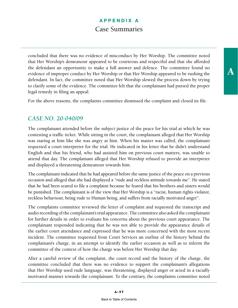concluded that there was no evidence of misconduct by Her Worship. The committee noted that Her Worship's demeanour appeared to be courteous and respectful and that she afforded the defendant an opportunity to make a full answer and defence. The committee found no evidence of improper conduct by Her Worship or that Her Worship appeared to be rushing the defendant. In fact, the committee noted that Her Worship slowed the process down by trying to clarify some of the evidence. The committee felt that the complainant had pursed the proper legal remedy in filing an appeal.

For the above reasons, the complaints committee dismissed the complaint and closed its file.

### *CASE NO. 20-040/09*

The complainant attended before the subject justice of the peace for his trial at which he was contesting a traffic ticket. While sitting in the court, the complainant alleged that Her Worship was staring at him like she was angry at him. When his matter was called, the complainant requested a court interpreter for the trial. He indicated in his letter that he didn't understand English and that his friend, who had assisted him on previous court matters, was unable to attend that day. The complainant alleged that Her Worship refused to provide an interpreter and displayed a threatening demeanour towards him.

The complainant indicated that he had appeared before the same justice of the peace on a previous occasion and alleged that she had displayed a "rude and reckless attitude towards me". He stated that he had been scared to file a complaint because he feared that his brothers and sisters would be punished. The complainant is of the view that Her Worship is a "racist, human rights violator, reckless behaviour, being rude to Human being, and suffers from racially motivated anger".

The complaints committee reviewed the letter of complaint and requested the transcript and audio recording of the complainant's trial appearance. The committee also asked the complainant for further details in order to evaluate his concerns about the previous court appearance. The complainant responded indicating that he was not able to provide the appearance details of the earlier court attendance and expressed that he was more concerned with the most recent incident. The committee requested from Court Services an outline of the history behind the complainant's charge, in an attempt to identify the earlier occasion as well as to inform the committee of the context of how the charge was before Her Worship that day.

After a careful review of the complaint, the court record and the history of the charge, the committee concluded that there was no evidence to support the complainant's allegations that Her Worship used rude language, was threatening, displayed anger or acted in a racially motivated manner towards the complainant. To the contrary, the complaints committee noted

A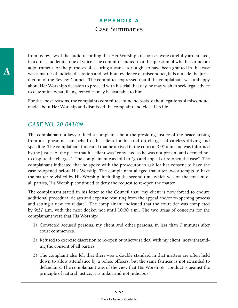from its review of the audio recording that Her Worship's responses were carefully articulated, in a quiet, moderate tone of voice. The committee noted that the question of whether or not an adjournment for the purposes of securing a translator ought to have been granted in this case was a matter of judicial discretion and, without evidence of misconduct, falls outside the jurisdiction of the Review Council. The committee expressed that if the complainant was unhappy about Her Worship's decision to proceed with his trial that day, he may wish to seek legal advice to determine what, if any, remedies may be available to him.

For the above reasons, the complaints committee found no basis to the allegations of misconduct made about Her Worship and dismissed the complaint and closed its file.

### *CASE NO. 20-041/09*

The complainant, a lawyer, filed a complaint about the presiding justice of the peace arising from an appearance on behalf of his client for his trial on charges of careless driving and speeding. The complainant indicated that he arrived in the court at 9:07 a.m. and was informed by the justice of the peace that his client was "convicted as he was not present and deemed not to dispute the charges". The complainant was told to "go and appeal or re-open the case". The complainant indicated that he spoke with the prosecutor to ask for her consent to have the case re-opened before His Worship. The complainant alleged that after two attempts to have the matter re-visited by His Worship, including the second time which was on the consent of all parties, His Worship continued to deny the request to re-open the matter.

The complainant stated in his letter to the Council that "my client is now forced to endure additional procedural delays and expense resulting from the appeal and/or re-opening process and setting a new court date". The complainant indicated that the court tier was completed by 9:37 a.m. with the next docket not until 10:30 a.m.. The two areas of concerns for the complainant were that His Worship:

- 1) Convicted accused persons, my client and other persons, in less than 7 minutes after court commences.
- 2) Refused to exercise discretion to re-open or otherwise deal with my client, notwithstanding the consent of all parties.
- 3) The complaint also felt that there was a double standard in that matters are often held down to allow attendance by a police officers, but the same fairness is not extended to defendants. The complainant was of the view that His Worship's "conduct is against the principle of natural justice; it is unfair and not judicious".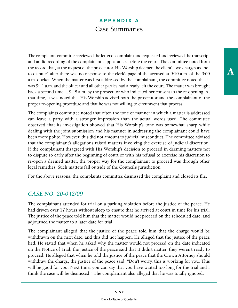The complaints committee reviewed the letter of complaint and requested and reviewed the transcript and audio recording of the complainant's appearances before the court. The committee noted from the record that, at the request of the prosecutor, His Worship deemed the client's two charges as "not to dispute" after there was no response to the clerk's page of the accused at 9:10 a.m. of the 9:00 a.m. docket. When the matter was first addressed by the complainant, the committee noted that it was 9:41 a.m. and the officer and all other parties had already left the court. The matter was brought back a second time at 9:48 a.m. by the prosecutor who indicated her consent to the re-opening. At that time, it was noted that His Worship advised both the prosecutor and the complainant of the proper re-opening procedure and that he was not willing to circumvent that process.

The complaints committee noted that often the tone or manner in which a matter is addressed can leave a party with a stronger impression than the actual words used. The committee observed that its investigation showed that His Worship's tone was somewhat sharp while dealing with the joint submission and his manner in addressing the complainant could have been more polite. However, this did not amount to judicial misconduct. The committee advised that the complainant's allegations raised matters involving the exercise of judicial discretion. If the complainant disagreed with His Worship's decision to proceed in deeming matters not to dispute so early after the beginning of court or with his refusal to exercise his discretion to re-open a deemed matter, the proper way for the complainant to proceed was through other legal remedies. Such matters fall outside of the Council's jurisdiction.

For the above reasons, the complaints committee dismissed the complaint and closed its file.

#### *CASE NO. 20-042/09*

The complainant attended for trial on a parking violation before the justice of the peace. He had driven over 17 hours without sleep to ensure that he arrived at court in time for his trial. The justice of the peace told him that the matter would not proceed on the scheduled date, and adjourned the matter to a later date for trial.

The complainant alleged that the justice of the peace told him that the charge would be withdrawn on the next date, and this did not happen. He alleged that the justice of the peace lied. He stated that when he asked why the matter would not proceed on the date indicated on the Notice of Trial, the justice of the peace said that it didn't matter, they weren't ready to proceed. He alleged that when he told the justice of the peace that the Crown Attorney should withdraw the charge, the justice of the peace said, "Don't worry, this is working for you. This will be good for you. Next time, you can say that you have waited too long for the trial and I think the case will be dismissed." The complainant also alleged that he was totally ignored.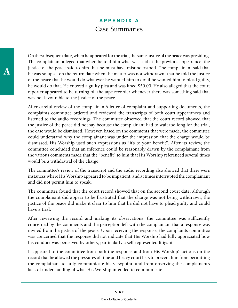On the subsequent date, when he appeared for the trial, the same justice of the peace was presiding. The complainant alleged that when he told him what was said at the previous appearance, the justice of the peace said to him that he must have misunderstood. The complainant said that he was so upset on the return date when the matter was not withdrawn, that he told the justice of the peace that he would do whatever he wanted him to do; if he wanted him to plead guilty, he would do that. He entered a guilty plea and was fined \$50.00. He also alleged that the court reporter appeared to be turning off the tape recorder whenever there was something said that was not favourable to the justice of the peace.

After careful review of the complainant's letter of complaint and supporting documents, the complaints committee ordered and reviewed the transcripts of both court appearances and listened to the audio recordings. The committee observed that the court record showed that the justice of the peace did not say because the complainant had to wait too long for the trial, the case would be dismissed. However, based on the comments that were made, the committee could understand why the complainant was under the impression that the charge would be dismissed. His Worship used such expressions as "it's to your benefit". After its review, the committee concluded that an inference could be reasonably drawn by the complainant from the various comments made that the "benefit" to him that His Worship referenced several times would be a withdrawal of the charge.

The committee's review of the transcript and the audio recording also showed that there were instances where His Worship appeared to be impatient, and at times interrupted the complainant and did not permit him to speak.

The committee found that the court record showed that on the second court date, although the complainant did appear to be frustrated that the charge was not being withdrawn, the justice of the peace did make it clear to him that he did not have to plead guilty and could have a trial.

After reviewing the record and making its observations, the committee was sufficiently concerned by the comments and the perception left with the complainant that a response was invited from the justice of the peace. Upon receiving the response, the complaints committee was concerned that the response did not indicate that His Worship had fully appreciated how his conduct was perceived by others, particularly a self-represented litigant.

It appeared to the committee from both the response and from His Worship's actions on the record that he allowed the pressures of time and heavy court lists to prevent him from permitting the complainant to fully communicate his viewpoint, and from observing the complainant's lack of understanding of what His Worship intended to communicate.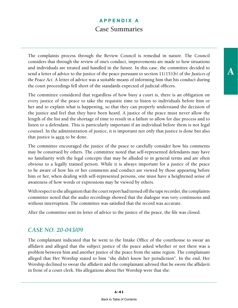The complaints process through the Review Council is remedial in nature. The Council considers that through the review of one's conduct, improvements are made to how situations and individuals are treated and handled in the future. In this case, the committee decided to send a letter of advice to the justice of the peace pursuant to section 11(15)(b) of the *Justices of the Peace Act*. A letter of advice was a suitable means of informing him that his conduct during the court proceedings fell short of the standards expected of judicial officers.

The committee considered that regardless of how busy a court is, there is an obligation on every justice of the peace to take the requisite time to listen to individuals before him or her and to explain what is happening, so that they can properly understand the decision of the justice and feel that they have been heard. A justice of the peace must never allow the length of the list and the shortage of time to result in a failure to allow for due process and to listen to a defendant. This is particularly important if an individual before them is not legal counsel. In the administration of justice, it is important not only that justice is done but also that justice is seen to be done.

The committee encouraged the justice of the peace to carefully consider how his comments may be construed by others. The committee noted that self-represented defendants may have no familiarity with the legal concepts that may be alluded to in general terms and are often obvious to a legally trained person. While it is always important for a justice of the peace to be aware of how his or her comments and conduct are viewed by those appearing before him or her, when dealing with self-represented persons, one must have a heightened sense of awareness of how words or expressions may be viewed by others.

With respect to the allegation that the court report had turned off the tape recorder, the complaints committee noted that the audio recordings showed that the dialogue was very continuous and without interruption. The committee was satisfied that the record was accurate.

After the committee sent its letter of advice to the justice of the peace, the file was closed.

#### *CASE NO. 20-043/09*

The complainant indicated that he went to the Intake Office of the courthouse to swear an affidavit and alleged that the subject justice of the peace asked whether or not there was a problem between him and another justice of the peace from the same region. The complainant alleged that Her Worship stated to him "she didn't know her jurisdiction". In the end, Her Worship declined to swear the affidavit and the complainant advised that he swore the affidavit in front of a court clerk. His allegations about Her Worship were that she: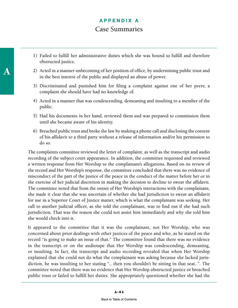- 1) Failed to fulfill her administrative duties which she was bound to fulfill and therefore obstructed justice.
- 2) Acted in a manner unbecoming of her position of office, by undermining public trust and in the best interest of the public and displayed an abuse of power.
- 3) Discriminated and punished him for filing a complaint against one of her peers; a complaint she should have had no knowledge of.
- 4) Acted in a manner that was condescending, demeaning and insulting to a member of the public.
- 5) Had his documents in her hand, reviewed them and was prepared to commission them until she became aware of his identity.
- 6) Breached public trust and broke the law by making a phone call and disclosing the content of his affidavit to a third party without a release of information and/or his permission to do so.

The complaints committee reviewed the letter of complaint, as well as the transcript and audio recording of the subject court appearance. In addition, the committee requested and reviewed a written response from Her Worship to the complainant's allegations. Based on its review of the record and Her Worship's response, the committee concluded that there was no evidence of misconduct of the part of the justice of the peace in the conduct of the matter before her or in the exercise of her judicial discretion in making the decision to decline to swear the affidavit. The committee noted that from the outset of Her Worship's interactions with the complainant, she made it clear that she was uncertain of whether she had jurisdiction to swear an affidavit for use in a Superior Court of Justice matter, which is what the complainant was seeking. Her call to another judicial officer, as she told the complainant, was to find out if she had such jurisdiction. That was the reason she could not assist him immediately and why she told him she would check into it.

It appeared to the committee that it was the complainant, not Her Worship, who was concerned about prior dealings with other justices of the peace and who, as he stated on the record "is going to make an issue of that." The committee found that there was no evidence in the transcript or on the audiotape that Her Worship was condescending, demeaning, or insulting. In fact, the transcript and audio recording revealed that when Her Worship explained that she could not do what the complainant was asking because she lacked jurisdiction, he was insulting to her stating ".. then you shouldn't be sitting in that seat..". The committee noted that there was no evidence that Her Worship obstructed justice or breached public trust or failed to fulfill her duties. She appropriately questioned whether she had the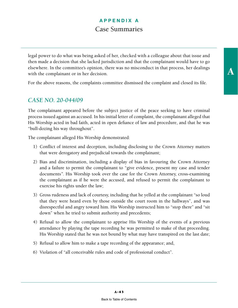legal power to do what was being asked of her, checked with a colleague about that issue and then made a decision that she lacked jurisdiction and that the complainant would have to go elsewhere. In the committee's opinion, there was no misconduct in that process, her dealings with the complainant or in her decision.

For the above reasons, the complaints committee dismissed the complaint and closed its file.

### *CASE NO. 20-044/09*

The complainant appeared before the subject justice of the peace seeking to have criminal process issued against an accused. In his initial letter of complaint, the complainant alleged that His Worship acted in bad faith, acted in open defiance of law and procedure, and that he was "bull-dozing his way throughout".

The complainant alleged His Worship demonstrated:

- 1) Conflict of interest and deception, including disclosing to the Crown Attorney matters that were derogatory and prejudicial towards the complainant;
- 2) Bias and discrimination, including a display of bias in favouring the Crown Attorney and a failure to permit the complainant to "give evidence, present my case and tender documents*".* His Worship took over the case for the Crown Attorney, cross-examining the complainant as if he were the accused, and refused to permit the complainant to exercise his rights under the law;
- 3) Gross rudeness and lack of courtesy, including that he yelled at the complainant "so loud that they were heard even by those outside the court room in the hallways", and was disrespectful and angry toward him. His Worship instructed him to "stop there" and "sit down" when he tried to submit authority and precedents;
- 4) Refusal to allow the complainant to apprise His Worship of the events of a previous attendance by playing the tape recording he was permitted to make of that proceeding. His Worship stated that he was not bound by what may have transpired on the last date;
- 5) Refusal to allow him to make a tape recording of the appearance; and,
- 6) Violation of "all conceivable rules and code of professional conduct".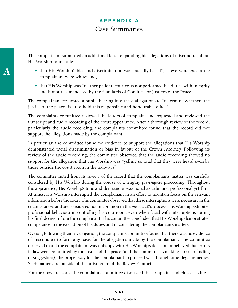The complainant submitted an additional letter expanding his allegations of misconduct about His Worship to include:

- that His Worship's bias and discrimination was "racially based", as everyone except the complainant were white; and,
- that His Worship was "neither patient, courteous nor performed his duties with integrity and honour as mandated by the Standards of Conduct for Justices of the Peace.

The complainant requested a public hearing into these allegations to "determine whether [the justice of the peace] is fit to hold this responsible and honourable office".

The complaints committee reviewed the letters of complaint and requested and reviewed the transcript and audio recording of the court appearance. After a thorough review of the record, particularly the audio recording, the complaints committee found that the record did not support the allegations made by the complainant.

In particular, the committee found no evidence to support the allegations that His Worship demonstrated racial discrimination or bias in favour of the Crown Attorney. Following its review of the audio recording, the committee observed that the audio recording showed no support for the allegation that His Worship was "yelling so loud that they were heard even by those outside the court room in the hallways".

The committee noted from its review of the record that the complainant's matter was carefully considered by His Worship during the course of a lengthy *pre-enquête* proceeding. Throughout the appearance, His Worship's tone and demeanour was noted as calm and professional yet firm. At times, His Worship interrupted the complainant in an effort to maintain focus on the relevant information before the court. The committee observed that these interruptions were necessary in the circumstances and are considered not uncommon in the *pre-enquête* process. His Worship exhibited professional behaviour in controlling his courtroom, even when faced with interruptions during his final decision from the complainant. The committee concluded that His Worship demonstrated competence in the execution of his duties and in considering the complainant's matters.

Overall, following their investigation, the complaints committee found that there was no evidence of misconduct to form any basis for the allegations made by the complainant. The committee observed that if the complainant was unhappy with His Worship's decision or believed that errors in law were committed by the justice of the peace (and the committee is making no such finding or suggestion), the proper way for the complainant to proceed was through other legal remedies. Such matters are outside of the jurisdiction of the Review Council.

For the above reasons, the complaints committee dismissed the complaint and closed its file.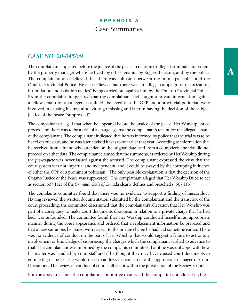The complainant appeared before the justice of the peace in relation to alleged criminal harassment by the property manager where he lived, by other tenants, by Rogers Telecom, and by the police. The complainant also believed that there was collusion between the municipal police and the Ontario Provincial Police. He also believed that there was an "illegal campaign of terrorization, intimidation and isolation tactics" being carried out against him by the Ontario Provincial Police. From the complaint, it appeared that the complainant had sought a private information against a fellow tenant for an alleged assault. He believed that the OPP and a provincial politician were involved in causing his first affidavit to go missing and later in having the decision of the subject justice of the peace "suppressed".

The complainant alleged that when he appeared before the justice of the peace, Her Worship issued process and there was to be a trial of a charge against the complainant's tenant for the alleged assault of the complainant. The complainant indicated that he was informed by police that the trial was to be heard on one date, and he was later advised it was to be earlier that year. According to information that he received from a friend who attended on the original date, and from a court clerk, the trial did not proceed on either date. The complainant claimed that the summons, as ordered by Her Worship during the *pre-enquête* was never issued against the accused. The complainant expressed the view that the court system was not impartial and independent, and it could be swayed by the corrupting influence of either the OPP or a prominent politician. "The only possible explanation is that the decision of the Ontario Justice of the Peace was suppressed". The complainant alleged that Her Worship failed to act as section 507.1(2) of the *Criminal Code of Canada* clearly defines and breached s. 507.1(5).

The complaints committee found that there was no evidence to support a finding of misconduct. Having reviewed the written documentation submitted by the complainant and the transcript of the court proceeding, the committee determined that the complainant's allegation that Her Worship was part of a conspiracy to make court documents disappear, in relation to a private charge that he had laid, was unfounded. The committee found that Her Worship conducted herself in an appropriate manner during the court appearance and ordered that a replacement information be prepared and that a new summons be issued with respect to the private charge he had laid sometime earlier. There was no evidence of conduct on the part of Her Worship that would suggest a failure to act or any involvement or knowledge of suppressing the charges which the complainant wished to advance to trial. The complainant was informed by the complaints committee that if he was unhappy with how his matter was handled by court staff and if he thought they may have caused court documents to go missing or be lost, he would need to address his concerns to the appropriate manager of Court Operations. The review of conduct of court staff is not within the jurisdiction of the Review Council.

For the above reasons, the complaints committee dismissed the complaint and closed its file.

A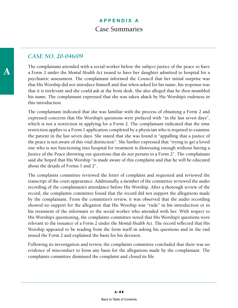#### *CASE NO. 20-046/09*

The complainant attended with a social worker before the subject justice of the peace to have a Form 2 under the *Mental Health Act* issued to have her daughter admitted to hospital for a psychiatric assessment. The complainant informed the Council that her initial surprise was that His Worship did not introduce himself and that when asked for his name, his response was that it is irrelevant and she could ask at the front desk. She also alleged that he then mumbled his name. The complainant expressed that she was taken aback by His Worship's rudeness in this introduction.

The complainant indicated that she was familiar with the process of obtaining a Form 2 and expressed concerns that His Worship's questions were prefaced with "in the last seven days", which is not a restriction in applying for a Form 2. The complainant indicated that the time restriction applies to a Form 1 application completed by a physician who is required to examine the patient in the last seven days. She stated that she was found it "appalling that a justice of the peace is not aware of this vital distinction". She further expressed that "trying to get a loved one who is not functioning into hospital for treatment is distressing enough without having a Justice of the Peace throwing out questions that do not pertain to a Form 2". The complainant said she hoped that His Worship "is made aware of this complaint and that he will be educated about the details of Forms 1 and 2".

The complaints committee reviewed the letter of complaint and requested and reviewed the transcript of the court appearance. Additionally, a member of the committee reviewed the audio recording of the complainant's attendance before His Worship. After a thorough review of the record, the complaints committee found that the record did not support the allegations made by the complainant. From the committee's review, it was observed that the audio recording showed no support for the allegation that His Worship was "rude" in his introduction or in his treatment of the informant or the social worker who attended with her. With respect to His Worship's questioning, the complaints committee noted that His Worship's questions were relevant to the issuance of a Form 2 under the *Mental Health Act*. The record reflected that His Worship appeared to be reading from the form itself in asking his questions and in the end issued the Form 2 and explained the basis for his decision.

Following its investigation and review, the complaints committee concluded that there was no evidence of misconduct to form any basis for the allegations made by the complainant. The complaints committee dismissed the complaint and closed its file.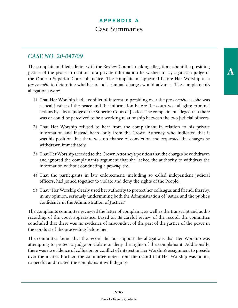#### *CASE NO. 20-047/09*

The complainant filed a letter with the Review Council making allegations about the presiding justice of the peace in relation to a private information he wished to lay against a judge of the Ontario Superior Court of Justice. The complainant appeared before Her Worship at a *pre*-*enquête* to determine whether or not criminal charges would advance. The complainant's allegations were:

- 1) That Her Worship had a conflict of interest in presiding over the *pre*-*enquête*, as she was a local justice of the peace and the information before the court was alleging criminal actions by a local judge of the Superior Court of Justice. The complainant alleged that there was or could be perceived to be a working relationship between the two judicial officers.
- 2) That Her Worship refused to hear from the complainant in relation to his private information and instead heard only from the Crown Attorney, who indicated that it was his position that there was no chance of conviction and requested the charges be withdrawn immediately.
- 3) That Her Worship acceded to the Crown Attorney's position that the charges be withdrawn and ignored the complainant's argument that she lacked the authority to withdraw the information without conducting a *pre*-*enquête*.
- 4) That the participants in law enforcement, including so called independent judicial officers, had joined together to violate and deny the rights of the People.
- 5) That "Her Worship clearly used her authority to protect her colleague and friend, thereby, in my opinion, seriously undermining both the Administration of Justice and the public's confidence in the Administration of Justice."

The complaints committee reviewed the letter of complaint, as well as the transcript and audio recording of the court appearance. Based on its careful review of the record, the committee concluded that there was no evidence of misconduct of the part of the justice of the peace in the conduct of the proceeding before her.

The committee found that the record did not support the allegations that Her Worship was attempting to protect a judge or violate or deny the rights of the complainant. Additionally, there was no evidence of collusion or conflict of interest in Her Worship's assignment to preside over the matter. Further, the committee noted from the record that Her Worship was polite, respectful and treated the complainant with dignity.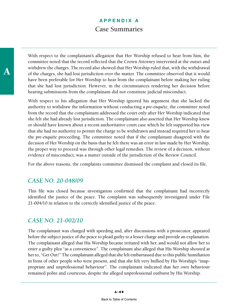With respect to the complainant's allegation that Her Worship refused to hear from him, the committee noted that the record reflected that the Crown Attorney intervened at the outset and withdrew the charges. The record also showed that Her Worship ruled that, with the withdrawal of the charges, she had lost jurisdiction over the matter. The committee observed that it would have been preferable for Her Worship to hear from the complainant before making her ruling that she had lost jurisdiction. However, in the circumstances rendering her decision before hearing submissions from the complainant did not constitute judicial misconduct.

With respect to his allegation that Her Worship ignored his argument that she lacked the authority to withdraw the information without conducting a *pre-enquête*, the committee noted from the record that the complainant addressed the court only after Her Worship indicated that she felt she had already lost jurisdiction. The complainant also asserted that Her Worship knew or should have known about a recent authoritative court case which he felt supported his view that she had no authority to permit the charge to be withdrawn and instead required her to hear the *pre-enquête* proceeding. The committee noted that if the complainant disagreed with the decision of Her Worship on the basis that he felt there was an error in law made by Her Worship, the proper way to proceed was through other legal remedies. The review of a decision, without evidence of misconduct, was a matter outside of the jurisdiction of the Review Council.

For the above reasons, the complaints committee dismissed the complaint and closed its file.

#### *CASE NO. 20-048/09*

This file was closed because investigation confirmed that the complainant had incorrectly identified the justice of the peace. The complaint was subsequently investigated under File 21-004/10 in relation to the correctly identified justice of the peace.

#### *CASE NO. 21-002/10*

The complainant was charged with speeding and, after discussions with a prosecutor, appeared before the subject justice of the peace to plead guilty to a lesser charge and provide an explanation. The complainant alleged that His Worship became irritated with her, and would not allow her to enter a guilty plea "as a convenience". The complainant also alleged that His Worship shouted at her to, "Get Out!" The complainant alleged that she felt embarrassed due to this public humiliation in front of other people who were present, and that she felt very bullied by His Worship's "inappropriate and unprofessional behaviour". The complainant indicated that her own behaviour remained polite and courteous, despite the alleged unprofessional outburst by His Worship.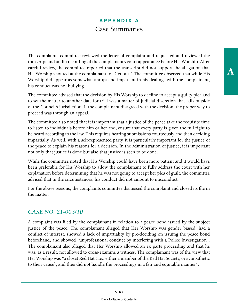The complaints committee reviewed the letter of complaint and requested and reviewed the transcript and audio recording of the complainant's court appearance before His Worship. After careful review, the committee reported that the transcript did not support the allegation that His Worship shouted at the complainant to "Get out!" The committee observed that while His Worship did appear as somewhat abrupt and impatient in his dealings with the complainant, his conduct was not bullying.

The committee advised that the decision by His Worship to decline to accept a guilty plea and to set the matter to another date for trial was a matter of judicial discretion that falls outside of the Council's jurisdiction. If the complainant disagreed with the decision, the proper way to proceed was through an appeal.

The committee also noted that it is important that a justice of the peace take the requisite time to listen to individuals before him or her and, ensure that every party is given the full right to be heard according to the law. This requires hearing submissions courteously and then deciding impartially. As well, with a self-represented party, it is particularly important for the justice of the peace to explain his reasons for a decision. In the administration of justice, it is important not only that justice is done but also that justice is seen to be done.

While the committee noted that His Worship could have been more patient and it would have been preferable for His Worship to allow the complainant to fully address the court with her explanation before determining that he was not going to accept her plea of guilt, the committee advised that in the circumstances, his conduct did not amount to misconduct.

For the above reasons, the complaints committee dismissed the complaint and closed its file in the matter.

#### *CASE NO. 21-003/10*

A complaint was filed by the complainant in relation to a peace bond issued by the subject justice of the peace. The complainant alleged that Her Worship was gender biased, had a conflict of interest, showed a lack of impartiality by pre-deciding on issuing the peace bond beforehand, and showed "unprofessional conduct by interfering with a Police Investigation". The complainant also alleged that Her Worship allowed an ex parte proceeding and that he was, as a result, not allowed to cross-examine a witness. The complainant was of the view that Her Worship was "a closet Red Hat (i.e., either a member of the Red Hat Society, or sympathetic to their cause), and thus did not handle the proceedings in a fair and equitable manner".

A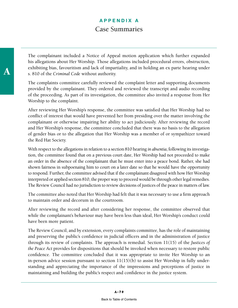The complainant included a Notice of Appeal motion application which further expanded his allegations about Her Worship. Those allegations included procedural errors, obstruction, exhibiting bias, favouritism and lack of impartiality, and in holding an ex parte hearing under s. 810 of the *Criminal Code* without authority.

The complaints committee carefully reviewed the complaint letter and supporting documents provided by the complainant. They ordered and reviewed the transcript and audio recording of the proceeding. As part of its investigation, the committee also invited a response from Her Worship to the complaint.

After reviewing Her Worship's response, the committee was satisfied that Her Worship had no conflict of interest that would have prevented her from presiding over the matter involving the complainant or otherwise impairing her ability to act judiciously. After reviewing the record and Her Worship's response, the committee concluded that there was no basis to the allegation of gender bias or to the allegation that Her Worship was a member of or sympathizer toward the Red Hat Society.

With respect to the allegations in relation to a section 810 hearing *in absentia*, following its investigation, the committee found that on a previous court date, Her Worship had not proceeded to make an order in the absence of the complainant that he must enter into a peace bond. Rather, she had shown fairness in subpoenaing him to court on a later date so that he would have the opportunity to respond. Further, the committee advised that if the complainant disagreed with how Her Worship interpreted or applied section 810, the proper way to proceed would be through other legal remedies. The Review Council had no jurisdiction to review decisions of justices of the peace in matters of law.

The committee also noted that Her Worship had felt that it was necessary to use a firm approach to maintain order and decorum in the courtroom.

After reviewing the record and after considering her response, the committee observed that while the complainant's behaviour may have been less than ideal, Her Worship's conduct could have been more patient.

The Review Council, and by extension, every complaints committee, has the role of maintaining and preserving the public's confidence in judicial officers and in the administration of justice through its review of complaints. The approach is remedial. Section 11(15) of the *Justices of the Peace Act* provides for dispositions that should be invoked when necessary to restore public confidence. The committee concluded that it was appropriate to invite Her Worship to an in-person advice session pursuant to section 11(15)(b) to assist Her Worship in fully understanding and appreciating the importance of the impressions and perceptions of justice in maintaining and building the public's respect and confidence in the justice system.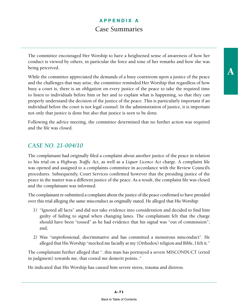The committee encouraged Her Worship to have a heightened sense of awareness of how her conduct is viewed by others, in particular the force and tone of her remarks and how she was being perceived.

While the committee appreciated the demands of a busy courtroom upon a justice of the peace and the challenges that may arise, the committee reminded Her Worship that regardless of how busy a court is, there is an obligation on every justice of the peace to take the required time to listen to individuals before him or her and to explain what is happening, so that they can properly understand the decision of the justice of the peace. This is particularly important if an individual before the court is not legal counsel. In the administration of justice, it is important not only that justice is done but also that justice is seen to be done.

Following the advice meeting, the committee determined that no further action was required and the file was closed.

#### *CASE NO. 21-004/10*

The complainant had originally filed a complaint about another justice of the peace in relation to his trial on a *Highway Traffic Act*, as well as a *Liquor Licence Act* charge. A complaint file was opened and assigned to a complaints committee in accordance with the Review Council's procedures. Subsequently, Court Services confirmed however that the presiding justice of the peace in the matter was a different justice of the peace. As a result, the complaint file was closed and the complainant was informed.

The complainant re-submitted a complaint about the justice of the peace confirmed to have presided over this trial alleging the same misconduct as originally stated. He alleged that His Worship:

- 1) "Ignored all facts" and did not take evidence into consideration and decided to find him guilty of failing to signal when changing lanes. The complainant felt that the charge should have been "tossed" as he had evidence that his signal was "out of commission"; and,
- 2) Was "unprofessional, discriminative and has committed a monstrous misconduct". He alleged that His Worship "mocked me facially at my (Orthodox) religion and Bible, I felt it."

The complainant further alleged that "..this man has portrayed a severe MISCONDUCT (erred in judgment) towards me, that costed me demerit points.."

He indicated that His Worship has caused him severe stress, trauma and distress.

A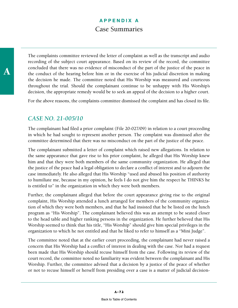The complaints committee reviewed the letter of complaint as well as the transcript and audio recording of the subject court appearance. Based on its review of the record, the committee concluded that there was no evidence of misconduct of the part of the justice of the peace in the conduct of the hearing before him or in the exercise of his judicial discretion in making the decision he made. The committee noted that His Worship was measured and courteous throughout the trial. Should the complainant continue to be unhappy with His Worship's decision, the appropriate remedy would be to seek an appeal of the decision to a higher court.

For the above reasons, the complaints committee dismissed the complaint and has closed its file.

#### *CASE NO. 21-005/10*

The complainant had filed a prior complaint (File 20-027/09) in relation to a court proceeding in which he had sought to represent another person. The complaint was dismissed after the committee determined that there was no misconduct on the part of the justice of the peace.

The complainant submitted a letter of complaint which raised new allegations. In relation to the same appearance that gave rise to his prior complaint, he alleged that His Worship knew him and that they were both members of the same community organization. He alleged that the justice of the peace had a legal obligation to declare a conflict of interest and to adjourn the case immediately. He also alleged that His Worship "used and abused his position of authority to humiliate me, because in my opinion, he feels I do not give him the respect he THINKS he is entitled to" in the organization in which they were both members.

Further, the complainant alleged that before the court appearance giving rise to the original complaint, His Worship attended a lunch arranged for members of the community organization of which they were both members, and that he had insisted that he be listed on the lunch program as "His Worship". The complainant believed this was an attempt to be seated closer to the head table and higher ranking persons in the organization. He further believed that His Worship seemed to think that his title, "His Worship" should give him special privileges in the organization to which he not entitled and that he liked to refer to himself as a "Mini Judge".

The committee noted that at the earlier court proceeding, the complainant had never raised a concern that His Worship had a conflict of interest in dealing with the case. Nor had a request been made that His Worship should recuse himself from the case. Following its review of the court record, the committee noted no familiarity was evident between the complainant and His Worship. Further, the committee advised that a decision by a justice of the peace of whether or not to recuse himself or herself from presiding over a case is a matter of judicial decision-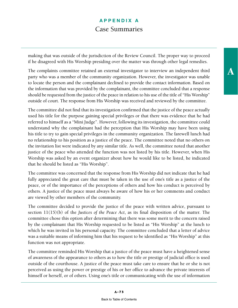making that was outside of the jurisdiction of the Review Council. The proper way to proceed if he disagreed with His Worship presiding over the matter was through other legal remedies.

The complaints committee retained an external investigator to interview an independent third party who was a member of the community organization. However, the investigator was unable to locate the person and the complainant declined to provide the contact information. Based on the information that was provided by the complainant, the committee concluded that a response should be requested from the justice of the peace in relation to his use of the title of "His Worship" outside of court. The response from His Worship was received and reviewed by the committee.

The committee did not find that its investigation confirmed that the justice of the peace actually used his title for the purpose gaining special privileges or that there was evidence that he had referred to himself as a "Mini Judge". However, following its investigation, the committee could understand why the complainant had the perception that His Worship may have been using his title to try to gain special privileges in the community organization. The farewell lunch had no relationship to his position as a justice of the peace. The committee noted that no others on the invitation list were indicated by any similar title. As well, the committee noted that another justice of the peace who attended the function was not listed by his title. However, when His Worship was asked by an event organizer about how he would like to be listed, he indicated that he should be listed as "His Worship".

The committee was concerned that the response from His Worship did not indicate that he had fully appreciated the great care that must be taken in the use of one's title as a justice of the peace, or of the importance of the perceptions of others and how his conduct is perceived by others. A justice of the peace must always be aware of how his or her comments and conduct are viewed by other members of the community.

The committee decided to provide the justice of the peace with written advice, pursuant to section 11(15)(b) of the *Justices of the Peace Act*, as its final disposition of the matter. The committee chose this option after determining that there was some merit to the concern raised by the complainant that His Worship requested to be listed as "His Worship" at the lunch to which he was invited in his personal capacity. The committee concluded that a letter of advice was a suitable means of informing him that his request to be identified as "His Worship" at this function was not appropriate.

The committee reminded His Worship that a justice of the peace must have a heightened sense of awareness of the appearance to others as to how the title or prestige of judicial office is used outside of the courthouse. A justice of the peace must take care to ensure that he or she is not perceived as using the power or prestige of his or her office to advance the private interests of himself or herself, or of others. Using one's title or communicating with the use of information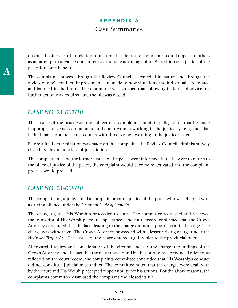on one's business card in relation to matters that do not relate to court could appear to others as an attempt to advance one's interest or to take advantage of one's position as a justice of the peace for some benefit.

The complaints process through the Review Council is remedial in nature and through the review of one's conduct, improvements are made to how situations and individuals are treated and handled in the future. The committee was satisfied that following its letter of advice, no further action was required and the file was closed.

#### *CASE NO. 21-007/10*

The justice of the peace was the subject of a complaint containing allegations that he made inappropriate sexual comments to and about women working in the justice system; and, that he had inappropriate sexual contact with three women working in the justice system.

Before a final determination was made on this complaint, the Review Council administratively closed its file due to a loss of jurisdiction.

The complainants and the former justice of the peace were informed that if he were to return to the office of justice of the peace, the complaint would become re-activated and the complaint process would proceed.

#### *CASE NO. 21-008/10*

The complainant, a judge, filed a complaint about a justice of the peace who was charged with a driving offence under the *Criminal Code of Canada.* 

The charge against His Worship proceeded to court. The committee requested and reviewed the transcript of His Worship's court appearance. The court record confirmed that the Crown Attorney concluded that the facts leading to the charge did not support a criminal charge. The charge was withdrawn. The Crown Attorney proceeded with a lesser driving charge under the *Highway Traffic Act.* The justice of the peace entered a guilty plea to the provincial offence.

After careful review and consideration of the circumstances of the charge, the findings of the Crown Attorney, and the fact that the matter was found by the court to be a provincial offence, as reflected on the court record, the complaints committee concluded that His Worship's conduct did not constitute judicial misconduct. The committee noted that the charges were dealt with by the court and His Worship accepted responsibility for his actions. For the above reasons, the complaints committee dismissed the complaint and closed its file.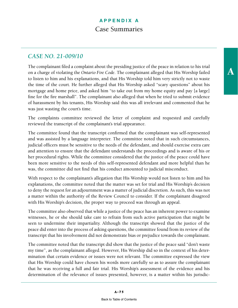The complainant filed a complaint about the presiding justice of the peace in relation to his trial on a charge of violating the *Ontario Fire Code*. The complainant alleged that His Worship failed to listen to him and his explanations, and that His Worship told him very strictly not to waste the time of the court. He further alleged that His Worship asked "scary questions" about his mortgage and home price, and asked him "to take out from my home equity and pay [a large] fine for the fire marshall". The complainant also alleged that when he tried to submit evidence of harassment by his tenants, His Worship said this was all irrelevant and commented that he was just wasting the court's time.

The complaints committee reviewed the letter of complaint and requested and carefully reviewed the transcript of the complainant's trial appearance.

The committee found that the transcript confirmed that the complainant was self-represented and was assisted by a language interpreter. The committee noted that in such circumstances, judicial officers must be sensitive to the needs of the defendant, and should exercise extra care and attention to ensure that the defendant understands the proceedings and is aware of his or her procedural rights. While the committee considered that the justice of the peace could have been more sensitive to the needs of this self-represented defendant and more helpful than he was, the committee did not find that his conduct amounted to judicial misconduct.

With respect to the complainant's allegation that His Worship would not listen to him and his explanations, the committee noted that the matter was set for trial and His Worship's decision to deny the request for an adjournment was a matter of judicial discretion. As such, this was not a matter within the authority of the Review Council to consider. If the complainant disagreed with His Worship's decision, the proper way to proceed was through an appeal.

The committee also observed that while a justice of the peace has an inherent power to examine witnesses, he or she should take care to refrain from such active participation that might be seen to undermine their impartiality. Although the transcript showed that the justice of the peace did enter into the process of asking questions, the committee found from its review of the transcript that his involvement did not demonstrate bias or prejudice towards the complainant.

The committee noted that the transcript did show that the justice of the peace said "don't waste my time", as the complainant alleged. However, His Worship did so in the context of his determination that certain evidence or issues were not relevant. The committee expressed the view that His Worship could have chosen his words more carefully so as to assure the complainant that he was receiving a full and fair trial. His Worship's assessment of the evidence and his determination of the relevance of issues presented, however, is a matter within his jurisdicA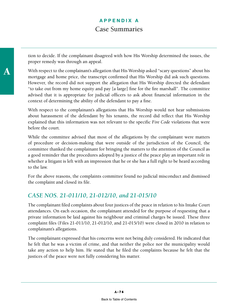tion to decide. If the complainant disagreed with how His Worship determined the issues, the proper remedy was through an appeal.

With respect to the complainant's allegation that His Worship asked "scary questions" about his mortgage and home price, the transcript confirmed that His Worship did ask such questions. However, the record did not support the allegation that His Worship directed the defendant "to take out from my home equity and pay [a large] fine for the fire marshall". The committee advised that it is appropriate for judicial officers to ask about financial information in the context of determining the ability of the defendant to pay a fine.

With respect to the complainant's allegations that His Worship would not hear submissions about harassment of the defendant by his tenants, the record did reflect that His Worship explained that this information was not relevant to the specific *Fire Code* violations that were before the court.

While the committee advised that most of the allegations by the complainant were matters of procedure or decision-making that were outside of the jurisdiction of the Council, the committee thanked the complainant for bringing the matters to the attention of the Council as a good reminder that the procedures adopted by a justice of the peace play an important role in whether a litigant is left with an impression that he or she has a full right to be heard according to the law.

For the above reasons, the complaints committee found no judicial misconduct and dismissed the complaint and closed its file.

#### *CASE NOS. 21-011/10, 21-012/10, and 21-015/10*

The complainant filed complaints about four justices of the peace in relation to his Intake Court attendances. On each occasion, the complainant attended for the purpose of requesting that a private information be laid against his neighbour and criminal charges be issued. These three complaint files (Files 21-011/10, 21-012/10, and 21-015/10) were closed in 2010 in relation to complainant's allegations.

The complainant expressed that his concerns were not being duly considered. He indicated that he felt that he was a victim of crime, and that neither the police nor the municipality would take any action to help him. He stated that he filed the complaints because he felt that the justices of the peace were not fully considering his matter.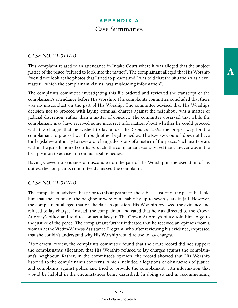A

#### *CASE NO. 21-011/10*

This complaint related to an attendance in Intake Court where it was alleged that the subject justice of the peace "refused to look into the matter". The complainant alleged that His Worship "would not look at the photos that I tried to present and I was told that the situation was a civil matter", which the complainant claims "was misleading information".

The complaints committee investigating this file ordered and reviewed the transcript of the complainant's attendance before His Worship. The complaints committee concluded that there was no misconduct on the part of His Worship. The committee advised that His Worship's decision not to proceed with laying criminal charges against the neighbour was a matter of judicial discretion, rather than a matter of conduct. The committee observed that while the complainant may have received some incorrect information about whether he could proceed with the charges that he wished to lay under the *Criminal Code*, the proper way for the complainant to proceed was through other legal remedies. The Review Council does not have the legislative authority to review or change decisions of a justice of the peace. Such matters are within the jurisdiction of courts. As such, the complainant was advised that a lawyer was in the best position to advise him on his legal remedies.

Having viewed no evidence of misconduct on the part of His Worship in the execution of his duties, the complaints committee dismissed the complaint.

#### *CASE NO. 21-012/10*

The complainant advised that prior to this appearance, the subject justice of the peace had told him that the actions of the neighbour were punishable by up to seven years in jail. However, the complainant alleged that on the date in question, His Worship reviewed the evidence and refused to lay charges. Instead, the complainant indicated that he was directed to the Crown Attorney's office and told to contact a lawyer. The Crown Attorney's office told him to go to the justice of the peace. The complainant further indicated that he received an opinion from a woman at the Victim/Witness Assistance Program, who after reviewing his evidence, expressed that she couldn't understand why His Worship would refuse to lay charges.

After careful review, the complaints committee found that the court record did not support the complainant's allegation that His Worship refused to lay charges against the complainant's neighbour. Rather, in the committee's opinion, the record showed that His Worship listened to the complainant's concerns, which included allegations of obstruction of justice and complaints against police and tried to provide the complainant with information that would be helpful in the circumstances being described. In doing so and in recommending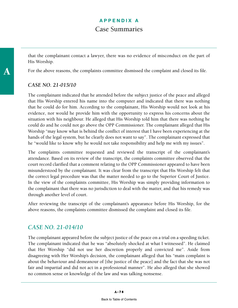that the complainant contact a lawyer, there was no evidence of misconduct on the part of His Worship.

For the above reasons, the complaints committee dismissed the complaint and closed its file.

#### *CASE NO. 21-015/10*

The complainant indicated that he attended before the subject justice of the peace and alleged that His Worship entered his name into the computer and indicated that there was nothing that he could do for him. According to the complainant, His Worship would not look at his evidence, nor would he provide him with the opportunity to express his concerns about the situation with his neighbour. He alleged that His Worship told him that there was nothing he could do and he could not go above the OPP Commissioner. The complainant alleged that His Worship "may know what is behind the conflict of interest that I have been experiencing at the hands of the legal system, but he clearly does not want to say". The complainant expressed that he "would like to know why he would not take responsibility and help me with my issues".

The complaints committee requested and reviewed the transcript of the complainant's attendance. Based on its review of the transcript, the complaints committee observed that the court record clarified that a comment relating to the OPP Commissioner appeared to have been misunderstood by the complainant. It was clear from the transcript that His Worship felt that the correct legal procedure was that the matter needed to go to the Superior Court of Justice. In the view of the complaints committee, His Worship was simply providing information to the complainant that there was no jurisdiction to deal with the matter, and that his remedy was through another level of court.

After reviewing the transcript of the complainant's appearance before His Worship, for the above reasons, the complaints committee dismissed the complaint and closed its file.

#### *CASE NO. 21-014/10*

The complainant appeared before the subject justice of the peace on a trial on a speeding ticket. The complainant indicated that he was "absolutely shocked at what I witnessed". He claimed that Her Worship "did not use her discretion properly and convicted me". Aside from disagreeing with Her Worship's decision, the complainant alleged that his "main complaint is about the behaviour and demeanour of [the justice of the peace] and the fact that she was not fair and impartial and did not act in a professional manner". He also alleged that she showed no common sense or knowledge of the law and was talking nonsense.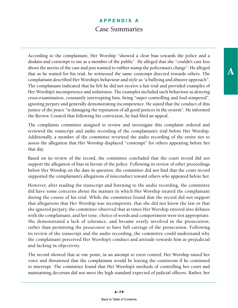According to the complainant, Her Worship "showed a clear bias towards the police and a disdain and contempt to me as a member of the public". He alleged that she "couldn't care less about the merits of the case and just wanted to rubber stamp the policeman's charge". He alleged that as he waited for his trial, he witnessed the same contempt directed towards others. The complainant described Her Worship's behaviour and style as "a bullying and abusive approach". The complainant indicated that he felt he did not receive a fair trial and provided examples of Her Worship's incompetence and unfairness. The examples included such behaviour as denying cross-examination, constantly interrupting him, being "super controlling and foul-tempered", ignoring perjury and generally demonstrating incompetence. He stated that the conduct of this justice of the peace "is damaging the reputation of all good justices in the system". He informed the Review Council that following his conviction, he had filed an appeal.

The complaints committee assigned to review and investigate this complaint ordered and reviewed the transcript and audio recording of the complainant's trial before Her Worship. Additionally, a member of the committee reviewed the audio recording of the entire tier to assess the allegation that Her Worship displayed "contempt" for others appearing before her that day.

Based on its review of the record, the committee concluded that the court record did not support the allegation of bias in favour of the police. Following its review of other proceedings before Her Worship on the date in question, the committee did not find that the court record supported the complainant's allegations of misconduct toward others who appeared before her.

However, after reading the transcript and listening to the audio recording, the committee did have some concerns about the manner in which Her Worship treated the complainant during the course of his trial. While the committee found that the record did not support that allegations that Her Worship was incompetent, that she did not know the law or that she ignored perjury, the committee observed that at times Her Worship entered into debates with the complainant, and her tone, choice of words and comportment were not appropriate. She demonstrated a lack of tolerance, and became overly involved in the prosecution, rather than permitting the prosecutor to have full carriage of the prosecution. Following its review of the transcript and the audio recording, the committee could understand why the complainant perceived Her Worship's conduct and attitude towards him as prejudicial and lacking in objectivity.

The record showed that at one point, in an attempt to exert control, Her Worship raised her voice and threatened that the complainant would be leaving the courtroom if he continued to interrupt. The committee found that Her Worship's methods of controlling her court and maintaining decorum did not meet the high standard expected of judicial officers. Rather, her

A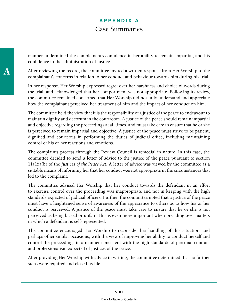manner undermined the complainant's confidence in her ability to remain impartial, and his confidence in the administration of justice.

After reviewing the record, the committee invited a written response from Her Worship to the complainant's concerns in relation to her conduct and behaviour towards him during his trial.

In her response, Her Worship expressed regret over her harshness and choice of words during the trial, and acknowledged that her comportment was not appropriate. Following its review, the committee remained concerned that Her Worship did not fully understand and appreciate how the complainant perceived her treatment of him and the impact of her conduct on him.

The committee held the view that it is the responsibility of a justice of the peace to endeavour to maintain dignity and decorum in the courtroom. A justice of the peace should remain impartial and objective regarding the proceedings at all times, and must take care to ensure that he or she is perceived to remain impartial and objective. A justice of the peace must strive to be patient, dignified and courteous in performing the duties of judicial office, including maintaining control of his or her reactions and emotions.

The complaints process through the Review Council is remedial in nature. In this case, the committee decided to send a letter of advice to the justice of the peace pursuant to section 11(15)(b) of the *Justices of the Peace Act*. A letter of advice was viewed by the committee as a suitable means of informing her that her conduct was not appropriate in the circumstances that led to the complaint.

The committee advised Her Worship that her conduct towards the defendant in an effort to exercise control over the proceeding was inappropriate and not in keeping with the high standards expected of judicial officers. Further, the committee noted that a justice of the peace must have a heightened sense of awareness of the appearance to others as to how his or her conduct is perceived. A justice of the peace must take care to ensure that he or she is not perceived as being biased or unfair. This is even more important when presiding over matters in which a defendant is self-represented.

The committee encouraged Her Worship to reconsider her handling of this situation, and perhaps other similar occasions, with the view of improving her ability to conduct herself and control the proceedings in a manner consistent with the high standards of personal conduct and professionalism expected of justices of the peace.

After providing Her Worship with advice in writing, the committee determined that no further steps were required and closed its file.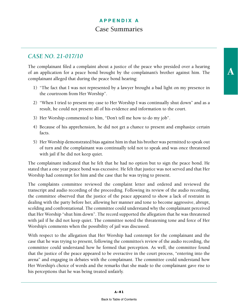#### *CASE NO. 21-017/10*

The complainant filed a complaint about a justice of the peace who presided over a hearing of an application for a peace bond brought by the complainant's brother against him. The complainant alleged that during the peace bond hearing:

- 1) "The fact that I was not represented by a lawyer brought a bad light on my presence in the courtroom from Her Worship".
- 2) "When I tried to present my case to Her Worship I was continually shut down" and as a result, he could not present all of his evidence and information to the court.
- 3) Her Worship commented to him, "Don't tell me how to do my job".
- 4) Because of his apprehension, he did not get a chance to present and emphasize certain facts.
- 5) Her Worship demonstrated bias against him in that his brother was permitted to speak out of turn and the complainant was continually told not to speak and was once threatened with jail if he did not keep quiet.

The complainant indicated that he felt that he had no option but to sign the peace bond. He stated that a one year peace bond was excessive. He felt that justice was not served and that Her Worship had contempt for him and the case that he was trying to present.

The complaints committee reviewed the complaint letter and ordered and reviewed the transcript and audio recording of the proceeding. Following its review of the audio recording, the committee observed that the justice of the peace appeared to show a lack of restraint in dealing with the party before her, allowing her manner and tone to become aggressive, abrupt, scolding and confrontational. The committee could understand why the complainant perceived that Her Worship "shut him down". The record supported the allegation that he was threatened with jail if he did not keep quiet. The committee noted the threatening tone and force of Her Worship's comments when the possibility of jail was discussed.

With respect to the allegation that Her Worship had contempt for the complainant and the case that he was trying to present, following the committee's review of the audio recording, the committee could understand how he formed that perception. As well, the committee found that the justice of the peace appeared to be overactive in the court process, "entering into the arena" and engaging in debates with the complainant. The committee could understand how Her Worship's choice of words and the remarks that she made to the complainant gave rise to his perceptions that he was being treated unfairly.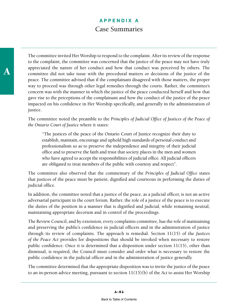The committee invited Her Worship to respond to the complaint. After its review of the response to the complaint, the committee was concerned that the justice of the peace may not have truly appreciated the nature of her conduct and how that conduct was perceived by others. The committee did not take issue with the procedural matters or decisions of the justice of the peace. The committee advised that if the complainant disagreed with those matters, the proper way to proceed was through other legal remedies through the courts. Rather, the committee's concern was with the manner in which the justice of the peace conducted herself and how that gave rise to the perceptions of the complainant and how the conduct of the justice of the peace impacted on his confidence in Her Worship specifically, and generally in the administration of justice.

The committee noted the preamble to the *Principles of Judicial Office of Justices of the Peace of the Ontario Court of Justice* where it states:

"The justices of the peace of the Ontario Court of Justice recognize their duty to establish, maintain, encourage and uphold high standards of personal conduct and professionalism so as to preserve the independence and integrity of their judicial office and to preserve the faith and trust that society places in the men and women who have agreed to accept the responsibilities of judicial office. All judicial officers are obligated to treat members of the public with courtesy and respect".

The committee also observed that the commentary of the *Principles of Judicial Office* states that justices of the peace must be patient, dignified and courteous in performing the duties of judicial office.

In addition, the committee noted that a justice of the peace, as a judicial officer, is not an active adversarial participant in the court forum. Rather, the role of a justice of the peace is to execute the duties of the position in a manner that is dignified and judicial, while remaining neutral, maintaining appropriate decorum and in control of the proceedings.

The Review Council, and by extension, every complaints committee, has the role of maintaining and preserving the public's confidence in judicial officers and in the administration of justice through its review of complaints. The approach is remedial. Section 11(15) of the *Justices of the Peace Act* provides for dispositions that should be invoked when necessary to restore public confidence. Once it is determined that a disposition under section 11(15), other than dismissal, is required, the Council must consider and order what is necessary to restore the public confidence in the judicial officer and in the administration of justice generally.

The committee determined that the appropriate disposition was to invite the justice of the peace to an in-person advice meeting, pursuant to section 11(15)(b) of the *Act* to assist Her Worship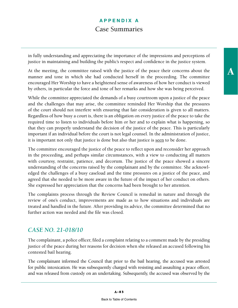in fully understanding and appreciating the importance of the impressions and perceptions of justice in maintaining and building the public's respect and confidence in the justice system.

At the meeting, the committee raised with the justice of the peace their concerns about the manner and tone in which she had conducted herself in the proceeding. The committee encouraged Her Worship to have a heightened sense of awareness of how her conduct is viewed by others, in particular the force and tone of her remarks and how she was being perceived.

While the committee appreciated the demands of a busy courtroom upon a justice of the peace and the challenges that may arise, the committee reminded Her Worship that the pressures of the court should not interfere with ensuring that fair consideration is given to all matters. Regardless of how busy a court is, there is an obligation on every justice of the peace to take the required time to listen to individuals before him or her and to explain what is happening, so that they can properly understand the decision of the justice of the peace. This is particularly important if an individual before the court is not legal counsel. In the administration of justice, it is important not only that justice is done but also that justice is seen to be done.

The committee encouraged the justice of the peace to reflect upon and reconsider her approach in the proceeding, and perhaps similar circumstances, with a view to conducting all matters with courtesy, restraint, patience, and decorum. The justice of the peace showed a sincere understanding of the concerns raised by the complainant and by the committee. She acknowledged the challenges of a busy caseload and the time pressures on a justice of the peace, and agreed that she needed to be more aware in the future of the impact of her conduct on others. She expressed her appreciation that the concerns had been brought to her attention.

The complaints process through the Review Council is remedial in nature and through the review of one's conduct, improvements are made as to how situations and individuals are treated and handled in the future. After providing its advice, the committee determined that no further action was needed and the file was closed.

#### *CASE NO. 21-018/10*

The complainant, a police officer, filed a complaint relating to a comment made by the presiding justice of the peace during her reasons for decision when she released an accused following his contested bail hearing.

The complainant informed the Council that prior to the bail hearing, the accused was arrested for public intoxication. He was subsequently charged with resisting and assaulting a peace officer, and was released from custody on an undertaking. Subsequently, the accused was observed by the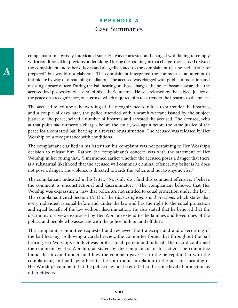A

complainant in a grossly intoxicated state. He was re-arrested and charged with failing to comply with a condition of his previous undertaking. During the booking on that charge, the accused resisted the complainant and other officers and allegedly stated to the complainant that he had "better be prepared" but would not elaborate. The complainant interpreted the comment as an attempt to intimidate by way of threatening retaliation. The accused was charged with public intoxication and resisting a peace officer. During the bail hearing on those charges, the police became aware that the accused had possession of several of his father's firearms. He was released by the subject justice of the peace on a recognizance, one term of which required him to surrender the firearms to the police.

The accused relied upon the wording of the recognizance to refuse to surrender the firearms, and a couple of days later, the police attended with a search warrant issued by the subject justice of the peace, seized a number of firearms and arrested the accused. The accused, who at that point had numerous charges before the court, was again before the same justice of the peace for a contested bail hearing in a reverse onus situation. The accused was released by Her Worship on a recognizance with conditions.

The complainant clarified in his letter that his complaint was not pertaining to Her Worship's decision to release him. Rather, the complainant's concern was with the statement of Her Worship in her ruling that, "I mentioned earlier whether the accused poses a danger that there is a substantial likelihood that the accused will commit a criminal offence, my belief is he does not pose a danger. His violence is directed towards the police and not to anyone else."

The complainant indicated in his letter, "Not only do I find this comment offensive, I believe the comment is unconstitutional and discriminatory". The complainant believed that Her Worship was expressing a view that police are not entitled to equal protection under the law". The complainant cited Section 15(1) of the *Charter of Rights and Freedoms* which states that every individual is equal before and under the law and has the right to the equal protection and equal benefit of the law without discrimination. He also stated that he believed that the discriminatory views expressed by Her Worship extend to the families and loved ones of the police, and people who associate with the police both on and off duty.

The complaints committee requested and reviewed the transcript and audio recording of the bail hearing. Following a careful review, the committee found that throughout the bail hearing Her Worship's conduct was professional, patient and judicial. The record confirmed the comment by Her Worship, as stated by the complainant in his letter. The committee found that it could understand how the comment gave rise to the perception left with the complainant, and perhaps others in the courtroom, in relation to the possible meaning of Her Worship's comment that the police may not be entitled to the same level of protection as other citizens.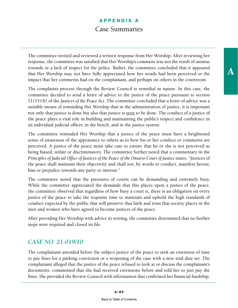The committee invited and reviewed a written response from Her Worship. After reviewing her response, the committee was satisfied that Her Worship's comment was not the result of animus towards or a lack of respect for the police. Rather, the committee concluded that it appeared that Her Worship may not have fully appreciated how her words had been perceived or the impact that her comments had on the complainant, and perhaps on others in the courtroom.

The complaints process through the Review Council is remedial in nature. In this case, the committee decided to send a letter of advice to the justice of the peace pursuant to section 11(15)(b) of the *Justices of the Peace Act*. The committee concluded that a letter of advice was a suitable means of reminding Her Worship that in the administration of justice, it is important not only that justice is done but also that justice is seen to be done. The conduct of a justice of the peace plays a vital role in building and maintaining the public's respect and confidence in an individual judicial officer, in the bench, and in the justice system.

The committee reminded Her Worship that a justice of the peace must have a heightened sense of awareness of the appearance to others as to how his or her conduct or comments are perceived. A justice of the peace must take care to ensure that he or she is not perceived as being biased, unfair or discriminatory. The committee further noted that a commentary in the *Principles of Judicial Office of Justices of the Peace of the Ontario Court of Justice* states, "Justices of the peace shall maintain their objectivity and shall not, by words or conduct, manifest favour, bias or prejudice towards any party or interest."

The committee noted that the pressures of courts can be demanding and extremely busy. While the committee appreciated the demands that this places upon a justice of the peace, the committee observed that regardless of how busy a court is, there is an obligation on every justice of the peace to take the requisite time to maintain and uphold the high standards of conduct expected by the public that will preserve that faith and trust that society places in the men and women who have agreed to become justices of the peace.

After providing Her Worship with advice in writing, the committee determined that no further steps were required and closed its file.

#### *CASE NO. 21-019/10*

The complainant attended before the subject justice of the peace to seek an extension of time to pay fines for a parking conviction or a reopening of the case with a new trial date set. The complainant alleged that the justice of the peace refused to look at or discuss the complainant's documents, commented that she had received extensions before and told her to just pay the fines. She provided the Review Council with information that confirmed her financial hardship. A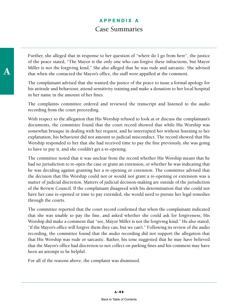Further, she alleged that in response to her question of "where do I go from here", the justice of the peace stated, "The Mayor is the only one who can forgive these infractions, but Mayor Miller is not the forgiving kind." She also alleged that he was rude and sarcastic. She advised that when she contacted the Mayor's office, the staff were appalled at the comment.

The complainant advised that she wanted the justice of the peace to issue a formal apology for his attitude and behaviour, attend sensitivity training and make a donation to her local hospital in her name in the amount of her fines.

The complaints committee ordered and reviewed the transcript and listened to the audio recording from the court proceeding.

With respect to the allegation that His Worship refused to look at or discuss the complainant's documents, the committee found that the court record showed that while His Worship was somewhat brusque in dealing with her request, and he interrupted her without listening to her explanation, his behaviour did not amount to judicial misconduct. The record showed that His Worship responded to her that she had received time to pay the fine previously, she was going to have to pay it, and she couldn't get a re-opening.

The committee noted that it was unclear from the record whether His Worship meant that he had no jurisdiction to re-open the case or grant an extension, or whether he was indicating that he was deciding against granting her a re-opening or extension. The committee advised that the decision that His Worship could not or would not grant a re-opening or extension was a matter of judicial discretion. Matters of judicial decision-making are outside of the jurisdiction of the Review Council. If the complainant disagreed with his determination that she could not have her case re-opened or time to pay extended, she would need to pursue her legal remedies through the courts.

The committee reported that the court record confirmed that when the complainant indicated that she was unable to pay the fine, and asked whether she could ask for forgiveness, His Worship did make a comment that "see, Mayor Miller is not the forgiving kind." He also stated, "if the Mayor's office will forgive them they can, but we can't." Following its review of the audio recording, the committee found that the audio recording did not support the allegation that that His Worship was rude or sarcastic. Rather, his tone suggested that he may have believed that the Mayor's office had discretion to not collect on parking fines and his comment may have been an attempt to be helpful.

For all of the reasons above, the complaint was dismissed.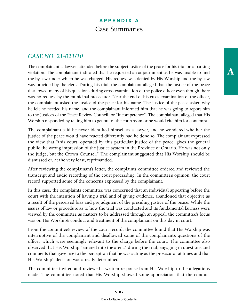A

#### *CASE NO. 21-021/10*

The complainant, a lawyer, attended before the subject justice of the peace for his trial on a parking violation. The complainant indicated that he requested an adjournment as he was unable to find the by-law under which he was charged. His request was denied by His Worship and the by-law was provided by the clerk. During his trial, the complainant alleged that the justice of the peace disallowed many of his questions during cross-examination of the police officer even though there was no request by the municipal prosecutor. Near the end of his cross-examination of the officer, the complainant asked the justice of the peace for his name. The justice of the peace asked why he felt he needed his name, and the complainant informed him that he was going to report him to the Justices of the Peace Review Council for "incompetence". The complainant alleged that His Worship responded by telling him to get out of the courtroom or he would cite him for contempt.

The complainant said he never identified himself as a lawyer, and he wondered whether the justice of the peace would have reacted differently had he done so. The complainant expressed the view that "this court, operated by this particular justice of the peace, gives the general public the wrong impression of the justice system in the Province of Ontario. He was not only the Judge, but the Crown Counsel." The complainant suggested that His Worship should be dismissed or, at the very least, reprimanded.

After reviewing the complainant's letter, the complaints committee ordered and reviewed the transcript and audio recording of the court proceeding. In the committee's opinion, the court record supported some of the concerns expressed by the complainant.

In this case, the complaints committee was concerned that an individual appearing before the court with the intention of having a trial and of giving evidence, abandoned that objective as a result of the perceived bias and prejudgment of the presiding justice of the peace. While the issues of law or procedure as to how the trial was conducted and its fundamental fairness were viewed by the committee as matters to be addressed through an appeal, the committee's focus was on His Worship's conduct and treatment of the complainant on this day in court.

From the committee's review of the court record, the committee found that His Worship was interruptive of the complainant and disallowed some of the complainant's questions of the officer which were seemingly relevant to the charge before the court. The committee also observed that His Worship "entered into the arena" during the trial, engaging in questions and comments that gave rise to the perception that he was acting as the prosecutor at times and that His Worship's decision was already determined.

The committee invited and reviewed a written response from His Worship to the allegations made. The committee noted that His Worship showed some appreciation that the conduct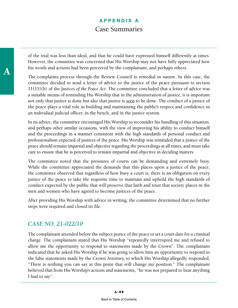of the trial was less than ideal, and that he could have expressed himself differently at times. However, the committee was concerned that His Worship may not have fully appreciated how his words and actions had been perceived by the complainant, and perhaps others.

The complaints process through the Review Council is remedial in nature. In this case, the committee decided to send a letter of advice to the justice of the peace pursuant to section 11(15)(b) of the *Justices of the Peace Act*. The committee concluded that a letter of advice was a suitable means of reminding His Worship that in the administration of justice, it is important not only that justice is done but also that justice is seen to be done. The conduct of a justice of the peace plays a vital role in building and maintaining the public's respect and confidence in an individual judicial officer, in the bench, and in the justice system.

In its advice, the committee encouraged His Worship to reconsider his handling of this situation, and perhaps other similar occasions, with the view of improving his ability to conduct himself and the proceedings in a manner consistent with the high standards of personal conduct and professionalism expected of justices of the peace. His Worship was reminded that a justice of the peace should remain impartial and objective regarding the proceedings at all times, and must take care to ensure that he is perceived to remain impartial and objective in deciding matters.

The committee noted that the pressures of courts can be demanding and extremely busy. While the committee appreciated the demands that this places upon a justice of the peace, the committee observed that regardless of how busy a court is, there is an obligation on every justice of the peace to take the requisite time to maintain and uphold the high standards of conduct expected by the public that will preserve that faith and trust that society places in the men and women who have agreed to become justices of the peace.

After providing His Worship with advice in writing, the committee determined that no further steps were required and closed its file.

#### *CASE NO. 21-022/10*

The complainant attended before the subject justice of the peace to set a court date for a criminal charge. The complainant stated that His Worship "repeatedly interrupted me and refused to allow me the opportunity to respond to statements made by the Crown". The complainant indicated that he asked His Worship if he was going to allow him an opportunity to respond to the false statements made by the Crown Attorney, to which His Worship allegedly responded, "There is nothing you can say at this point that will change my position." The complainant believed that from His Worship's actions and statements, "he was not prepared to hear anything I had to say".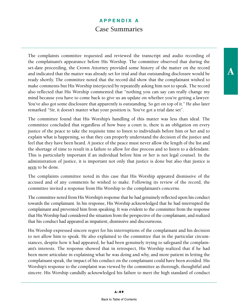The complaints committee requested and reviewed the transcript and audio recording of the complainant's appearance before His Worship. The committee observed that during the set-date proceeding, the Crown Attorney provided some history of the matter on the record and indicated that the matter was already set for trial and that outstanding disclosure would be ready shortly. The committee noted that the record did show that the complainant wished to make comments but His Worship interjected by repeatedly asking him not to speak. The record also reflected that His Worship commented that "nothing you can say can really change my mind because you have to come back to give us an update on whether you're getting a lawyer. You've also got some disclosure that apparently is outstanding. So get on top of it." He also later remarked "Sir, it doesn't matter what your position is. You've got a trial date set".

The committee found that His Worship's handling of this matter was less than ideal. The committee concluded that regardless of how busy a court is, there is an obligation on every justice of the peace to take the requisite time to listen to individuals before him or her and to explain what is happening, so that they can properly understand the decision of the justice and feel that they have been heard. A justice of the peace must never allow the length of the list and the shortage of time to result in a failure to allow for due process and to listen to a defendant. This is particularly important if an individual before him or her is not legal counsel. In the administration of justice, it is important not only that justice is done but also that justice is seen to be done.

The complaints committee noted in this case that His Worship appeared dismissive of the accused and of any comments he wished to make. Following its review of the record, the committee invited a response from His Worship to the complainant's concerns.

The committee noted from His Worship's response that he had genuinely reflected upon his conduct towards the complainant. In his response, His Worship acknowledged that he had interrupted the complainant and prevented him from speaking. It was evident to the committee from the response that His Worship had considered the situation from the perspective of the complainant, and realized that his conduct had appeared as impatient, dismissive and discourteous.

His Worship expressed sincere regret for his interruptions of the complainant and his decision to not allow him to speak. He also explained to the committee that in the particular circumstances, despite how it had appeared, he had been genuinely trying to safeguard the complainant's interests. The response showed that in retrospect, His Worship realized that if he had been more articulate in explaining what he was doing and why, and more patient in letting the complainant speak, the impact of his conduct on the complainant could have been avoided. His Worship's response to the complaint was viewed by the committee as thorough, thoughtful and sincere. His Worship candidly acknowledged his failure to meet the high standard of conduct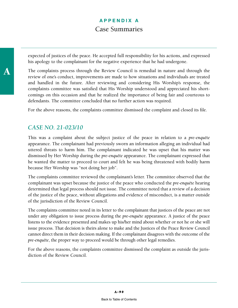expected of justices of the peace. He accepted full responsibility for his actions, and expressed his apology to the complainant for the negative experience that he had undergone.

The complaints process through the Review Council is remedial in nature and through the review of one's conduct, improvements are made to how situations and individuals are treated and handled in the future. After reviewing and considering His Worship's response, the complaints committee was satisfied that His Worship understood and appreciated his shortcomings on this occasion and that he realized the importance of being fair and courteous to defendants. The committee concluded that no further action was required.

For the above reasons, the complaints committee dismissed the complaint and closed its file.

#### *CASE NO. 21-023/10*

This was a complaint about the subject justice of the peace in relation to a *pre-enquête* appearance. The complainant had previously sworn an information alleging an individual had uttered threats to harm him. The complainant indicated he was upset that his matter was dismissed by Her Worship during the *pre-enquête* appearance. The complainant expressed that he wanted the matter to proceed to court and felt he was being threatened with bodily harm because Her Worship was "not doing her job".

The complaints committee reviewed the complainant's letter. The committee observed that the complainant was upset because the justice of the peace who conducted the *pre-enquête* hearing determined that legal process should not issue. The committee noted that a review of a decision of the justice of the peace, without allegations and evidence of misconduct, is a matter outside of the jurisdiction of the Review Council.

The complaints committee noted in its letter to the complainant that justices of the peace are not under any obligation to issue process during the *pre-enquête* appearance. A justice of the peace listens to the evidence presented and makes up his/her mind about whether or not he or she will issue process. That decision is theirs alone to make and the Justices of the Peace Review Council cannot direct them in their decision making. If the complainant disagrees with the outcome of the *pre-enquête*, the proper way to proceed would be through other legal remedies.

For the above reasons, the complaints committee dismissed the complaint as outside the jurisdiction of the Review Council.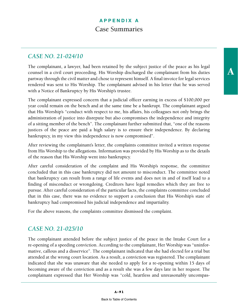#### *CASE NO. 21-024/10*

The complainant, a lawyer, had been retained by the subject justice of the peace as his legal counsel in a civil court proceeding. His Worship discharged the complainant from his duties partway through the civil matter and chose to represent himself. A final invoice for legal services rendered was sent to His Worship. The complainant advised in his letter that he was served with a Notice of Bankruptcy by His Worship's trustee.

The complainant expressed concern that a judicial officer earning in excess of \$100,000 per year could remain on the bench and at the same time be a bankrupt. The complainant argued that His Worship's "conduct with respect to me, his affairs, his colleagues not only brings the administration of justice into disrepute but also compromises the independence and integrity of a sitting member of the bench". The complainant further submitted that, "one of the reasons justices of the peace are paid a high salary is to ensure their independence. By declaring bankruptcy, in my view this independence is now compromised".

After reviewing the complainant's letter, the complaints committee invited a written response from His Worship to the allegations. Information was provided by His Worship as to the details of the reason that His Worship went into bankruptcy.

After careful consideration of the complaint and His Worship's response, the committee concluded that in this case bankruptcy did not amount to misconduct. The committee noted that bankruptcy can result from a range of life events and does not in and of itself lead to a finding of misconduct or wrongdoing. Creditors have legal remedies which they are free to pursue. After careful consideration of the particular facts, the complaints committee concluded that in this case, there was no evidence to support a conclusion that His Worship's state of bankruptcy had compromised his judicial independence and impartiality.

For the above reasons, the complaints committee dismissed the complaint.

#### *CASE NO. 21-025/10*

The complainant attended before the subject justice of the peace in the Intake Court for a re-opening of a speeding conviction. According to the complainant, Her Worship was "uninformative, callous and a disservice". The complainant indicated that she had elected for a trial but attended at the wrong court location. As a result, a conviction was registered. The complainant indicated that she was unaware that she needed to apply for a re-opening within 15 days of becoming aware of the conviction and as a result she was a few days late in her request. The complainant expressed that Her Worship was "cold, heartless and unreasonably uncompasA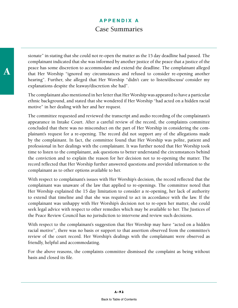sionate" in stating that she could not re-open the matter as the 15 day deadline had passed. The complainant indicated that she was informed by another justice of the peace that a justice of the peace has some discretion to accommodate and extend the deadline. The complainant alleged that Her Worship "ignored my circumstances and refused to consider re-opening another hearing". Further, she alleged that Her Worship "didn't care to listen/discuss/ consider my explanations despite the leaway/discretion she had".

The complainant also mentioned in her letter that Her Worship was appeared to have a particular ethnic background, and stated that she wondered if Her Worship "had acted on a hidden racial motive" in her dealing with her and her request.

The committee requested and reviewed the transcript and audio recording of the complainant's appearance in Intake Court. After a careful review of the record, the complaints committee concluded that there was no misconduct on the part of Her Worship in considering the complainant's request for a re-opening. The record did not support any of the allegations made by the complainant. In fact, the committee found that Her Worship was polite, patient and professional in her dealings with the complainant. It was further noted that Her Worship took time to listen to the complainant, ask questions to better understand the circumstances behind the conviction and to explain the reason for her decision not to re-opening the matter. The record reflected that Her Worship further answered questions and provided information to the complainant as to other options available to her.

With respect to complainant's issues with Her Worship's decision, the record reflected that the complainant was unaware of the law that applied to re-openings. The committee noted that Her Worship explained the 15 day limitation to consider a re-opening, her lack of authority to extend that timeline and that she was required to act in accordance with the law. If the complainant was unhappy with Her Worship's decision not to re-open her matter, she could seek legal advice with respect to other remedies which may be available to her. The Justices of the Peace Review Council has no jurisdiction to intervene and review such decisions.

With respect to the complainant's suggestion that Her Worship may have "acted on a hidden racial motive", there was no basis or support to that assertion observed from the committee's review of the court record. Her Worship's dealings with the complainant were observed as friendly, helpful and accommodating.

For the above reasons, the complaints committee dismissed the complaint as being without basis and closed its file.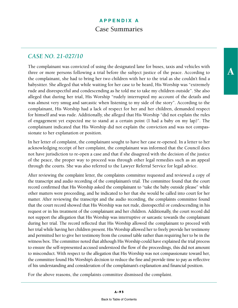# *CASE NO. 21-027/10*

The complainant was convicted of using the designated lane for buses, taxis and vehicles with three or more persons following a trial before the subject justice of the peace. According to the complainant, she had to bring her two children with her to the trial as she couldn't find a babysitter. She alleged that while waiting for her case to be heard, His Worship was "extremely rude and disrespectful and condescending as he told me to take my children outside". She also alleged that during her trial, His Worship "rudely interrupted my account of the details and was almost very smug and sarcastic when listening to my side of the story". According to the complainant, His Worship had a lack of respect for her and her children, demanded respect for himself and was rude. Additionally, she alleged that His Worship "did not explain the rules of engagement yet expected me to stand at a certain point (I had a baby on my lap)". The complainant indicated that His Worship did not explain the conviction and was not compassionate to her explanation or position.

In her letter of complaint, the complainant sought to have her case re-opened. In a letter to her acknowledging receipt of her complaint, the complainant was informed that the Council does not have jurisdiction to re-open a case and that if she disagreed with the decision of the justice of the peace, the proper way to proceed was through other legal remedies such as an appeal through the courts. She was also referred to the Lawyer Referral Service for legal advice.

After reviewing the complaint letter, the complaints committee requested and reviewed a copy of the transcript and audio recording of the complainant's trial. The committee found that the court record confirmed that His Worship asked the complainant to "take the baby outside please" while other matters were proceeding, and he indicated to her that she would be called into court for her matter. After reviewing the transcript and the audio recording, the complaints committee found that the court record showed that His Worship was not rude, disrespectful or condescending in his request or in his treatment of the complainant and her children. Additionally, the court record did not support the allegation that His Worship was interruptive or sarcastic towards the complainant during her trial. The record reflected that His Worship allowed the complainant to proceed with her trial while having her children present. His Worship allowed her to freely provide her testimony and permitted her to give her testimony from the counsel table rather than requiring her to be in the witness box. The committee noted that although His Worship could have explained the trial process to ensure the self-represented accused understood the flow of the proceedings, this did not amount to misconduct. With respect to the allegation that His Worship was not compassionate toward her, the committee found His Worship's decision to reduce the fine and provide time to pay as reflective of his understanding and consideration of the complainant's explanation and financial position.

For the above reasons, the complaints committee dismissed the complaint.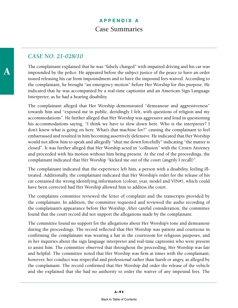#### *CASE NO. 21-028/10*

The complainant explained that he was "falsely charged" with impaired driving and his car was impounded by the police. He appeared before the subject justice of the peace to have an order issued releasing his car from impoundment and to have the impound fees waived. According to the complainant, he brought "an emergency motion" before Her Worship for this purpose. He indicated that he was accompanied by a real-time captionist and an American Sign Language Interpreter, as he had a hearing disability.

The complainant alleged that Her Worship demonstrated "demeanour and aggressiveness" towards him and "exposed me in public, deridingly I felt, with questions of religion and my accommodations". He further alleged that Her Worship was aggressive and loud in questioning his accommodations saying, "I think we have to slow down here. Who is the interpreter? I don't know what is going on here. What's that machine for?" causing the complainant to feel embarrassed and resulted in him becoming assertively defensive. He indicated that Her Worship would not allow him to speak and allegedly "shut me down forcefully" indicating "the matter is closed". It was further alleged that Her Worship acted in "collusion" with the Crown Attorney and proceeded with his motion without him being present. At the end of the proceedings, the complainant indicated that Her Worship "kicked me out of the court (angrily I recall)".

The complainant indicated that the experience left him, a person with a disability, feeling illtreated. Additionally, the complainant indicated that Her Worship's order for the release of his car contained the wrong identifying information (colour, year, model and VIN#), which could have been corrected had Her Worship allowed him to address the court.

The complaints committee reviewed the letter of complaint and the transcripts provided by the complainant. In addition, the committee requested and reviewed the audio recording of the complainant's appearance before Her Worship. After careful consideration, the committee found that the court record did not support the allegations made by the complainant.

The committee found no support for the allegations about Her Worship's tone and demeanour during the proceedings. The record reflected that Her Worship was patient and courteous in confirming the complainant was wearing a hat in the courtroom for religious purposes, and in her inquiries about the sign language interpreter and real-time captionist who were present to assist him. The committee observed that throughout the proceeding, Her Worship was fair and helpful. The committee noted that Her Worship was firm at times with the complainant; however, her conduct was respectful and professional rather than harsh or angry, as alleged by the complainant. The record confirmed that Her Worship did order the release of the vehicle and she explained that she had no authority to order the waiver of any impound fees. The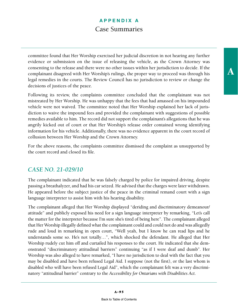committee found that Her Worship exercised her judicial discretion in not hearing any further evidence or submission on the issue of releasing the vehicle, as the Crown Attorney was consenting to the release and there were no other issues within her jurisdiction to decide. If the complainant disagreed with Her Worship's rulings, the proper way to proceed was through his legal remedies in the courts. The Review Council has no jurisdiction to review or change the decisions of justices of the peace.

Following its review, the complaints committee concluded that the complainant was not mistreated by Her Worship. He was unhappy that the fees that had amassed on his impounded vehicle were not waived. The committee noted that Her Worship explained her lack of jurisdiction to waive the impound fees and provided the complainant with suggestions of possible remedies available to him. The record did not support the complainant's allegations that he was angrily kicked out of court or that Her Worship's release order contained wrong identifying information for his vehicle. Additionally, there was no evidence apparent in the court record of collusion between Her Worship and the Crown Attorney.

For the above reasons, the complaints committee dismissed the complaint as unsupported by the court record and closed its file.

#### *CASE NO. 21-029/10*

The complainant indicated that he was falsely charged by police for impaired driving, despite passing a breathalyzer, and had his car seized. He advised that the charges were later withdrawn. He appeared before the subject justice of the peace in the criminal remand court with a sign language interpreter to assist him with his hearing disability.

The complainant alleged that Her Worship displayed "deriding and discriminatory demeanour/ attitude" and publicly exposed his need for a sign language interpreter by remarking, "Let's call the matter for the interpreter because I'm sure she's tired of being here". The complainant alleged that Her Worship illegally defined what the complainant could and could not do and was allegedly rude and loud in remarking in open court, "Well yeah, but I know he can read lips and he understands some so. He's not totally…", which shocked the defendant. He alleged that Her Worship rudely cut him off and curtailed his responses to the court. He indicated that she demonstrated "discriminatory attitudinal barriers" continuing "as if I were deaf and dumb". Her Worship was also alleged to have remarked, "I have no jurisdiction to deal with the fact that you may be disabled and have been refused Legal Aid. I suppose (not the first), or the last whom is disabled who will have been refused Legal Aid", which the complainant felt was a very discriminatory "attitudinal barrier" contrary to the *Accessibility for Ontarians with Disabilities Act*.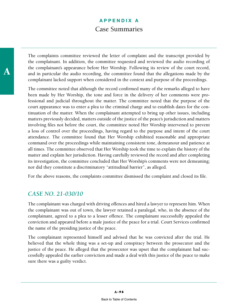The complaints committee reviewed the letter of complaint and the transcript provided by the complainant. In addition, the committee requested and reviewed the audio recording of the complainant's appearance before Her Worship. Following its review of the court record, and in particular the audio recording, the committee found that the allegations made by the complainant lacked support when considered in the context and purpose of the proceedings.

The committee noted that although the record confirmed many of the remarks alleged to have been made by Her Worship, the tone and force in the delivery of her comments were professional and judicial throughout the matter. The committee noted that the purpose of the court appearance was to enter a plea to the criminal charge and to establish dates for the continuation of the matter. When the complainant attempted to bring up other issues, including matters previously decided, matters outside of the justice of the peace's jurisdiction and matters involving files not before the court, the committee noted Her Worship intervened to prevent a loss of control over the proceedings, having regard to the purpose and intent of the court attendance. The committee found that Her Worship exhibited reasonable and appropriate command over the proceedings while maintaining consistent tone, demeanour and patience at all times. The committee observed that Her Worship took the time to explain the history of the matter and explain her jurisdiction. Having carefully reviewed the record and after completing its investigation, the committee concluded that Her Worship's comments were not demeaning; nor did they constitute a discriminatory "attitudinal barrier", as alleged.

For the above reasons, the complaints committee dismissed the complaint and closed its file.

#### *CASE NO. 21-030/10*

The complainant was charged with driving offences and hired a lawyer to represent him. When the complainant was out of town, the lawyer retained a paralegal, who, in the absence of the complainant, agreed to a plea to a lesser offence. The complainant successfully appealed the conviction and appeared before a male justice of the peace for a trial. Court Services confirmed the name of the presiding justice of the peace.

The complainant represented himself and advised that he was convicted after the trial. He believed that the whole thing was a set-up and conspiracy between the prosecutor and the justice of the peace. He alleged that the prosecutor was upset that the complainant had successfully appealed the earlier conviction and made a deal with this justice of the peace to make sure there was a guilty verdict.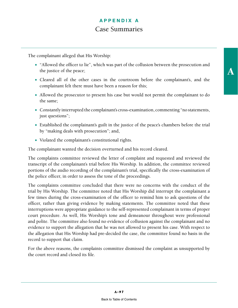The complainant alleged that His Worship:

- "Allowed the officer to lie", which was part of the collusion between the prosecution and the justice of the peace;
- Cleared all of the other cases in the courtroom before the complainant's, and the complainant felt there must have been a reason for this;
- Allowed the prosecutor to present his case but would not permit the complainant to do the same;
- Constantly interrupted the complainant's cross-examination, commenting "no statements, just questions";
- Established the complainant's guilt in the justice of the peace's chambers before the trial by "making deals with prosecution"; and,
- Violated the complainant's constitutional rights.

The complainant wanted the decision overturned and his record cleared.

The complaints committee reviewed the letter of complaint and requested and reviewed the transcript of the complainant's trial before His Worship. In addition, the committee reviewed portions of the audio recording of the complainant's trial, specifically the cross-examination of the police officer, in order to assess the tone of the proceedings.

The complaints committee concluded that there were no concerns with the conduct of the trial by His Worship. The committee noted that His Worship did interrupt the complainant a few times during the cross-examination of the officer to remind him to ask questions of the officer, rather than giving evidence by making statements. The committee noted that these interruptions were appropriate guidance to the self-represented complainant in terms of proper court procedure. As well, His Worship's tone and demeanour throughout were professional and polite. The committee also found no evidence of collusion against the complainant and no evidence to support the allegation that he was not allowed to present his case. With respect to the allegation that His Worship had pre-decided the case, the committee found no basis in the record to support that claim.

For the above reasons, the complaints committee dismissed the complaint as unsupported by the court record and closed its file.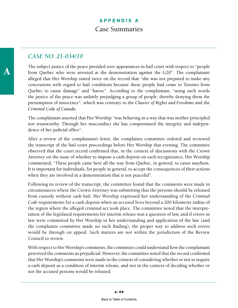#### *CASE NO. 21-034/10*

The subject justice of the peace presided over appearances in bail court with respect to "people from Quebec who were arrested at the demonstration against the G20". The complainant alleged that Her Worship stated twice on the record that "she was not prepared to make any concessions with regard to bail conditions because these people had come to Toronto from Quebec to cause damage" and "havoc". According to the complainant, "using such words the justice of the peace was unfairly prejudging a group of people, thereby denying them the presumption of innocence", which was contrary to the *Charter of Rights and Freedoms* and the *Criminal Code of Canada*.

The complainant asserted that Her Worship "was behaving in a way that was neither principled nor trustworthy. Through her misconduct she has compromised the integrity and independence of her judicial office".

After a review of the complainant's letter, the complaints committee ordered and reviewed the transcript of the bail court proceedings before Her Worship that evening. The committee observed that the court record confirmed that, in the context of discussions with the Crown Attorney on the issue of whether to impose a cash deposit on each recognizance, Her Worship commented, "These people came here all the way from Quebec, in general, to cause mayhem. It is important for individuals, for people in general, to accept the consequences of their actions when they are involved in a demonstration that is not peaceful".

Following its review of the transcript, the committee found that the comments were made in circumstances where the Crown Attorney was submitting that the persons should be released from custody without cash bail. Her Worship expressed her understanding of the *Criminal Code* requirements for a cash deposit when an accused lives beyond a 200 kilometre radius of the region where the alleged criminal act took place. The committee noted that the interpretation of the legislated requirements for interim release was a question of law, and if errors in law were committed by Her Worship in her understanding and application of the law (and the complaints committee made no such finding), the proper way to address such errors would be through on appeal. Such matters are not within the jurisdiction of the Review Council to review.

With respect to Her Worship's comments, the committee could understand how the complainant perceived the comments as prejudicial. However, the committee noted that the record confirmed that Her Worship's comments were made in the context of considering whether or not to require a cash deposit as a condition of interim release, and not in the context of deciding whether or not the accused persons would be released.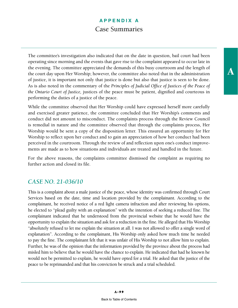The committee's investigation also indicated that on the date in question, bail court had been operating since morning and the events that gave rise to the complaint appeared to occur late in the evening. The committee appreciated the demands of this busy courtroom and the length of the court day upon Her Worship; however, the committee also noted that in the administration of justice, it is important not only that justice is done but also that justice is seen to be done. As is also noted in the commentary of the *Principles of Judicial Office of Justices of the Peace of the Ontario Court of Justice,* justices of the peace must be patient, dignified and courteous in performing the duties of a justice of the peace.

While the committee observed that Her Worship could have expressed herself more carefully and exercised greater patience, the committee concluded that Her Worship's comments and conduct did not amount to misconduct. The complaints process through the Review Council is remedial in nature and the committee observed that through the complaints process, Her Worship would be sent a copy of the disposition letter. This ensured an opportunity for Her Worship to reflect upon her conduct and to gain an appreciation of how her conduct had been perceived in the courtroom. Through the review of and reflection upon one's conduct improvements are made as to how situations and individuals are treated and handled in the future.

For the above reasons, the complaints committee dismissed the complaint as requiring no further action and closed its file.

#### *CASE NO. 21-036/10*

This is a complaint about a male justice of the peace, whose identity was confirmed through Court Services based on the date, time and location provided by the complainant. According to the complainant, he received notice of a red light camera infraction and after reviewing his options, he elected to "plead guilty with an explanation" with the intention of seeking a reduced fine. The complainant indicated that he understood from the provincial website that he would have the opportunity to explain the situation and ask for a reduction in the fine. He alleged that His Worship "absolutely refused to let me explain the situation at all. I was not allowed to offer a single word of explanation". According to the complainant, His Worship only asked how much time he needed to pay the fine. The complainant felt that it was unfair of His Worship to not allow him to explain. Further, he was of the opinion that the information provided by the province about the process had misled him to believe that he would have the chance to explain. He indicated that had he known he would not be permitted to explain, he would have opted for a trial. He asked that the justice of the peace to be reprimanded and that his conviction be struck and a trial scheduled.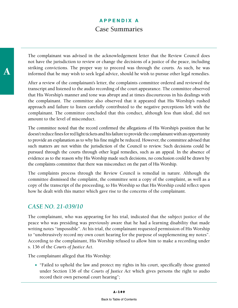The complainant was advised in the acknowledgement letter that the Review Council does not have the jurisdiction to review or change the decisions of a justice of the peace, including striking convictions. The proper way to proceed was through the courts. As such, he was informed that he may wish to seek legal advice, should he wish to pursue other legal remedies.

After a review of the complainant's letter, the complaints committee ordered and reviewed the transcript and listened to the audio recording of the court appearance. The committee observed that His Worship's manner and tone was abrupt and at times discourteous in his dealings with the complainant. The committee also observed that it appeared that His Worship's rushed approach and failure to listen carefully contributed to the negative perceptions left with the complainant. The committee concluded that this conduct, although less than ideal, did not amount to the level of misconduct.

The committee noted that the record confirmed the allegations of His Worship's position that he doesn't reduce fines for red light tickets and his failure to provide the complainant with an opportunity to provide an explanation as to why his fine might be reduced. However, the committee advised that such matters are not within the jurisdiction of the Council to review. Such decisions could be pursued through the courts through other legal remedies, such as an appeal. In the absence of evidence as to the reason why His Worship made such decisions, no conclusion could be drawn by the complaints committee that there was misconduct on the part of His Worship.

The complaints process through the Review Council is remedial in nature. Although the committee dismissed the complaint, the committee sent a copy of the complaint, as well as a copy of the transcript of the proceeding, to His Worship so that His Worship could reflect upon how he dealt with this matter which gave rise to the concerns of the complainant.

#### *CASE NO. 21-039/10*

The complainant, who was appearing for his trial, indicated that the subject justice of the peace who was presiding was previously aware that he had a learning disability that made writing notes "impossible". At his trial, the complainant requested permission of His Worship to "unobtrusively record my own court hearing for the purpose of supplementing my notes". According to the complainant, His Worship refused to allow him to make a recording under s. 136 of the *Courts of Justice Act*.

The complainant alleged that His Worship:

 "Failed to uphold the law and protect my rights in his court, specifically those granted under Section 136 of the *Courts of Justice Act* which gives persons the right to audio record their own personal court hearing";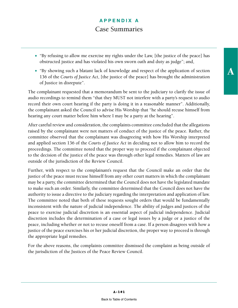- "By refusing to allow me exercise my rights under the Law, [the justice of the peace] has obstructed justice and has violated his own sworn oath and duty as judge"; and,
- "By showing such a blatant lack of knowledge and respect of the application of section 136 of the *Courts of Justice Act*, [the justice of the peace] has brought the administration of Justice in disrepute".

The complainant requested that a memorandum be sent to the judiciary to clarify the issue of audio recordings to remind them "that they MUST not interfere with a party's request to audio record their own court hearing if the party is doing it in a reasonable manner". Additionally, the complainant asked the Council to advise His Worship that "he should recuse himself from hearing any court matter before him where I may be a party at the hearing".

After careful review and consideration, the complaints committee concluded that the allegations raised by the complainant were not matters of conduct of the justice of the peace. Rather, the committee observed that the complainant was disagreeing with how His Worship interpreted and applied section 136 of the *Courts of Justice Act* in deciding not to allow him to record the proceedings. The committee noted that the proper way to proceed if the complainant objected to the decision of the justice of the peace was through other legal remedies. Matters of law are outside of the jurisdiction of the Review Council.

Further, with respect to the complainant's request that the Council make an order that the justice of the peace must recuse himself from any other court matters in which the complainant may be a party, the committee determined that the Council does not have the legislated mandate to make such an order. Similarly, the committee determined that the Council does not have the authority to issue a directive to the judiciary regarding the interpretation and application of law. The committee noted that both of these requests sought orders that would be fundamentally inconsistent with the nature of judicial independence. The ability of [judges](http://en.wikipedia.org/wiki/Judge) and justices of the peace to exercise judicial discretion is an essential aspect of [judicial independence.](http://en.wikipedia.org/wiki/Judicial_independence) Judicial discretion includes the determination of a case or legal issues by a judge or a justice of the peace, including whether or not to recuse oneself from a case. If a person disagrees with how a justice of the peace exercises his or her judicial discretion, the proper way to proceed is through the appropriate legal remedies.

For the above reasons, the complaints committee dismissed the complaint as being outside of the jurisdiction of the Justices of the Peace Review Council.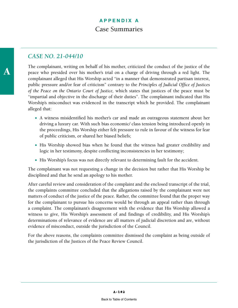#### *CASE NO. 21-044/10*

The complainant, writing on behalf of his mother, criticized the conduct of the justice of the peace who presided over his mother's trial on a charge of driving through a red light. The complainant alleged that His Worship acted "in a manner that demonstrated partisan interest, public pressure and/or fear of criticism" contrary to the *Principles of Judicial Office of Justices of the Peace on the Ontario Court of Justice,* which states that justices of the peace must be "impartial and objective in the discharge of their duties". The complainant indicated that His Worship's misconduct was evidenced in the transcript which he provided. The complainant alleged that:

- A witness misidentified his mother's car and made an outrageous statement about her driving a luxury car. With such bias economic/ class tension being introduced openly in the proceedings, His Worship either felt pressure to rule in favour of the witness for fear of public criticism, or shared her biased beliefs;
- His Worship showed bias when he found that the witness had greater credibility and logic in her testimony, despite conflicting inconsistencies in her testimony;
- His Worship's focus was not directly relevant to determining fault for the accident.

The complainant was not requesting a change in the decision but rather that His Worship be disciplined and that he send an apology to his mother.

After careful review and consideration of the complaint and the enclosed transcript of the trial, the complaints committee concluded that the allegations raised by the complainant were not matters of conduct of the justice of the peace. Rather, the committee found that the proper way for the complainant to pursue his concerns would be through an appeal rather than through a complaint. The complainant's disagreement with the evidence that His Worship allowed a witness to give, His Worship's assessment of and findings of credibility, and His Worship's determinations of relevance of evidence are all matters of judicial discretion and are, without evidence of misconduct, outside the jurisdiction of the Council.

For the above reasons, the complaints committee dismissed the complaint as being outside of the jurisdiction of the Justices of the Peace Review Council.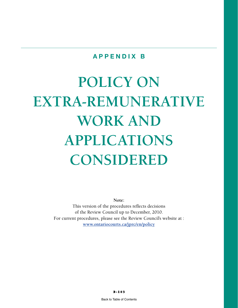#### **APPENDIX B**

# **POLICY ON EXTRA-REMUNERATIVE WORK AND APPLICATIONS CONSIDERED**

**Note:**  This version of the procedures reflects decisions of the Review Council up to December, 2010. For current procedures, please see the Review Council's website at : **[www.ontariocourts.ca/jprc/en/policy](http://www.ontariocourts.ca/jprc/en/policy)**

B-103

[Back to Table of Contents](#page-4-0)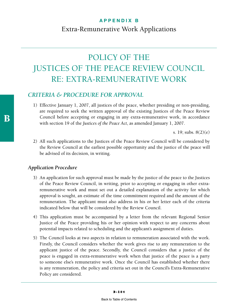## POLICY OF THE JUSTICES OF THE PEACE REVIEW COUNCIL RE: EXTRA-REMUNERATIVE WORK

#### *CRITERIA & PROCEDURE FOR APPROVAL*

1) Effective January 1, 2007, all justices of the peace, whether presiding or non-presiding, are required to seek the written approval of the existing Justices of the Peace Review Council before accepting or engaging in any extra-remunerative work, in accordance with section 19 of the *Justices of the Peace Act*, as amended January 1, 2007.

s. 19; subs. 8(2)(e)

2) All such applications to the Justices of the Peace Review Council will be considered by the Review Council at the earliest possible opportunity and the justice of the peace will be advised of its decision, in writing.

#### *Application Procedure*

- 3) An application for such approval must be made by the justice of the peace to the Justices of the Peace Review Council, in writing, prior to accepting or engaging in other extraremunerative work and must set out a detailed explanation of the activity for which approval is sought, an estimate of the time commitment required and the amount of the remuneration. The applicant must also address in his or her letter each of the criteria indicated below that will be considered by the Review Council.
- 4) This application must be accompanied by a letter from the relevant Regional Senior Justice of the Peace providing his or her opinion with respect to any concerns about potential impacts related to scheduling and the applicant's assignment of duties.
- 5) The Council looks at two aspects in relation to remuneration associated with the work. Firstly, the Council considers whether the work gives rise to any remuneration to the applicant justice of the peace. Secondly, the Council considers that a justice of the peace is engaged in extra-remunerative work when that justice of the peace is a party to someone else's remunerative work. Once the Council has established whether there is any remuneration, the policy and criteria set out in the Council's Extra-Remunerative Policy are considered.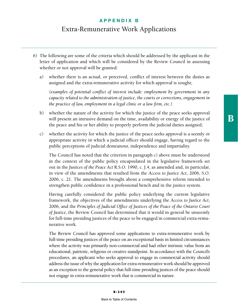- 6) The following are some of the criteria which should be addressed by the applicant in the letter of application and which will be considered by the Review Council in assessing whether or not approval will be granted:
	- a) whether there is an actual, or perceived, conflict of interest between the duties as assigned and the extra-remunerative activity for which approval is sought;

 *(examples of potential conflict of interest include: employment by government in any capacity related to the administration of justice, the courts or corrections, engagement in the practice of law, employment in a legal clinic or a law firm, etc.)*

- b) whether the nature of the activity for which the justice of the peace seeks approval will present an intrusive demand on the time, availability or energy of the justice of the peace and his or her ability to properly perform the judicial duties assigned;
- c) whether the activity for which the justice of the peace seeks approval is a seemly or appropriate activity in which a judicial officer should engage, having regard to the public perceptions of judicial demeanour, independence and impartiality.

 The Council has noted that the criterion in paragraph c) above must be understood in the context of the public policy encapsulated in the legislative framework set out in the *Justices of the Peace Act* R.S.O. 1990, c. J.4, as amended and, in particular, in view of the amendments that resulted from the *Access to Justice Act*, 2006, S.O. 2006, c. 21. The amendments brought about a comprehensive reform intended to strengthen public confidence in a professional bench and in the justice system.

 Having carefully considered the public policy underlying the current legislative framework, the objectives of the amendments underlying the *Access to Justice Act*, 2006, and the *Principles of Judicial Office of Justices of the Peace of the Ontario Court of Justice,* the Review Council has determined that it would in general be unseemly for full-time presiding justices of the peace to be engaged in commercial extra-remunerative work.

 The Review Council has approved some applications to extra-remunerative work by full-time presiding justices of the peace on an exceptional basis in limited circumstances where the activity was primarily non-commercial and had other intrinsic value from an educational, patriotic, religious or creative standpoint. In accordance with the Council's procedures, an applicant who seeks approval to engage in commercial activity should address the issue of why the application for extra-remunerative work should be approved as an exception to the general policy that full-time presiding justices of the peace should not engage in extra-remunerative work that is commercial in nature.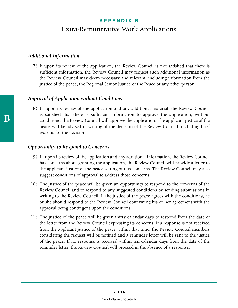#### *Additional Information*

7) If upon its review of the application, the Review Council is not satisfied that there is sufficient information, the Review Council may request such additional information as the Review Council may deem necessary and relevant, including information from the justice of the peace, the Regional Senior Justice of the Peace or any other person.

#### *Approval of Application without Conditions*

8) If, upon its review of the application and any additional material, the Review Council is satisfied that there is sufficient information to approve the application, without conditions, the Review Council will approve the application. The applicant justice of the peace will be advised in writing of the decision of the Review Council, including brief reasons for the decision.

#### *Opportunity to Respond to Concerns*

- 9) If, upon its review of the application and any additional information, the Review Council has concerns about granting the application, the Review Council will provide a letter to the applicant justice of the peace setting out its concerns. The Review Council may also suggest conditions of approval to address those concerns.
- 10) The justice of the peace will be given an opportunity to respond to the concerns of the Review Council and to respond to any suggested conditions by sending submissions in writing to the Review Council. If the justice of the peace agrees with the conditions, he or she should respond to the Review Council confirming his or her agreement with the approval being contingent upon the conditions.
- 11) The justice of the peace will be given thirty calendar days to respond from the date of the letter from the Review Council expressing its concerns. If a response is not received from the applicant justice of the peace within that time, the Review Council members considering the request will be notified and a reminder letter will be sent to the justice of the peace. If no response is received within ten calendar days from the date of the reminder letter, the Review Council will proceed in the absence of a response.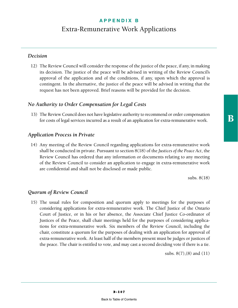#### *Decision*

12) The Review Council will consider the response of the justice of the peace, if any, in making its decision. The justice of the peace will be advised in writing of the Review Council's approval of the application and of the conditions, if any, upon which the approval is contingent. In the alternative, the justice of the peace will be advised in writing that the request has not been approved. Brief reasons will be provided for the decision.

#### *No Authority to Order Compensation for Legal Costs*

13) The Review Council does not have legislative authority to recommend or order compensation for costs of legal services incurred as a result of an application for extra-remunerative work.

#### *Application Process in Private*

14) Any meeting of the Review Council regarding applications for extra-remunerative work shall be conducted in private. Pursuant to section 8(18) of the *Justices of the Peace Act*, the Review Council has ordered that any information or documents relating to any meeting of the Review Council to consider an application to engage in extra-remunerative work are confidential and shall not be disclosed or made public.

subs. 8(18)

#### *Quorum of Review Council*

15) The usual rules for composition and quorum apply to meetings for the purposes of considering applications for extra-remunerative work. The Chief Justice of the Ontario Court of Justice, or in his or her absence, the Associate Chief Justice Co-ordinator of Justices of the Peace, shall chair meetings held for the purposes of considering applications for extra-remunerative work. Six members of the Review Council, including the chair, constitute a quorum for the purposes of dealing with an application for approval of extra-remunerative work. At least half of the members present must be judges or justices of the peace. The chair is entitled to vote, and may cast a second deciding vote if there is a tie.

subs. 8(7),(8) and (11)

 ${\bf B}$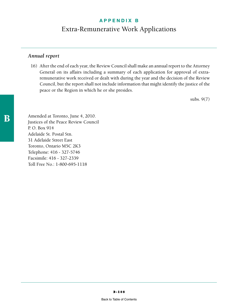#### *Annual report*

16) After the end of each year, the Review Council shall make an annual report to the Attorney General on its affairs including a summary of each application for approval of extraremunerative work received or dealt with during the year and the decision of the Review Council, but the report shall not include information that might identify the justice of the peace or the Region in which he or she presides.

subs. 9(7)

Amended at Toronto, June 4, 2010. Justices of the Peace Review Council P. O. Box 914 Adelaide St. Postal Stn. 31 Adelaide Street East Toronto, Ontario M5C 2K3 Telephone: 416 - 327-5746 Facsimile: 416 - 327-2339 Toll Free No.: 1-800-695-1118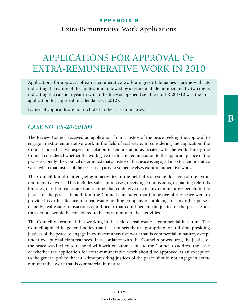# APPLICATIONS FOR APPROVAL OF EXTRA-REMUNERATIVE WORK IN 2010

Applications for approval of extra-remunerative work are given File names starting with ER indicating the nature of the application, followed by a sequential file number and by two digits indicating the calendar year in which the file was opened (i.e., file no. ER-001/10 was the first application for approval in calendar year 2010).

Names of applicants are not included in the case summaries.

## *CASE NO. ER-20-001/09*

The Review Council received an application from a justice of the peace seeking the approval to engage in extra-remunerative work in the field of real estate. In considering the application, the Council looked at two aspects in relation to remuneration associated with the work. Firstly, the Council considered whether the work gave rise to any remuneration to the applicant justice of the peace. Secondly, the Council determined that a justice of the peace is engaged in extra-remunerative work when that justice of the peace is a party to someone else's extra-remunerative work.

The Council found that engaging in activities in the field of real estate does constitute extraremunerative work. This includes sales, purchases, receiving commissions, or making referrals for sales, or other real estate transactions that could give rise to any remunerative benefit to the justice of the peace. In addition, the Council concluded that if a justice of the peace were to provide his or her licence to a real estate holding company or brokerage or any other person or body, real estate transactions could occur that could benefit the justice of the peace. Such transactions would be considered to be extra-remunerative activities.

The Council determined that working in the field of real estate is commercial in nature. The Council applied its general policy that it is not seemly or appropriate for full-time presiding justices of the peace to engage in extra-remunerative work that is commercial in nature, except under exceptional circumstances. In accordance with the Council's procedures, the justice of the peace was invited to respond with written submissions to the Council to address the issue of whether the application for extra-remunerative work should be approved as an exception to the general policy that full-time presiding justices of the peace should not engage in extraremunerative work that is commercial in nature.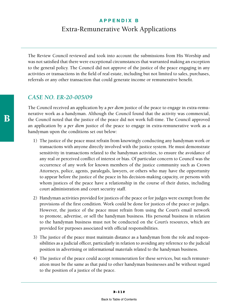The Review Council reviewed and took into account the submissions from His Worship and was not satisfied that there were exceptional circumstances that warranted making an exception to the general policy. The Council did not approve of the justice of the peace engaging in any activities or transactions in the field of real estate, including but not limited to sales, purchases, referrals or any other transaction that could generate income or remunerative benefit.

#### *CASE NO. ER-20-005/09*

The Council received an application by a *per diem* justice of the peace to engage in extra-remunerative work as a handyman. Although the Council found that the activity was commercial, the Council noted that the justice of the peace did not work full-time. The Council approved an application by a *per diem* justice of the peace to engage in extra-remunerative work as a handyman upon the conditions set out below:

- 1) The justice of the peace must refrain from knowingly conducting any handyman work or transactions with anyone directly involved with the justice system. He must demonstrate sensitivity in transactions related to the handyman activities, to ensure the avoidance of any real or perceived conflict of interest or bias. Of particular concern to Council was the occurrence of any work for known members of the justice community such as Crown Attorneys, police, agents, paralegals, lawyers, or others who may have the opportunity to appear before the justice of the peace in his decision-making capacity, or persons with whom justices of the peace have a relationship in the course of their duties, including court administration and court security staff.
- 2) Handyman activities provided for justices of the peace or for judges were exempt from the provisions of the first condition. Work could be done for justices of the peace or judges. However, the justice of the peace must refrain from using the Court's email network to promote, advertise, or sell the handyman business. His personal business in relation to the handyman business must not be conducted on the Court's resources, which are provided for purposes associated with official responsibilities.
- 3) The justice of the peace must maintain distance as a handyman from the role and responsibilities as a judicial officer, particularly in relation to avoiding any reference to the judicial position in advertising or informational materials related to the handyman business.
- 4) The justice of the peace could accept remuneration for these services, but such remuneration must be the same as that paid to other handyman businesses and be without regard to the position of a justice of the peace.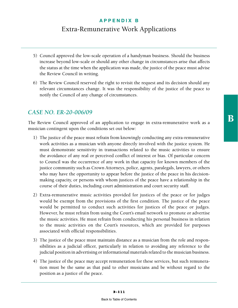- 5) Council approved the low-scale operation of a handyman business. Should the business increase beyond low-scale or should any other change in circumstances arise that affects the status at the time when the application was made, the justice of the peace must advise the Review Council in writing.
- 6) The Review Council reserved the right to revisit the request and its decision should any relevant circumstances change. It was the responsibility of the justice of the peace to notify the Council of any change of circumstances.

#### *CASE NO. ER-20-006/09*

The Review Council approved of an application to engage in extra-remunerative work as a musician contingent upon the conditions set out below:

- 1) The justice of the peace must refrain from knowingly conducting any extra-remunerative work activities as a musician with anyone directly involved with the justice system. He must demonstrate sensitivity in transactions related to the music activities to ensure the avoidance of any real or perceived conflict of interest or bias. Of particular concern to Council was the occurrence of any work in that capacity for known members of the justice community such as Crown Attorneys, police, agents, paralegals, lawyers, or others who may have the opportunity to appear before the justice of the peace in his decisionmaking capacity, or persons with whom justices of the peace have a relationship in the course of their duties, including court administration and court security staff.
- 2) Extra-remunerative music activities provided for justices of the peace or for judges would be exempt from the provisions of the first condition. The justice of the peace would be permitted to conduct such activities for justices of the peace or judges. However, he must refrain from using the Court's email network to promote or advertise the music activities. He must refrain from conducting his personal business in relation to the music activities on the Court's resources, which are provided for purposes associated with official responsibilities.
- 3) The justice of the peace must maintain distance as a musician from the role and responsibilities as a judicial officer, particularly in relation to avoiding any reference to the judicial position in advertising or informational materials related to the musician business.
- 4) The justice of the peace may accept remuneration for these services, but such remuneration must be the same as that paid to other musicians and be without regard to the position as a justice of the peace.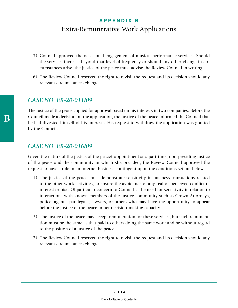- 5) Council approved the occasional engagement of musical performance services. Should the services increase beyond that level of frequency or should any other change in circumstances arise, the justice of the peace must advise the Review Council in writing.
- 6) The Review Council reserved the right to revisit the request and its decision should any relevant circumstances change.

#### *CASE NO. ER-20-011/09*

The justice of the peace applied for approval based on his interests in two companies. Before the Council made a decision on the application, the justice of the peace informed the Council that he had divested himself of his interests. His request to withdraw the application was granted by the Council.

#### *CASE NO. ER-20-016/09*

Given the nature of the justice of the peace's appointment as a part-time, non-presiding justice of the peace and the community in which she presided, the Review Council approved the request to have a role in an internet business contingent upon the conditions set out below:

- 1) The justice of the peace must demonstrate sensitivity in business transactions related to the other work activities, to ensure the avoidance of any real or perceived conflict of interest or bias. Of particular concern to Council is the need for sensitivity in relation to interactions with known members of the justice community such as Crown Attorneys, police, agents, paralegals, lawyers, or others who may have the opportunity to appear before the justice of the peace in her decision-making capacity.
- 2) The justice of the peace may accept remuneration for these services, but such remuneration must be the same as that paid to others doing the same work and be without regard to the position of a justice of the peace.
- 3) The Review Council reserved the right to revisit the request and its decision should any relevant circumstances change.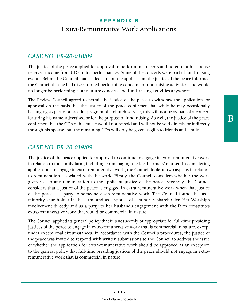#### *CASE NO. ER-20-018/09*

The justice of the peace applied for approval to perform in concerts and noted that his spouse received income from CD's of his performances. Some of the concerts were part of fund-raising events. Before the Council made a decision on the application, the justice of the peace informed the Council that he had discontinued performing concerts or fund-raising activities, and would no longer be performing at any future concerts and fund-raising activities anywhere.

The Review Council agreed to permit the justice of the peace to withdraw the application for approval on the basis that the justice of the peace confirmed that while he may occasionally be singing as part of a broader program of a church service, this will not be as part of a concert featuring his name, advertised or for the purpose of fund-raising. As well, the justice of the peace confirmed that the CD's of his music would not be sold and will not be sold directly or indirectly through his spouse, but the remaining CD's will only be given as gifts to friends and family.

#### *CASE NO. ER-20-019/09*

The justice of the peace applied for approval to continue to engage in extra-remunerative work in relation to the family farm, including co-managing the local farmers' market. In considering applications to engage in extra-remunerative work, the Council looks at two aspects in relation to remuneration associated with the work. Firstly, the Council considers whether the work gives rise to any remuneration to the applicant justice of the peace. Secondly, the Council considers that a justice of the peace is engaged in extra-remunerative work when that justice of the peace is a party to someone else's remunerative work. The Council found that as a minority shareholder in the farm, and as a spouse of a minority shareholder, Her Worship's involvement directly and as a party to her husband's engagement with the farm constitutes extra-remunerative work that would be commercial in nature.

The Council applied its general policy that it is not seemly or appropriate for full-time presiding justices of the peace to engage in extra-remunerative work that is commercial in nature, except under exceptional circumstances. In accordance with the Council's procedures, the justice of the peace was invited to respond with written submissions to the Council to address the issue of whether the application for extra-remunerative work should be approved as an exception to the general policy that full-time presiding justices of the peace should not engage in extraremunerative work that is commercial in nature.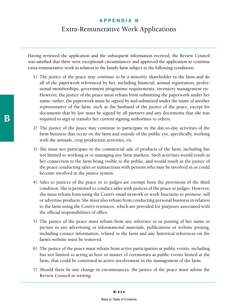Having reviewed the application and the subsequent information received, the Review Council was satisfied that there were exceptional circumstances and approved the application to continue extra-remunerative work in relation to the family farm subject to the following conditions:

- 1) The justice of the peace may continue to be a minority shareholder in the farm and do all of the paperwork referenced by her, including financial, animal registration, professional memberships, government programme requirements, inventory management etc. However, the justice of the peace must refrain from submitting the paperwork under her name; rather, the paperwork must be signed by and submitted under the name of another representative of the farm, such as the husband of the justice of the peace, except for documents that by law must be signed by all partners and any documents that she was required to sign to transfer her current signing authorities to others.
- 2) The justice of the peace may continue to participate in the day-to-day activities of the farm business that occur on the farm and outside of the public eye, specifically, working with the animals, crop production activities, etc.
- 3) She must not participate in the commercial sale of products of the farm, including but not limited to working at or managing any farm markets. Such activities would result in her connection to the farm being visible to the public, and would result in the justice of the peace conducting sales or transactions with persons who may be involved in or could become involved in the justice system.
- 4) Sales to justices of the peace or to judges are exempt from the provisions of the third condition. She is permitted to conduct sales with justices of the peace or judges. However, she must refrain from using the Court's email network or work functions to promote, sell or advertise products. She must also refrain from conducting personal business in relation to the farm using the Court's resources, which are provided for purposes associated with the official responsibilities of office.
- 5) The justice of the peace must refrain from any reference to or posting of her name or picture in any advertising or informational materials, publications or website posting, including contact information, related to the farm and any historical references on the farm's website must be removed.
- 6) The justice of the peace must refrain from active participation at public events, including but not limited to acting as host or master of ceremonies at public events hosted at the farm, that could be construed as active involvement in the management of the farm.
- 7) Should there be any change in circumstances, the justice of the peace must advise the Review Council in writing.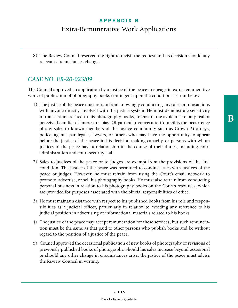8) The Review Council reserved the right to revisit the request and its decision should any relevant circumstances change.

#### *CASE NO. ER-20-023/09*

The Council approved an application by a justice of the peace to engage in extra-remunerative work of publication of photography books contingent upon the conditions set out below:

- 1) The justice of the peace must refrain from knowingly conducting any sales or transactions with anyone directly involved with the justice system. He must demonstrate sensitivity in transactions related to his photography books, to ensure the avoidance of any real or perceived conflict of interest or bias. Of particular concern to Council is the occurrence of any sales to known members of the justice community such as Crown Attorneys, police, agents, paralegals, lawyers, or others who may have the opportunity to appear before the justice of the peace in his decision-making capacity, or persons with whom justices of the peace have a relationship in the course of their duties, including court administration and court security staff.
- 2) Sales to justices of the peace or to judges are exempt from the provisions of the first condition. The justice of the peace was permitted to conduct sales with justices of the peace or judges. However, he must refrain from using the Court's email network to promote, advertise, or sell his photography books. He must also refrain from conducting personal business in relation to his photography books on the Court's resources, which are provided for purposes associated with the official responsibilities of office.
- 3) He must maintain distance with respect to his published books from his role and responsibilities as a judicial officer, particularly in relation to avoiding any reference to his judicial position in advertising or informational materials related to his books.
- 4) The justice of the peace may accept remuneration for these services, but such remuneration must be the same as that paid to other persons who publish books and be without regard to the position of a justice of the peace.
- 5) Council approved the **occasional** publication of new books of photography or revisions of previously published books of photography. Should his sales increase beyond occasional or should any other change in circumstances arise, the justice of the peace must advise the Review Council in writing.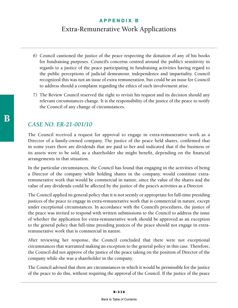- 6) Council cautioned the justice of the peace respecting the donation of any of his books for fundraising purposes. Council's concerns centred around the public's sensitivity in regards to a justice of the peace participating in fundraising activities having regard to the public perceptions of judicial demeanour, independence and impartiality. Council recognized this was not an issue of extra remuneration, but could be an issue for Council to address should a complaint regarding the ethics of such involvement arise.
- 7) The Review Council reserved the right to revisit his request and its decision should any relevant circumstances change. It is the responsibility of the justice of the peace to notify the Council of any change of circumstances.

#### *CASE NO. ER-21-001/10*

The Council received a request for approval to engage in extra-remunerative work as a Director of a family-owned company. The justice of the peace held shares, confirmed that in some years there are dividends that are paid to her and indicated that if the business or its assets were to be sold, as a shareholder she might benefit, depending on the financial arrangements in that situation.

In the particular circumstances, the Council has found that engaging in the activities of being a Director of the company while holding shares in the company, would constitute extraremunerative work that would be commercial in nature, since the value of the shares and the value of any dividends could be affected by the justice of the peace's activities as a Director.

The Council applied its general policy that it is not seemly or appropriate for full-time presiding justices of the peace to engage in extra-remunerative work that is commercial in nature, except under exceptional circumstances. In accordance with the Council's procedures, the justice of the peace was invited to respond with written submissions to the Council to address the issue of whether the application for extra-remunerative work should be approved as an exception to the general policy that full-time presiding justices of the peace should not engage in extraremunerative work that is commercial in nature.

After reviewing her response, the Council concluded that there were not exceptional circumstances that warranted making an exception to the general policy in this case. Therefore, the Council did not approve of the justice of the peace taking on the position of Director of the company while she was a shareholder in the company.

The Council advised that there are circumstances in which it would be permissible for the justice of the peace to do this, without requiring the approval of the Council. If the justice of the peace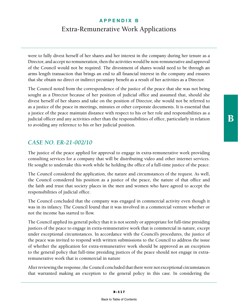were to fully divest herself of her shares and her interest in the company during her tenure as a Director, and accept no remuneration, then the activities would be non-remunerative and approval of the Council would not be required. The divestment of shares would need to be through an arms length transaction that brings an end to all financial interest in the company and ensures that she obtain no direct or indirect pecuniary benefit as a result of her activities as a Director.

The Council noted from the correspondence of the justice of the peace that she was not being sought as a Director because of her position of judicial office and assumed that, should she divest herself of her shares and take on the position of Director, she would not be referred to as a justice of the peace in meetings, minutes or other corporate documents. It is essential that a justice of the peace maintain distance with respect to his or her role and responsibilities as a judicial officer and any activities other than the responsibilities of office, particularly in relation to avoiding any reference to his or her judicial position.

#### *CASE NO. ER-21-002/10*

The justice of the peace applied for approval to engage in extra-remunerative work providing consulting services for a company that will be distributing video and other internet services. He sought to undertake this work while he holding the office of a full-time justice of the peace.

The Council considered the application, the nature and circumstances of the request. As well, the Council considered his position as a justice of the peace, the nature of that office and the faith and trust that society places in the men and women who have agreed to accept the responsibilities of judicial office.

The Council concluded that the company was engaged in commercial activity even though it was in its infancy. The Council found that it was involved in a commercial venture whether or not the income has started to flow.

The Council applied its general policy that it is not seemly or appropriate for full-time presiding justices of the peace to engage in extra-remunerative work that is commercial in nature, except under exceptional circumstances. In accordance with the Council's procedures, the justice of the peace was invited to respond with written submissions to the Council to address the issue of whether the application for extra-remunerative work should be approved as an exception to the general policy that full-time presiding justices of the peace should not engage in extraremunerative work that is commercial in nature

After reviewing the response, the Council concluded that there were not exceptional circumstances that warranted making an exception to the general policy in this case. In considering the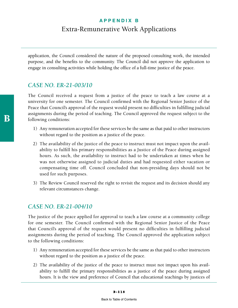application, the Council considered the nature of the proposed consulting work, the intended purpose, and the benefits to the community. The Council did not approve the application to engage in consulting activities while holding the office of a full-time justice of the peace.

#### *CASE NO. ER-21-003/10*

The Council received a request from a justice of the peace to teach a law course at a university for one semester. The Council confirmed with the Regional Senior Justice of the Peace that Council's approval of the request would present no difficulties in fulfilling judicial assignments during the period of teaching. The Council approved the request subject to the following conditions:

- 1) Any remuneration accepted for these services be the same as that paid to other instructors without regard to the position as a justice of the peace.
- 2) The availability of the justice of the peace to instruct must not impact upon the availability to fulfill his primary responsibilities as a Justice of the Peace during assigned hours. As such, the availability to instruct had to be undertaken at times when he was not otherwise assigned to judicial duties and had requested either vacation or compensating time off. Council concluded that non-presiding days should not be used for such purposes.
- 3) The Review Council reserved the right to revisit the request and its decision should any relevant circumstances change.

## *CASE NO. ER-21-004/10*

The justice of the peace applied for approval to teach a law course at a community college for one semester. The Council confirmed with the Regional Senior Justice of the Peace that Council's approval of the request would present no difficulties in fulfilling judicial assignments during the period of teaching. The Council approved the application subject to the following conditions:

- 1) Any remuneration accepted for these services be the same as that paid to other instructors without regard to the position as a justice of the peace.
- 2) The availability of the justice of the peace to instruct must not impact upon his availability to fulfill the primary responsibilities as a justice of the peace during assigned hours. It is the view and preference of Council that educational teachings by justices of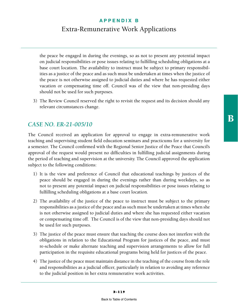the peace be engaged in during the evenings, so as not to present any potential impact on judicial responsibilities or pose issues relating to fulfilling scheduling obligations at a base court location. The availability to instruct must be subject to primary responsibilities as a justice of the peace and as such must be undertaken at times when the justice of the peace is not otherwise assigned to judicial duties and where he has requested either vacation or compensating time off. Council was of the view that non-presiding days should not be used for such purposes.

3) The Review Council reserved the right to revisit the request and its decision should any relevant circumstances change.

#### *CASE NO. ER-21-005/10*

The Council received an application for approval to engage in extra-remunerative work teaching and supervising student field education seminars and practicums for a university for a semester. The Council confirmed with the Regional Senior Justice of the Peace that Council's approval of the request would present no difficulties in fulfilling judicial assignments during the period of teaching and supervision at the university. The Council approved the application subject to the following conditions:

- 1) It is the view and preference of Council that educational teachings by justices of the peace should be engaged in during the evenings rather than during weekdays, so as not to present any potential impact on judicial responsibilities or pose issues relating to fulfilling scheduling obligations at a base court location.
- 2) The availability of the justice of the peace to instruct must be subject to the primary responsibilities as a justice of the peace and as such must be undertaken at times when she is not otherwise assigned to judicial duties and where she has requested either vacation or compensating time off. The Council is of the view that non-presiding days should not be used for such purposes.
- 3) The justice of the peace must ensure that teaching the course does not interfere with the obligations in relation to the Educational Program for justices of the peace, and must re-schedule or make alternate teaching and supervision arrangements to allow for full participation in the requisite educational programs being held for justices of the peace.
- 4) The justice of the peace must maintain distance in the teaching of the course from the role and responsibilities as a judicial officer, particularly in relation to avoiding any reference to the judicial position in her extra remunerative work activities.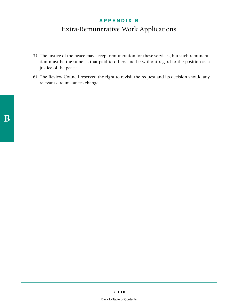- 5) The justice of the peace may accept remuneration for these services, but such remuneration must be the same as that paid to others and be without regard to the position as a justice of the peace.
- 6) The Review Council reserved the right to revisit the request and its decision should any relevant circumstances change.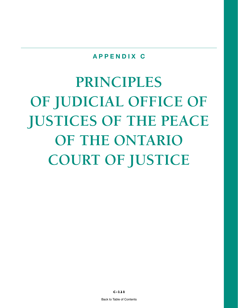**PRINCIPLES OF JUDICIAL OFFICE OF JUSTICES OF THE PEACE OF THE ONTARIO COURT OF JUSTICE**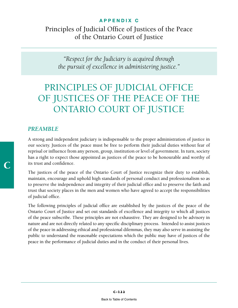Principles of Judicial Office of Justices of the Peace of the Ontario Court of Justice

*"Respect for the Judiciary is acquired through the pursuit of excellence in administering justice."*

# PRINCIPLES OF JUDICIAL OFFICE OF JUSTICES OF THE PEACE OF THE ONTARIO COURT OF JUSTICE

#### *PREAMBLE*

A strong and independent judiciary is indispensable to the proper administration of justice in our society. Justices of the peace must be free to perform their judicial duties without fear of reprisal or influence from any person, group, institution or level of government. In turn, society has a right to expect those appointed as justices of the peace to be honourable and worthy of its trust and confidence.

The justices of the peace of the Ontario Court of Justice recognize their duty to establish, maintain, encourage and uphold high standards of personal conduct and professionalism so as to preserve the independence and integrity of their judicial office and to preserve the faith and trust that society places in the men and women who have agreed to accept the responsibilities of judicial office.

The following principles of judicial office are established by the justices of the peace of the Ontario Court of Justice and set out standards of excellence and integrity to which all justices of the peace subscribe. These principles are not exhaustive. They are designed to be advisory in nature and are not directly related to any specific disciplinary process. Intended to assist justices of the peace in addressing ethical and professional dilemmas, they may also serve in assisting the public to understand the reasonable expectations which the public may have of justices of the peace in the performance of judicial duties and in the conduct of their personal lives.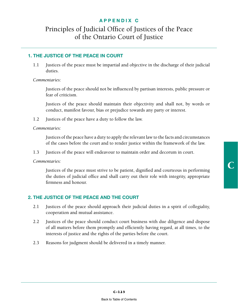## Principles of Judicial Office of Justices of the Peace of the Ontario Court of Justice

#### **1. THE JUSTICE OF THE PEACE IN COURT**

1.1 Justices of the peace must be impartial and objective in the discharge of their judicial duties.

*Commentaries*:

 Justices of the peace should not be influenced by partisan interests, public pressure or fear of criticism.

 Justices of the peace should maintain their objectivity and shall not, by words or conduct, manifest favour, bias or prejudice towards any party or interest.

1.2 Justices of the peace have a duty to follow the law.

*Commentaries:*

 Justices of the peace have a duty to apply the relevant law to the facts and circumstances of the cases before the court and to render justice within the framework of the law.

1.3 Justices of the peace will endeavour to maintain order and decorum in court.

*Commentaries:*

 Justices of the peace must strive to be patient, dignified and courteous in performing the duties of judicial office and shall carry out their role with integrity, appropriate firmness and honour.

#### **2. THE JUSTICE OF THE PEACE AND THE COURT**

- 2.1 Justices of the peace should approach their judicial duties in a spirit of collegiality, cooperation and mutual assistance.
- 2.2 Justices of the peace should conduct court business with due diligence and dispose of all matters before them promptly and efficiently having regard, at all times, to the interests of justice and the rights of the parties before the court.
- 2.3 Reasons for judgment should be delivered in a timely manner.

C-123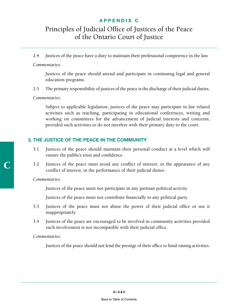## Principles of Judicial Office of Justices of the Peace of the Ontario Court of Justice

2.4 Justices of the peace have a duty to maintain their professional competence in the law.

#### *Commentaries:*

 Justices of the peace should attend and participate in continuing legal and general education programs.

2.5 The primary responsibility of justices of the peace is the discharge of their judicial duties.

#### *Commentaries*:

 Subject to applicable legislation, justices of the peace may participate in law related activities such as teaching, participating in educational conferences, writing and working on committees for the advancement of judicial interests and concerns, provided such activities to do not interfere with their primary duty to the court.

#### **3. THE JUSTICE OF THE PEACE IN THE COMMUNITY**

- 3.1 Justices of the peace should maintain their personal conduct at a level which will ensure the public's trust and confidence.
- 3.2 Justices of the peace must avoid any conflict of interest, or the appearance of any conflict of interest, in the performance of their judicial duties.

#### *Commentaries:*

Justices of the peace must not participate in any partisan political activity.

Justices of the peace must not contribute financially to any political party.

- 3.3 Justices of the peace must not abuse the power of their judicial office or use it inappropriately.
- 3.4 Justices of the peace are encouraged to be involved in community activities provided such involvement is not incompatible with their judicial office.

#### *Commentaries:*

Justices of the peace should not lend the prestige of their office to fund-raising activities.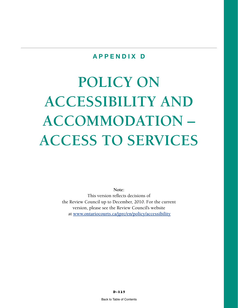# **POLICY ON ACCESSIBILITY AND ACCOMMODATION – ACCESS TO SERVICES**

**Note:**  This version reflects decisions of the Review Council up to December, 2010. For the current version, please see the Review Council's website at **[www.ontariocourts.ca/jprc/en/policy/accessibility](http://www.ontariocourts.ca/jprc/en/policy/accessibility)**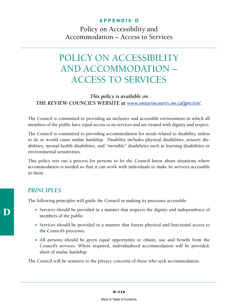Policy on Accessibility and Accommodation – Access to Services

# POLICY ON ACCESSIBILITY AND ACCOMMODATION – ACCESS TO SERVICES

#### *This policy is available on THE REVIEW COUNCIL'S WEBSITE at <www.ontariocourts.on.ca/jprc/en>/.*

The Council is committed to providing an inclusive and accessible environment in which all members of the public have equal access to its services and are treated with dignity and respect.

The Council is committed to providing accommodation for needs related to disability, unless to do so would cause undue hardship. Disability includes physical disabilities, sensory disabilities, mental health disabilities, and "invisible" disabilities such as learning disabilities or environmental sensitivities.

This policy sets out a process for persons to let the Council know about situations where accommodation is needed so that it can work with individuals to make its services accessible to them.

#### *PRINCIPLES*

The following principles will guide the Council in making its processes accessible:

- Services should be provided in a manner that respects the dignity and independence of members of the public.
- Services should be provided in a manner that fosters physical and functional access to the Council's processes.
- All persons should be given equal opportunity to obtain, use and benefit from the Council's services. Where required, individualized accommodation will be provided, short of undue hardship.

The Council will be sensitive to the privacy concerns of those who seek accommodation.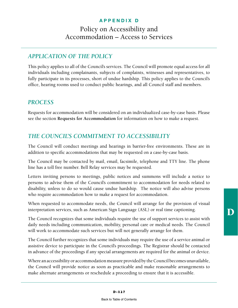## Policy on Accessibility and Accommodation – Access to Services

## *APPLICATION OF THE POLICY*

This policy applies to all of the Council's services. The Council will promote equal access for all individuals including complainants, subjects of complaints, witnesses and representatives, to fully participate in its processes, short of undue hardship. This policy applies to the Council's office, hearing rooms used to conduct public hearings, and all Council staff and members.

#### *PROCESS*

Requests for accommodation will be considered on an individualized case-by-case basis. Please see the section **Requests for Accommodation** for information on how to make a request.

## *THE COUNCIL'S COMMITMENT TO ACCESSIBILITY*

The Council will conduct meetings and hearings in barrier-free environments. These are in addition to specific accommodations that may be requested on a case-by-case basis.

The Council may be contacted by mail, email, facsimile, telephone and TTY line. The phone line has a toll free number. Bell Relay services may be requested.

Letters inviting persons to meetings, public notices and summons will include a notice to persons to advise them of the Council's commitment to accommodation for needs related to disability, unless to do so would cause undue hardship. The notice will also advise persons who require accommodation how to make a request for accommodation.

When requested to accommodate needs, the Council will arrange for the provision of visual interpretation services, such as American Sign Language (ASL) or real time captioning.

The Council recognizes that some individuals require the use of support services to assist with daily needs including communication, mobility, personal care or medical needs. The Council will work to accommodate such services but will not generally arrange for them.

The Council further recognizes that some individuals may require the use of a service animal or assistive device to participate in the Council's proceedings. The Registrar should be contacted in advance of the proceedings if any special arrangements are required for the animal or device.

Where an accessibility or accommodation measure provided by the Council becomes unavailable, the Council will provide notice as soon as practicable and make reasonable arrangements to make alternate arrangements or reschedule a proceeding to ensure that it is accessible.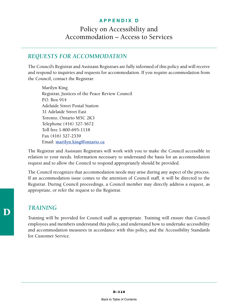## Policy on Accessibility and Accommodation – Access to Services

### *REQUESTS FOR ACCOMMODATION*

The Council's Registrar and Assistant Registrars are fully informed of this policy and will receive and respond to inquiries and requests for accommodation. If you require accommodation from the Council, contact the Registrar:

Marilyn King Registrar, Justices of the Peace Review Council P.O. Box 914 Adelaide Street Postal Station 31 Adelaide Street East Toronto, Ontario M5C 2K3 Telephone (416) 327-5672 Toll free 1-800-695-1118 Fax (416) 327-2339 Email: **[marilyn.king@ontario.ca](mailto:marilyn.king@ontario)**

The Registrar and Assistant Registrars will work with you to make the Council accessible in relation to your needs. Information necessary to understand the basis for an accommodation request and to allow the Council to respond appropriately should be provided.

The Council recognizes that accommodation needs may arise during any aspect of the process. If an accommodation issue comes to the attention of Council staff, it will be directed to the Registrar. During Council proceedings, a Council member may directly address a request, as appropriate, or refer the request to the Registrar.

## *TRAINING*

Training will be provided for Council staff as appropriate. Training will ensure that Council employees and members understand this policy, and understand how to undertake accessibility and accommodation measures in accordance with this policy, and the Accessibility Standards for Customer Service.